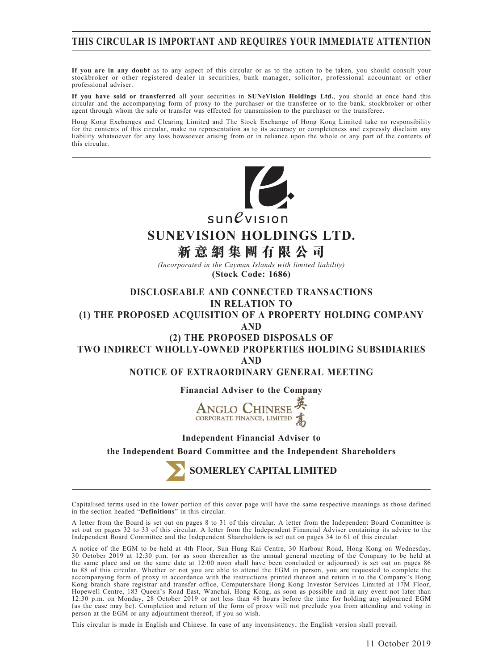# **THIS CIRCULAR IS IMPORTANT AND REQUIRES YOUR IMMEDIATE ATTENTION**

**If you are in any doubt** as to any aspect of this circular or as to the action to be taken, you should consult your stockbroker or other registered dealer in securities, bank manager, solicitor, professional accountant or other professional adviser.

**If you have sold or transferred** all your securities in **SUNeVision Holdings Ltd.**, you should at once hand this circular and the accompanying form of proxy to the purchaser or the transferee or to the bank, stockbroker or other agent through whom the sale or transfer was effected for transmission to the purchaser or the transferee.

Hong Kong Exchanges and Clearing Limited and The Stock Exchange of Hong Kong Limited take no responsibility for the contents of this circular, make no representation as to its accuracy or completeness and expressly disclaim any liability whatsoever for any loss howsoever arising from or in reliance upon the whole or any part of the contents of this circular.



 $sun$ evision

# **SUNEVISION HOLDINGS LTD.**

**新意網集團有限公司**

*(Incorporated in the Cayman Islands with limited liability)* **(Stock Code: 1686)**

**DISCLOSEABLE AND CONNECTED TRANSACTIONS IN RELATION TO**

**(1) THE PROPOSED ACQUISITION OF A PROPERTY HOLDING COMPANY**

**AND**

**(2) THE PROPOSED DISPOSALS OF**

**TWO INDIRECT WHOLLY-OWNED PROPERTIES HOLDING SUBSIDIARIES AND**

**NOTICE OF EXTRAORDINARY GENERAL MEETING**

**Financial Adviser to the Company**



#### **Independent Financial Adviser to**

**the Independent Board Committee and the Independent Shareholders**

**SOMERLEY CAPITAL LIMITED**

Capitalised terms used in the lower portion of this cover page will have the same respective meanings as those defined in the section headed "**Definitions**" in this circular.

A letter from the Board is set out on pages 8 to 31 of this circular. A letter from the Independent Board Committee is set out on pages 32 to 33 of this circular. A letter from the Independent Financial Adviser containing its advice to the Independent Board Committee and the Independent Shareholders is set out on pages 34 to 61 of this circular.

A notice of the EGM to be held at 4th Floor, Sun Hung Kai Centre, 30 Harbour Road, Hong Kong on Wednesday, 30 October 2019 at 12:30 p.m. (or as soon thereafter as the annual general meeting of the Company to be held at the same place and on the same date at 12:00 noon shall have been concluded or adjourned) is set out on pages 86 to 88 of this circular. Whether or not you are able to attend the EGM in person, you are requested to complete the accompanying form of proxy in accordance with the instructions printed thereon and return it to the Company's Hong Kong branch share registrar and transfer office, Computershare Hong Kong Investor Services Limited at 17M Floor, Hopewell Centre, 183 Queen's Road East, Wanchai, Hong Kong, as soon as possible and in any event not later than 12:30 p.m. on Monday, 28 October 2019 or not less than 48 hours before the time for holding any adjourned EGM (as the case may be). Completion and return of the form of proxy will not preclude you from attending and voting in person at the EGM or any adjournment thereof, if you so wish.

This circular is made in English and Chinese. In case of any inconsistency, the English version shall prevail.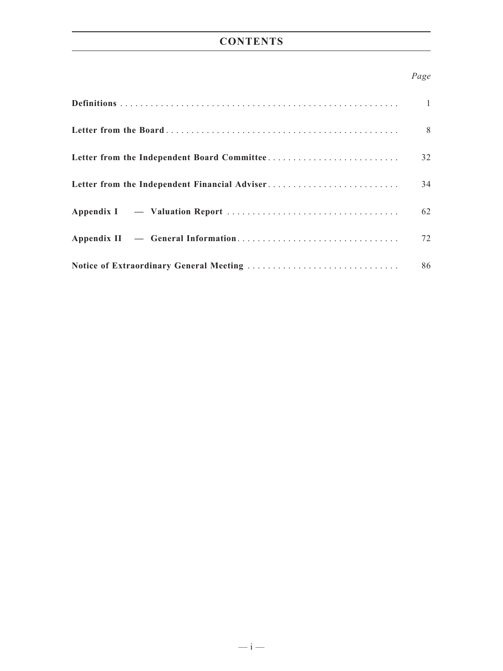# **CONTENTS**

# *Page*

|                                               | $\overline{1}$ |
|-----------------------------------------------|----------------|
|                                               | 8 <sup>8</sup> |
|                                               | 32             |
| Letter from the Independent Financial Adviser | 34             |
|                                               | 62             |
|                                               | 72             |
|                                               |                |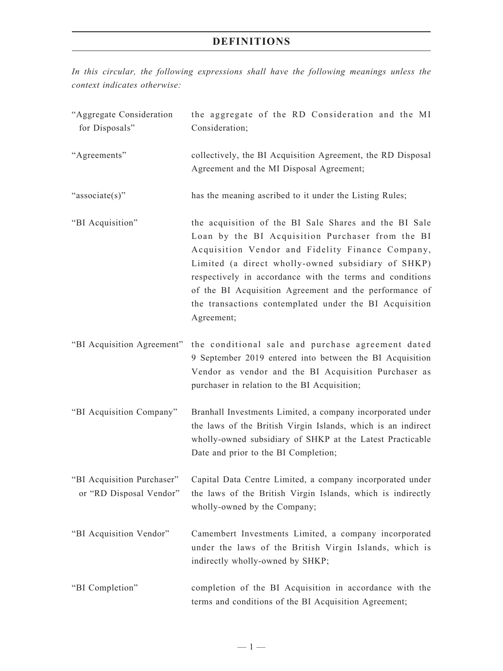*In this circular, the following expressions shall have the following meanings unless the context indicates otherwise:*

| "Aggregate Consideration<br>for Disposals"            | the aggregate of the RD Consideration and the MI<br>Consideration;                                                                                                                                                                                                                                                                                                                                                |
|-------------------------------------------------------|-------------------------------------------------------------------------------------------------------------------------------------------------------------------------------------------------------------------------------------------------------------------------------------------------------------------------------------------------------------------------------------------------------------------|
| "Agreements"                                          | collectively, the BI Acquisition Agreement, the RD Disposal<br>Agreement and the MI Disposal Agreement;                                                                                                                                                                                                                                                                                                           |
| "associate(s)"                                        | has the meaning ascribed to it under the Listing Rules;                                                                                                                                                                                                                                                                                                                                                           |
| "BI Acquisition"                                      | the acquisition of the BI Sale Shares and the BI Sale<br>Loan by the BI Acquisition Purchaser from the BI<br>Acquisition Vendor and Fidelity Finance Company,<br>Limited (a direct wholly-owned subsidiary of SHKP)<br>respectively in accordance with the terms and conditions<br>of the BI Acquisition Agreement and the performance of<br>the transactions contemplated under the BI Acquisition<br>Agreement; |
| "BI Acquisition Agreement"                            | the conditional sale and purchase agreement dated<br>9 September 2019 entered into between the BI Acquisition<br>Vendor as vendor and the BI Acquisition Purchaser as<br>purchaser in relation to the BI Acquisition;                                                                                                                                                                                             |
| "BI Acquisition Company"                              | Branhall Investments Limited, a company incorporated under<br>the laws of the British Virgin Islands, which is an indirect<br>wholly-owned subsidiary of SHKP at the Latest Practicable<br>Date and prior to the BI Completion;                                                                                                                                                                                   |
| "BI Acquisition Purchaser"<br>or "RD Disposal Vendor" | Capital Data Centre Limited, a company incorporated under<br>the laws of the British Virgin Islands, which is indirectly<br>wholly-owned by the Company;                                                                                                                                                                                                                                                          |
| "BI Acquisition Vendor"                               | Camembert Investments Limited, a company incorporated<br>under the laws of the British Virgin Islands, which is<br>indirectly wholly-owned by SHKP;                                                                                                                                                                                                                                                               |
| "BI Completion"                                       | completion of the BI Acquisition in accordance with the<br>terms and conditions of the BI Acquisition Agreement;                                                                                                                                                                                                                                                                                                  |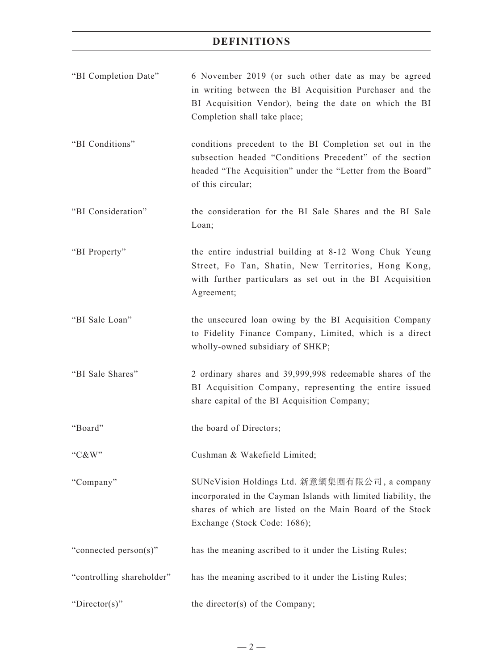| "BI Completion Date"      | 6 November 2019 (or such other date as may be agreed<br>in writing between the BI Acquisition Purchaser and the<br>BI Acquisition Vendor), being the date on which the BI<br>Completion shall take place;    |
|---------------------------|--------------------------------------------------------------------------------------------------------------------------------------------------------------------------------------------------------------|
| "BI Conditions"           | conditions precedent to the BI Completion set out in the<br>subsection headed "Conditions Precedent" of the section<br>headed "The Acquisition" under the "Letter from the Board"<br>of this circular;       |
| "BI Consideration"        | the consideration for the BI Sale Shares and the BI Sale<br>Loan;                                                                                                                                            |
| "BI Property"             | the entire industrial building at 8-12 Wong Chuk Yeung<br>Street, Fo Tan, Shatin, New Territories, Hong Kong,<br>with further particulars as set out in the BI Acquisition<br>Agreement;                     |
| "BI Sale Loan"            | the unsecured loan owing by the BI Acquisition Company<br>to Fidelity Finance Company, Limited, which is a direct<br>wholly-owned subsidiary of SHKP;                                                        |
| "BI Sale Shares"          | 2 ordinary shares and 39,999,998 redeemable shares of the<br>BI Acquisition Company, representing the entire issued<br>share capital of the BI Acquisition Company;                                          |
| "Board"                   | the board of Directors;                                                                                                                                                                                      |
| "C&W"                     | Cushman & Wakefield Limited;                                                                                                                                                                                 |
| "Company"                 | SUNeVision Holdings Ltd. 新意網集團有限公司, a company<br>incorporated in the Cayman Islands with limited liability, the<br>shares of which are listed on the Main Board of the Stock<br>Exchange (Stock Code: 1686); |
| "connected person(s)"     | has the meaning ascribed to it under the Listing Rules;                                                                                                                                                      |
| "controlling shareholder" | has the meaning ascribed to it under the Listing Rules;                                                                                                                                                      |
| "Director(s)"             | the director(s) of the Company;                                                                                                                                                                              |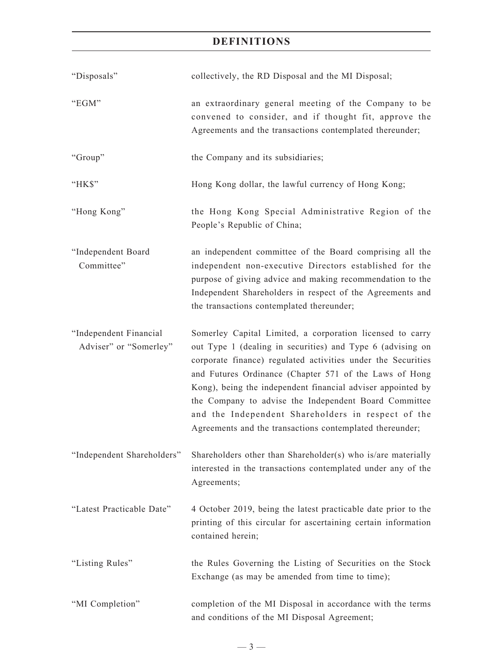| "Disposals"                                      | collectively, the RD Disposal and the MI Disposal;                                                                                                                                                                                                                                                                                                                                                                                                                                          |
|--------------------------------------------------|---------------------------------------------------------------------------------------------------------------------------------------------------------------------------------------------------------------------------------------------------------------------------------------------------------------------------------------------------------------------------------------------------------------------------------------------------------------------------------------------|
| "EGM"                                            | an extraordinary general meeting of the Company to be<br>convened to consider, and if thought fit, approve the<br>Agreements and the transactions contemplated thereunder;                                                                                                                                                                                                                                                                                                                  |
| "Group"                                          | the Company and its subsidiaries;                                                                                                                                                                                                                                                                                                                                                                                                                                                           |
| "HK\$"                                           | Hong Kong dollar, the lawful currency of Hong Kong;                                                                                                                                                                                                                                                                                                                                                                                                                                         |
| "Hong Kong"                                      | the Hong Kong Special Administrative Region of the<br>People's Republic of China;                                                                                                                                                                                                                                                                                                                                                                                                           |
| "Independent Board<br>Committee"                 | an independent committee of the Board comprising all the<br>independent non-executive Directors established for the<br>purpose of giving advice and making recommendation to the<br>Independent Shareholders in respect of the Agreements and<br>the transactions contemplated thereunder;                                                                                                                                                                                                  |
| "Independent Financial<br>Adviser" or "Somerley" | Somerley Capital Limited, a corporation licensed to carry<br>out Type 1 (dealing in securities) and Type 6 (advising on<br>corporate finance) regulated activities under the Securities<br>and Futures Ordinance (Chapter 571 of the Laws of Hong<br>Kong), being the independent financial adviser appointed by<br>the Company to advise the Independent Board Committee<br>and the Independent Shareholders in respect of the<br>Agreements and the transactions contemplated thereunder; |
| "Independent Shareholders"                       | Shareholders other than Shareholder(s) who is/are materially<br>interested in the transactions contemplated under any of the<br>Agreements;                                                                                                                                                                                                                                                                                                                                                 |
| "Latest Practicable Date"                        | 4 October 2019, being the latest practicable date prior to the<br>printing of this circular for ascertaining certain information<br>contained herein;                                                                                                                                                                                                                                                                                                                                       |
| "Listing Rules"                                  | the Rules Governing the Listing of Securities on the Stock<br>Exchange (as may be amended from time to time);                                                                                                                                                                                                                                                                                                                                                                               |
| "MI Completion"                                  | completion of the MI Disposal in accordance with the terms<br>and conditions of the MI Disposal Agreement;                                                                                                                                                                                                                                                                                                                                                                                  |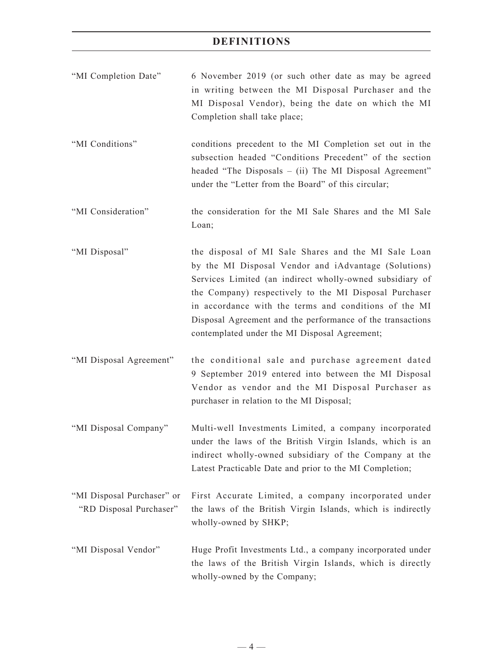| "MI Completion Date"                                  | 6 November 2019 (or such other date as may be agreed<br>in writing between the MI Disposal Purchaser and the<br>MI Disposal Vendor), being the date on which the MI<br>Completion shall take place;                                                                                                                                                                                                       |
|-------------------------------------------------------|-----------------------------------------------------------------------------------------------------------------------------------------------------------------------------------------------------------------------------------------------------------------------------------------------------------------------------------------------------------------------------------------------------------|
| "MI Conditions"                                       | conditions precedent to the MI Completion set out in the<br>subsection headed "Conditions Precedent" of the section<br>headed "The Disposals – (ii) The MI Disposal Agreement"<br>under the "Letter from the Board" of this circular;                                                                                                                                                                     |
| "MI Consideration"                                    | the consideration for the MI Sale Shares and the MI Sale<br>Loan;                                                                                                                                                                                                                                                                                                                                         |
| "MI Disposal"                                         | the disposal of MI Sale Shares and the MI Sale Loan<br>by the MI Disposal Vendor and iAdvantage (Solutions)<br>Services Limited (an indirect wholly-owned subsidiary of<br>the Company) respectively to the MI Disposal Purchaser<br>in accordance with the terms and conditions of the MI<br>Disposal Agreement and the performance of the transactions<br>contemplated under the MI Disposal Agreement; |
| "MI Disposal Agreement"                               | the conditional sale and purchase agreement dated<br>9 September 2019 entered into between the MI Disposal<br>Vendor as vendor and the MI Disposal Purchaser as<br>purchaser in relation to the MI Disposal;                                                                                                                                                                                              |
| "MI Disposal Company"                                 | Multi-well Investments Limited, a company incorporated<br>under the laws of the British Virgin Islands, which is an<br>indirect wholly-owned subsidiary of the Company at the<br>Latest Practicable Date and prior to the MI Completion;                                                                                                                                                                  |
| "MI Disposal Purchaser" or<br>"RD Disposal Purchaser" | First Accurate Limited, a company incorporated under<br>the laws of the British Virgin Islands, which is indirectly<br>wholly-owned by SHKP;                                                                                                                                                                                                                                                              |
| "MI Disposal Vendor"                                  | Huge Profit Investments Ltd., a company incorporated under<br>the laws of the British Virgin Islands, which is directly<br>wholly-owned by the Company;                                                                                                                                                                                                                                                   |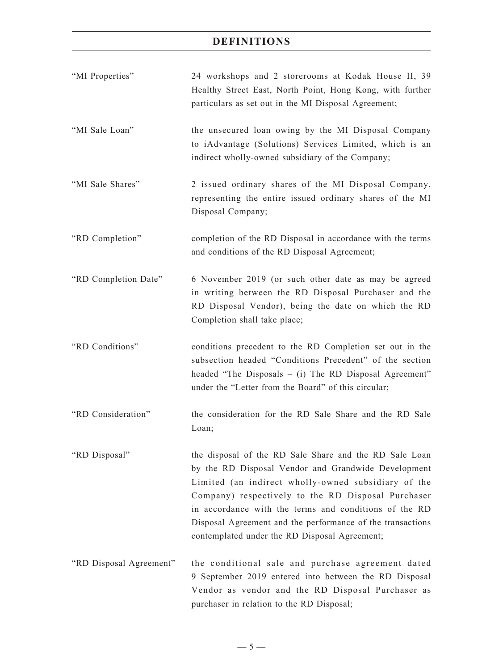| "MI Properties"         | 24 workshops and 2 storerooms at Kodak House II, 39<br>Healthy Street East, North Point, Hong Kong, with further<br>particulars as set out in the MI Disposal Agreement;                                                                                                                                                                                                                           |
|-------------------------|----------------------------------------------------------------------------------------------------------------------------------------------------------------------------------------------------------------------------------------------------------------------------------------------------------------------------------------------------------------------------------------------------|
| "MI Sale Loan"          | the unsecured loan owing by the MI Disposal Company<br>to iAdvantage (Solutions) Services Limited, which is an<br>indirect wholly-owned subsidiary of the Company;                                                                                                                                                                                                                                 |
| "MI Sale Shares"        | 2 issued ordinary shares of the MI Disposal Company,<br>representing the entire issued ordinary shares of the MI<br>Disposal Company;                                                                                                                                                                                                                                                              |
| "RD Completion"         | completion of the RD Disposal in accordance with the terms<br>and conditions of the RD Disposal Agreement;                                                                                                                                                                                                                                                                                         |
| "RD Completion Date"    | 6 November 2019 (or such other date as may be agreed<br>in writing between the RD Disposal Purchaser and the<br>RD Disposal Vendor), being the date on which the RD<br>Completion shall take place;                                                                                                                                                                                                |
| "RD Conditions"         | conditions precedent to the RD Completion set out in the<br>subsection headed "Conditions Precedent" of the section<br>headed "The Disposals $-$ (i) The RD Disposal Agreement"<br>under the "Letter from the Board" of this circular;                                                                                                                                                             |
| "RD Consideration"      | the consideration for the RD Sale Share and the RD Sale<br>Loan;                                                                                                                                                                                                                                                                                                                                   |
| "RD Disposal"           | the disposal of the RD Sale Share and the RD Sale Loan<br>by the RD Disposal Vendor and Grandwide Development<br>Limited (an indirect wholly-owned subsidiary of the<br>Company) respectively to the RD Disposal Purchaser<br>in accordance with the terms and conditions of the RD<br>Disposal Agreement and the performance of the transactions<br>contemplated under the RD Disposal Agreement; |
| "RD Disposal Agreement" | the conditional sale and purchase agreement dated<br>9 September 2019 entered into between the RD Disposal<br>Vendor as vendor and the RD Disposal Purchaser as<br>purchaser in relation to the RD Disposal;                                                                                                                                                                                       |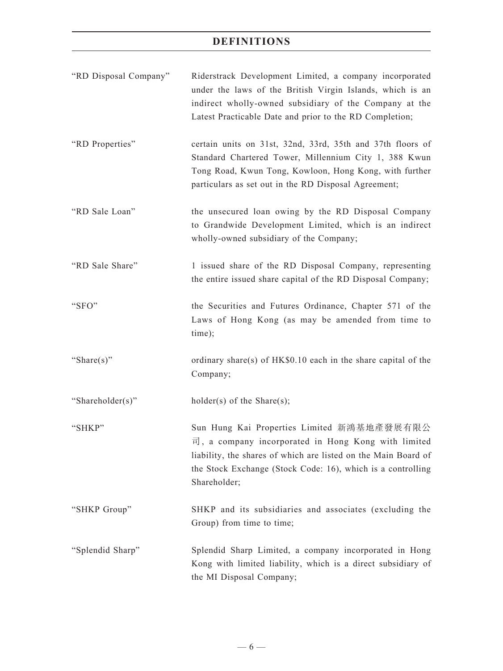| "RD Disposal Company" | Riderstrack Development Limited, a company incorporated<br>under the laws of the British Virgin Islands, which is an<br>indirect wholly-owned subsidiary of the Company at the<br>Latest Practicable Date and prior to the RD Completion;          |
|-----------------------|----------------------------------------------------------------------------------------------------------------------------------------------------------------------------------------------------------------------------------------------------|
| "RD Properties"       | certain units on 31st, 32nd, 33rd, 35th and 37th floors of<br>Standard Chartered Tower, Millennium City 1, 388 Kwun<br>Tong Road, Kwun Tong, Kowloon, Hong Kong, with further<br>particulars as set out in the RD Disposal Agreement;              |
| "RD Sale Loan"        | the unsecured loan owing by the RD Disposal Company<br>to Grandwide Development Limited, which is an indirect<br>wholly-owned subsidiary of the Company;                                                                                           |
| "RD Sale Share"       | 1 issued share of the RD Disposal Company, representing<br>the entire issued share capital of the RD Disposal Company;                                                                                                                             |
| "SFO"                 | the Securities and Futures Ordinance, Chapter 571 of the<br>Laws of Hong Kong (as may be amended from time to<br>time);                                                                                                                            |
| "Share $(s)$ "        | ordinary share(s) of HK\$0.10 each in the share capital of the<br>Company;                                                                                                                                                                         |
| "Shareholder(s)"      | $holder(s)$ of the Share $(s)$ ;                                                                                                                                                                                                                   |
| "SHKP"                | Sun Hung Kai Properties Limited 新鴻基地產發展有限公<br>司, a company incorporated in Hong Kong with limited<br>liability, the shares of which are listed on the Main Board of<br>the Stock Exchange (Stock Code: 16), which is a controlling<br>Shareholder; |
| "SHKP Group"          | SHKP and its subsidiaries and associates (excluding the<br>Group) from time to time;                                                                                                                                                               |
| "Splendid Sharp"      | Splendid Sharp Limited, a company incorporated in Hong<br>Kong with limited liability, which is a direct subsidiary of<br>the MI Disposal Company;                                                                                                 |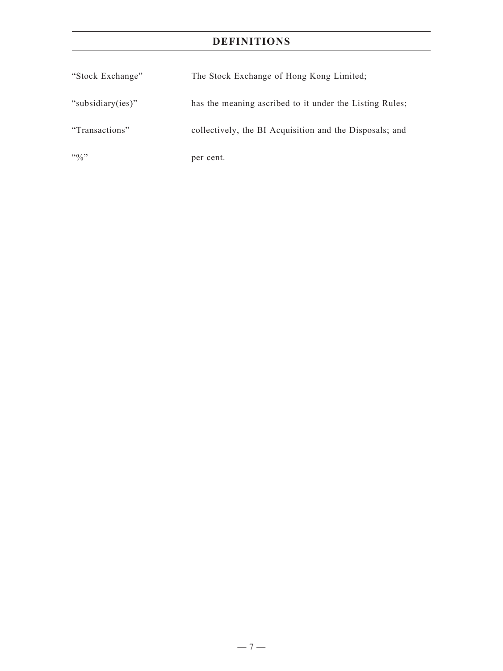| "Stock Exchange"  | The Stock Exchange of Hong Kong Limited;                |
|-------------------|---------------------------------------------------------|
| "subsidiary(ies)" | has the meaning ascribed to it under the Listing Rules; |
| "Transactions"    | collectively, the BI Acquisition and the Disposals; and |
| $\frac{100}{20}$  | per cent.                                               |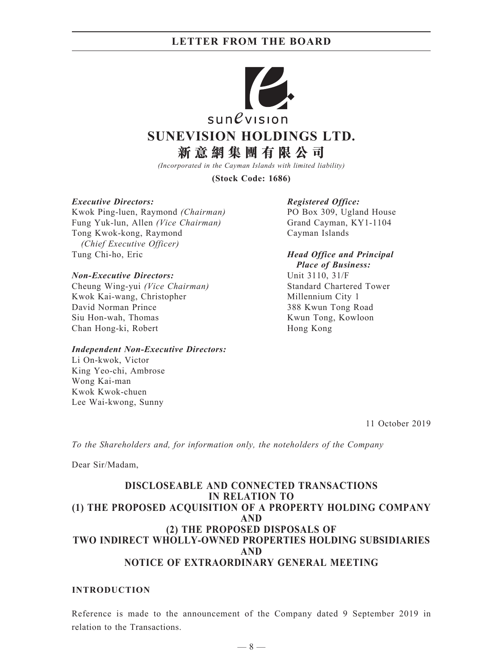

*(Incorporated in the Cayman Islands with limited liability)*

**(Stock Code: 1686)**

#### *Executive Directors:*

Kwok Ping-luen, Raymond *(Chairman)* Fung Yuk-lun, Allen *(Vice Chairman)* Tong Kwok-kong, Raymond *(Chief Executive Officer)* Tung Chi-ho, Eric

#### *Non-Executive Directors:*

Cheung Wing-yui *(Vice Chairman)* Kwok Kai-wang, Christopher David Norman Prince Siu Hon-wah, Thomas Chan Hong-ki, Robert

#### *Independent Non-Executive Directors:*

Li On-kwok, Victor King Yeo-chi, Ambrose Wong Kai-man Kwok Kwok-chuen Lee Wai-kwong, Sunny

#### *Registered Office:*

PO Box 309, Ugland House Grand Cayman, KY1-1104 Cayman Islands

*Head Office and Principal Place of Business:*

Unit 3110, 31/F Standard Chartered Tower Millennium City 1 388 Kwun Tong Road Kwun Tong, Kowloon Hong Kong

11 October 2019

*To the Shareholders and, for information only, the noteholders of the Company*

Dear Sir/Madam,

## **DISCLOSEABLE AND CONNECTED TRANSACTIONS IN RELATION TO (1) THE PROPOSED ACQUISITION OF A PROPERTY HOLDING COMPANY AND (2) THE PROPOSED DISPOSALS OF TWO INDIRECT WHOLLY-OWNED PROPERTIES HOLDING SUBSIDIARIES AND NOTICE OF EXTRAORDINARY GENERAL MEETING**

### **INTRODUCTION**

Reference is made to the announcement of the Company dated 9 September 2019 in relation to the Transactions.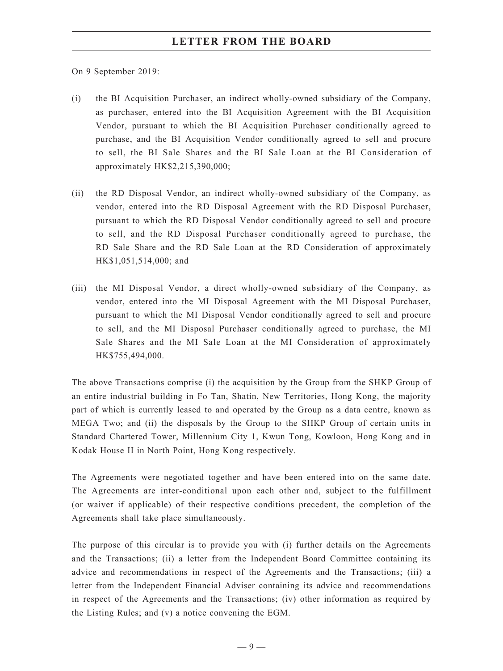On 9 September 2019:

- (i) the BI Acquisition Purchaser, an indirect wholly-owned subsidiary of the Company, as purchaser, entered into the BI Acquisition Agreement with the BI Acquisition Vendor, pursuant to which the BI Acquisition Purchaser conditionally agreed to purchase, and the BI Acquisition Vendor conditionally agreed to sell and procure to sell, the BI Sale Shares and the BI Sale Loan at the BI Consideration of approximately HK\$2,215,390,000;
- (ii) the RD Disposal Vendor, an indirect wholly-owned subsidiary of the Company, as vendor, entered into the RD Disposal Agreement with the RD Disposal Purchaser, pursuant to which the RD Disposal Vendor conditionally agreed to sell and procure to sell, and the RD Disposal Purchaser conditionally agreed to purchase, the RD Sale Share and the RD Sale Loan at the RD Consideration of approximately HK\$1,051,514,000; and
- (iii) the MI Disposal Vendor, a direct wholly-owned subsidiary of the Company, as vendor, entered into the MI Disposal Agreement with the MI Disposal Purchaser, pursuant to which the MI Disposal Vendor conditionally agreed to sell and procure to sell, and the MI Disposal Purchaser conditionally agreed to purchase, the MI Sale Shares and the MI Sale Loan at the MI Consideration of approximately HK\$755,494,000.

The above Transactions comprise (i) the acquisition by the Group from the SHKP Group of an entire industrial building in Fo Tan, Shatin, New Territories, Hong Kong, the majority part of which is currently leased to and operated by the Group as a data centre, known as MEGA Two; and (ii) the disposals by the Group to the SHKP Group of certain units in Standard Chartered Tower, Millennium City 1, Kwun Tong, Kowloon, Hong Kong and in Kodak House II in North Point, Hong Kong respectively.

The Agreements were negotiated together and have been entered into on the same date. The Agreements are inter-conditional upon each other and, subject to the fulfillment (or waiver if applicable) of their respective conditions precedent, the completion of the Agreements shall take place simultaneously.

The purpose of this circular is to provide you with (i) further details on the Agreements and the Transactions; (ii) a letter from the Independent Board Committee containing its advice and recommendations in respect of the Agreements and the Transactions; (iii) a letter from the Independent Financial Adviser containing its advice and recommendations in respect of the Agreements and the Transactions; (iv) other information as required by the Listing Rules; and (v) a notice convening the EGM.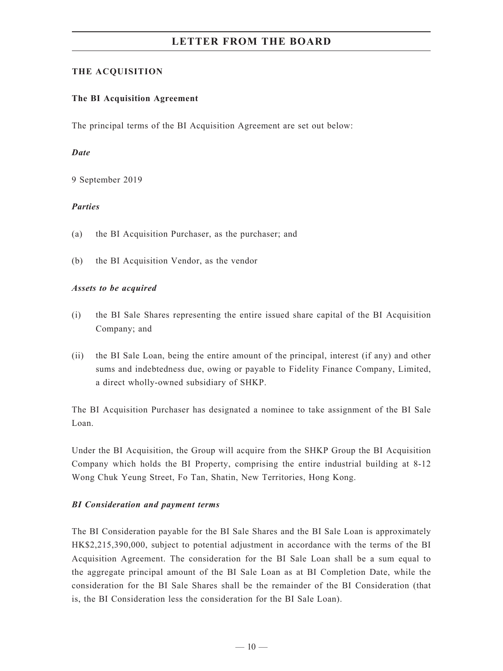## **THE ACQUISITION**

### **The BI Acquisition Agreement**

The principal terms of the BI Acquisition Agreement are set out below:

### *Date*

9 September 2019

### *Parties*

- (a) the BI Acquisition Purchaser, as the purchaser; and
- (b) the BI Acquisition Vendor, as the vendor

### *Assets to be acquired*

- (i) the BI Sale Shares representing the entire issued share capital of the BI Acquisition Company; and
- (ii) the BI Sale Loan, being the entire amount of the principal, interest (if any) and other sums and indebtedness due, owing or payable to Fidelity Finance Company, Limited, a direct wholly-owned subsidiary of SHKP.

The BI Acquisition Purchaser has designated a nominee to take assignment of the BI Sale Loan.

Under the BI Acquisition, the Group will acquire from the SHKP Group the BI Acquisition Company which holds the BI Property, comprising the entire industrial building at 8-12 Wong Chuk Yeung Street, Fo Tan, Shatin, New Territories, Hong Kong.

## *BI Consideration and payment terms*

The BI Consideration payable for the BI Sale Shares and the BI Sale Loan is approximately HK\$2,215,390,000, subject to potential adjustment in accordance with the terms of the BI Acquisition Agreement. The consideration for the BI Sale Loan shall be a sum equal to the aggregate principal amount of the BI Sale Loan as at BI Completion Date, while the consideration for the BI Sale Shares shall be the remainder of the BI Consideration (that is, the BI Consideration less the consideration for the BI Sale Loan).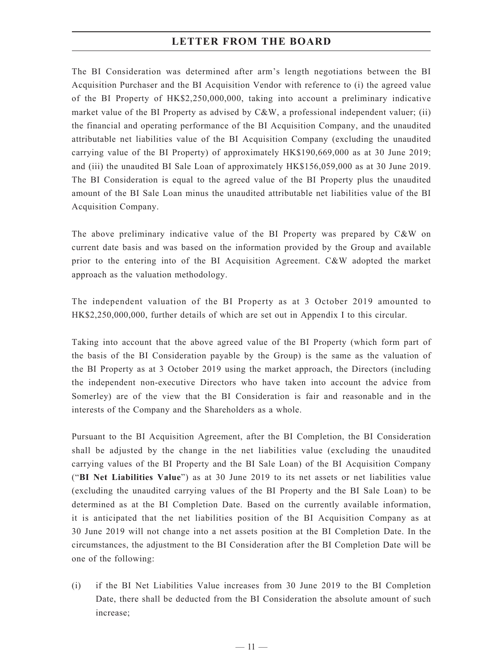The BI Consideration was determined after arm's length negotiations between the BI Acquisition Purchaser and the BI Acquisition Vendor with reference to (i) the agreed value of the BI Property of HK\$2,250,000,000, taking into account a preliminary indicative market value of the BI Property as advised by  $C&W$ , a professional independent valuer; (ii) the financial and operating performance of the BI Acquisition Company, and the unaudited attributable net liabilities value of the BI Acquisition Company (excluding the unaudited carrying value of the BI Property) of approximately HK\$190,669,000 as at 30 June 2019; and (iii) the unaudited BI Sale Loan of approximately HK\$156,059,000 as at 30 June 2019. The BI Consideration is equal to the agreed value of the BI Property plus the unaudited amount of the BI Sale Loan minus the unaudited attributable net liabilities value of the BI Acquisition Company.

The above preliminary indicative value of the BI Property was prepared by C&W on current date basis and was based on the information provided by the Group and available prior to the entering into of the BI Acquisition Agreement. C&W adopted the market approach as the valuation methodology.

The independent valuation of the BI Property as at 3 October 2019 amounted to HK\$2,250,000,000, further details of which are set out in Appendix I to this circular.

Taking into account that the above agreed value of the BI Property (which form part of the basis of the BI Consideration payable by the Group) is the same as the valuation of the BI Property as at 3 October 2019 using the market approach, the Directors (including the independent non-executive Directors who have taken into account the advice from Somerley) are of the view that the BI Consideration is fair and reasonable and in the interests of the Company and the Shareholders as a whole.

Pursuant to the BI Acquisition Agreement, after the BI Completion, the BI Consideration shall be adjusted by the change in the net liabilities value (excluding the unaudited carrying values of the BI Property and the BI Sale Loan) of the BI Acquisition Company ("**BI Net Liabilities Value**") as at 30 June 2019 to its net assets or net liabilities value (excluding the unaudited carrying values of the BI Property and the BI Sale Loan) to be determined as at the BI Completion Date. Based on the currently available information, it is anticipated that the net liabilities position of the BI Acquisition Company as at 30 June 2019 will not change into a net assets position at the BI Completion Date. In the circumstances, the adjustment to the BI Consideration after the BI Completion Date will be one of the following:

(i) if the BI Net Liabilities Value increases from 30 June 2019 to the BI Completion Date, there shall be deducted from the BI Consideration the absolute amount of such increase;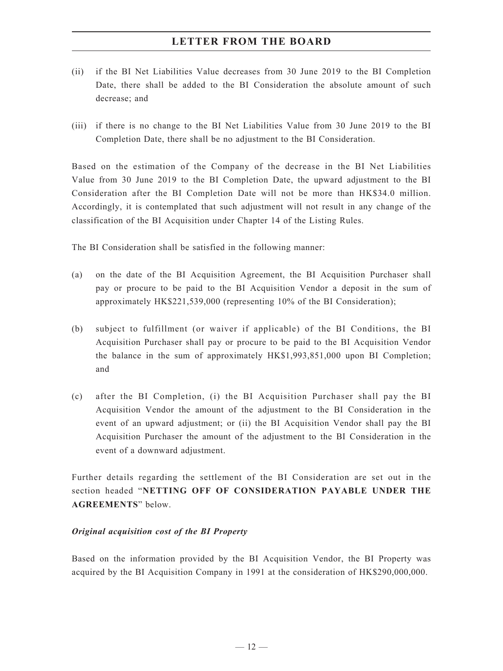- (ii) if the BI Net Liabilities Value decreases from 30 June 2019 to the BI Completion Date, there shall be added to the BI Consideration the absolute amount of such decrease; and
- (iii) if there is no change to the BI Net Liabilities Value from 30 June 2019 to the BI Completion Date, there shall be no adjustment to the BI Consideration.

Based on the estimation of the Company of the decrease in the BI Net Liabilities Value from 30 June 2019 to the BI Completion Date, the upward adjustment to the BI Consideration after the BI Completion Date will not be more than HK\$34.0 million. Accordingly, it is contemplated that such adjustment will not result in any change of the classification of the BI Acquisition under Chapter 14 of the Listing Rules.

The BI Consideration shall be satisfied in the following manner:

- (a) on the date of the BI Acquisition Agreement, the BI Acquisition Purchaser shall pay or procure to be paid to the BI Acquisition Vendor a deposit in the sum of approximately HK\$221,539,000 (representing 10% of the BI Consideration);
- (b) subject to fulfillment (or waiver if applicable) of the BI Conditions, the BI Acquisition Purchaser shall pay or procure to be paid to the BI Acquisition Vendor the balance in the sum of approximately HK\$1,993,851,000 upon BI Completion; and
- (c) after the BI Completion, (i) the BI Acquisition Purchaser shall pay the BI Acquisition Vendor the amount of the adjustment to the BI Consideration in the event of an upward adjustment; or (ii) the BI Acquisition Vendor shall pay the BI Acquisition Purchaser the amount of the adjustment to the BI Consideration in the event of a downward adjustment.

Further details regarding the settlement of the BI Consideration are set out in the section headed "**NETTING OFF OF CONSIDERATION PAYABLE UNDER THE AGREEMENTS**" below.

## *Original acquisition cost of the BI Property*

Based on the information provided by the BI Acquisition Vendor, the BI Property was acquired by the BI Acquisition Company in 1991 at the consideration of HK\$290,000,000.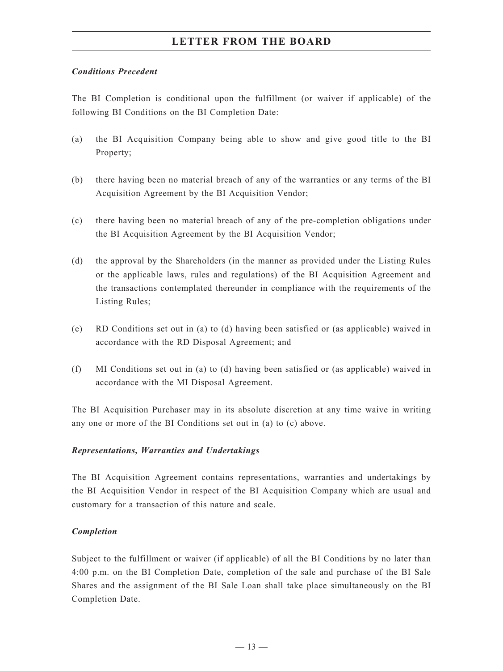### *Conditions Precedent*

The BI Completion is conditional upon the fulfillment (or waiver if applicable) of the following BI Conditions on the BI Completion Date:

- (a) the BI Acquisition Company being able to show and give good title to the BI Property;
- (b) there having been no material breach of any of the warranties or any terms of the BI Acquisition Agreement by the BI Acquisition Vendor;
- (c) there having been no material breach of any of the pre-completion obligations under the BI Acquisition Agreement by the BI Acquisition Vendor;
- (d) the approval by the Shareholders (in the manner as provided under the Listing Rules or the applicable laws, rules and regulations) of the BI Acquisition Agreement and the transactions contemplated thereunder in compliance with the requirements of the Listing Rules;
- (e) RD Conditions set out in (a) to (d) having been satisfied or (as applicable) waived in accordance with the RD Disposal Agreement; and
- (f) MI Conditions set out in (a) to (d) having been satisfied or (as applicable) waived in accordance with the MI Disposal Agreement.

The BI Acquisition Purchaser may in its absolute discretion at any time waive in writing any one or more of the BI Conditions set out in (a) to (c) above.

#### *Representations, Warranties and Undertakings*

The BI Acquisition Agreement contains representations, warranties and undertakings by the BI Acquisition Vendor in respect of the BI Acquisition Company which are usual and customary for a transaction of this nature and scale.

## *Completion*

Subject to the fulfillment or waiver (if applicable) of all the BI Conditions by no later than 4:00 p.m. on the BI Completion Date, completion of the sale and purchase of the BI Sale Shares and the assignment of the BI Sale Loan shall take place simultaneously on the BI Completion Date.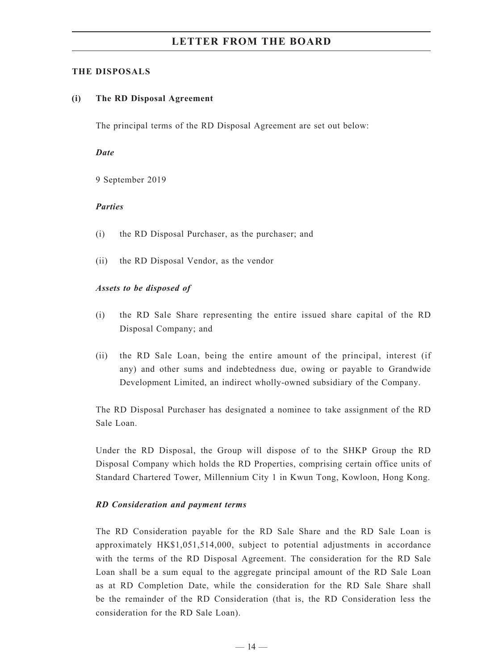#### **THE DISPOSALS**

#### **(i) The RD Disposal Agreement**

The principal terms of the RD Disposal Agreement are set out below:

#### *Date*

9 September 2019

#### *Parties*

- (i) the RD Disposal Purchaser, as the purchaser; and
- (ii) the RD Disposal Vendor, as the vendor

#### *Assets to be disposed of*

- (i) the RD Sale Share representing the entire issued share capital of the RD Disposal Company; and
- (ii) the RD Sale Loan, being the entire amount of the principal, interest (if any) and other sums and indebtedness due, owing or payable to Grandwide Development Limited, an indirect wholly-owned subsidiary of the Company.

The RD Disposal Purchaser has designated a nominee to take assignment of the RD Sale Loan.

Under the RD Disposal, the Group will dispose of to the SHKP Group the RD Disposal Company which holds the RD Properties, comprising certain office units of Standard Chartered Tower, Millennium City 1 in Kwun Tong, Kowloon, Hong Kong.

#### *RD Consideration and payment terms*

The RD Consideration payable for the RD Sale Share and the RD Sale Loan is approximately HK\$1,051,514,000, subject to potential adjustments in accordance with the terms of the RD Disposal Agreement. The consideration for the RD Sale Loan shall be a sum equal to the aggregate principal amount of the RD Sale Loan as at RD Completion Date, while the consideration for the RD Sale Share shall be the remainder of the RD Consideration (that is, the RD Consideration less the consideration for the RD Sale Loan).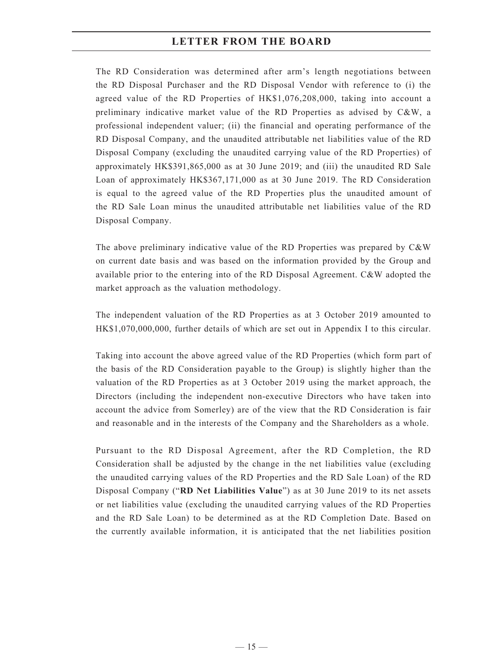The RD Consideration was determined after arm's length negotiations between the RD Disposal Purchaser and the RD Disposal Vendor with reference to (i) the agreed value of the RD Properties of HK\$1,076,208,000, taking into account a preliminary indicative market value of the RD Properties as advised by C&W, a professional independent valuer; (ii) the financial and operating performance of the RD Disposal Company, and the unaudited attributable net liabilities value of the RD Disposal Company (excluding the unaudited carrying value of the RD Properties) of approximately HK\$391,865,000 as at 30 June 2019; and (iii) the unaudited RD Sale Loan of approximately HK\$367,171,000 as at 30 June 2019. The RD Consideration is equal to the agreed value of the RD Properties plus the unaudited amount of the RD Sale Loan minus the unaudited attributable net liabilities value of the RD Disposal Company.

The above preliminary indicative value of the RD Properties was prepared by C&W on current date basis and was based on the information provided by the Group and available prior to the entering into of the RD Disposal Agreement. C&W adopted the market approach as the valuation methodology.

The independent valuation of the RD Properties as at 3 October 2019 amounted to HK\$1,070,000,000, further details of which are set out in Appendix I to this circular.

Taking into account the above agreed value of the RD Properties (which form part of the basis of the RD Consideration payable to the Group) is slightly higher than the valuation of the RD Properties as at 3 October 2019 using the market approach, the Directors (including the independent non-executive Directors who have taken into account the advice from Somerley) are of the view that the RD Consideration is fair and reasonable and in the interests of the Company and the Shareholders as a whole.

Pursuant to the RD Disposal Agreement, after the RD Completion, the RD Consideration shall be adjusted by the change in the net liabilities value (excluding the unaudited carrying values of the RD Properties and the RD Sale Loan) of the RD Disposal Company ("**RD Net Liabilities Value**") as at 30 June 2019 to its net assets or net liabilities value (excluding the unaudited carrying values of the RD Properties and the RD Sale Loan) to be determined as at the RD Completion Date. Based on the currently available information, it is anticipated that the net liabilities position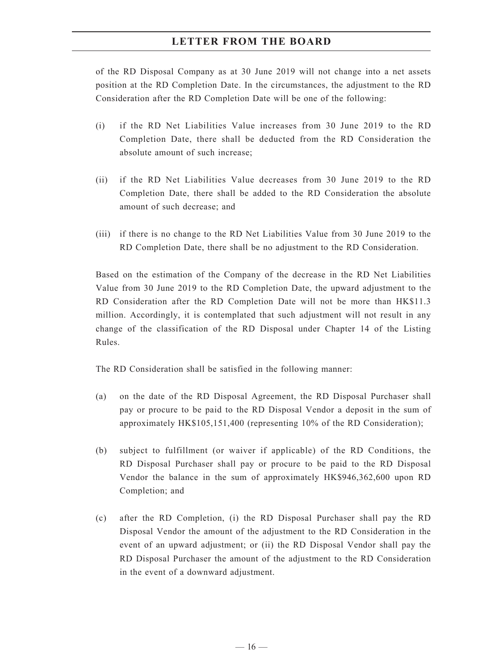of the RD Disposal Company as at 30 June 2019 will not change into a net assets position at the RD Completion Date. In the circumstances, the adjustment to the RD Consideration after the RD Completion Date will be one of the following:

- (i) if the RD Net Liabilities Value increases from 30 June 2019 to the RD Completion Date, there shall be deducted from the RD Consideration the absolute amount of such increase;
- (ii) if the RD Net Liabilities Value decreases from 30 June 2019 to the RD Completion Date, there shall be added to the RD Consideration the absolute amount of such decrease; and
- (iii) if there is no change to the RD Net Liabilities Value from 30 June 2019 to the RD Completion Date, there shall be no adjustment to the RD Consideration.

Based on the estimation of the Company of the decrease in the RD Net Liabilities Value from 30 June 2019 to the RD Completion Date, the upward adjustment to the RD Consideration after the RD Completion Date will not be more than HK\$11.3 million. Accordingly, it is contemplated that such adjustment will not result in any change of the classification of the RD Disposal under Chapter 14 of the Listing Rules.

The RD Consideration shall be satisfied in the following manner:

- (a) on the date of the RD Disposal Agreement, the RD Disposal Purchaser shall pay or procure to be paid to the RD Disposal Vendor a deposit in the sum of approximately HK\$105,151,400 (representing 10% of the RD Consideration);
- (b) subject to fulfillment (or waiver if applicable) of the RD Conditions, the RD Disposal Purchaser shall pay or procure to be paid to the RD Disposal Vendor the balance in the sum of approximately HK\$946,362,600 upon RD Completion; and
- (c) after the RD Completion, (i) the RD Disposal Purchaser shall pay the RD Disposal Vendor the amount of the adjustment to the RD Consideration in the event of an upward adjustment; or (ii) the RD Disposal Vendor shall pay the RD Disposal Purchaser the amount of the adjustment to the RD Consideration in the event of a downward adjustment.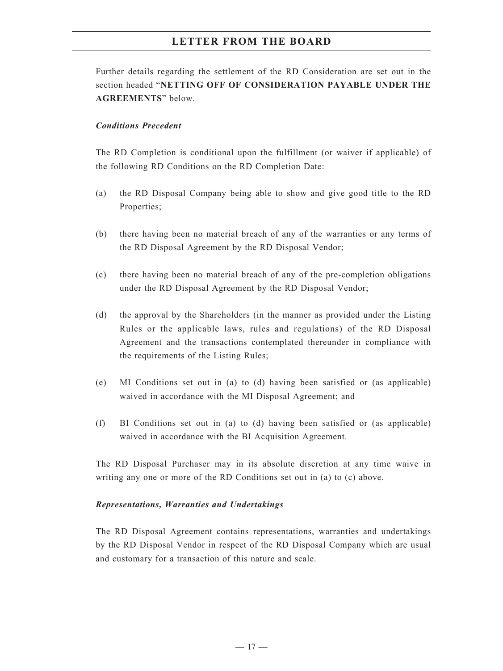Further details regarding the settlement of the RD Consideration are set out in the section headed "**NETTING OFF OF CONSIDERATION PAYABLE UNDER THE AGREEMENTS**" below.

#### *Conditions Precedent*

The RD Completion is conditional upon the fulfillment (or waiver if applicable) of the following RD Conditions on the RD Completion Date:

- (a) the RD Disposal Company being able to show and give good title to the RD Properties;
- (b) there having been no material breach of any of the warranties or any terms of the RD Disposal Agreement by the RD Disposal Vendor;
- (c) there having been no material breach of any of the pre-completion obligations under the RD Disposal Agreement by the RD Disposal Vendor;
- (d) the approval by the Shareholders (in the manner as provided under the Listing Rules or the applicable laws, rules and regulations) of the RD Disposal Agreement and the transactions contemplated thereunder in compliance with the requirements of the Listing Rules;
- (e) MI Conditions set out in (a) to (d) having been satisfied or (as applicable) waived in accordance with the MI Disposal Agreement; and
- (f) BI Conditions set out in (a) to (d) having been satisfied or (as applicable) waived in accordance with the BI Acquisition Agreement.

The RD Disposal Purchaser may in its absolute discretion at any time waive in writing any one or more of the RD Conditions set out in (a) to (c) above.

#### *Representations, Warranties and Undertakings*

The RD Disposal Agreement contains representations, warranties and undertakings by the RD Disposal Vendor in respect of the RD Disposal Company which are usual and customary for a transaction of this nature and scale.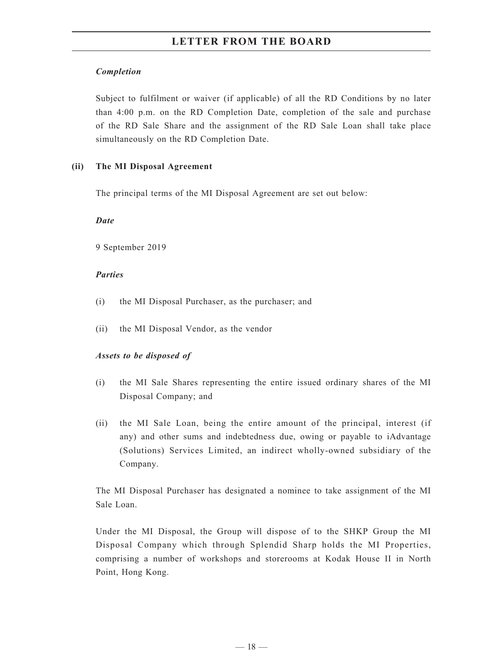## *Completion*

Subject to fulfilment or waiver (if applicable) of all the RD Conditions by no later than 4:00 p.m. on the RD Completion Date, completion of the sale and purchase of the RD Sale Share and the assignment of the RD Sale Loan shall take place simultaneously on the RD Completion Date.

## **(ii) The MI Disposal Agreement**

The principal terms of the MI Disposal Agreement are set out below:

## *Date*

9 September 2019

## *Parties*

- (i) the MI Disposal Purchaser, as the purchaser; and
- (ii) the MI Disposal Vendor, as the vendor

## *Assets to be disposed of*

- (i) the MI Sale Shares representing the entire issued ordinary shares of the MI Disposal Company; and
- (ii) the MI Sale Loan, being the entire amount of the principal, interest (if any) and other sums and indebtedness due, owing or payable to iAdvantage (Solutions) Services Limited, an indirect wholly-owned subsidiary of the Company.

The MI Disposal Purchaser has designated a nominee to take assignment of the MI Sale Loan.

Under the MI Disposal, the Group will dispose of to the SHKP Group the MI Disposal Company which through Splendid Sharp holds the MI Properties, comprising a number of workshops and storerooms at Kodak House II in North Point, Hong Kong.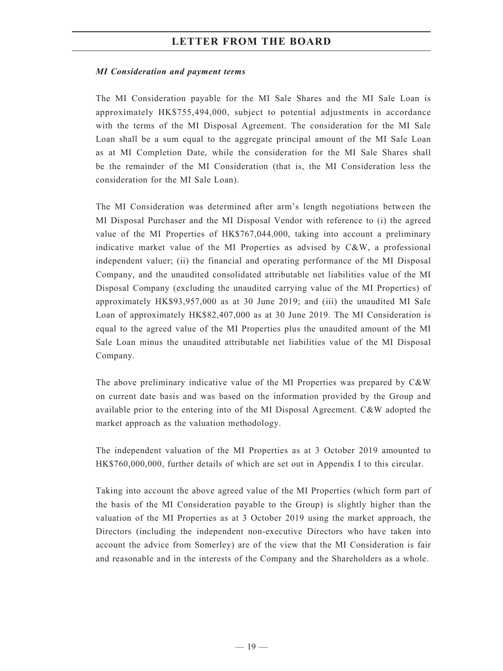#### *MI Consideration and payment terms*

The MI Consideration payable for the MI Sale Shares and the MI Sale Loan is approximately HK\$755,494,000, subject to potential adjustments in accordance with the terms of the MI Disposal Agreement. The consideration for the MI Sale Loan shall be a sum equal to the aggregate principal amount of the MI Sale Loan as at MI Completion Date, while the consideration for the MI Sale Shares shall be the remainder of the MI Consideration (that is, the MI Consideration less the consideration for the MI Sale Loan).

The MI Consideration was determined after arm's length negotiations between the MI Disposal Purchaser and the MI Disposal Vendor with reference to (i) the agreed value of the MI Properties of HK\$767,044,000, taking into account a preliminary indicative market value of the MI Properties as advised by C&W, a professional independent valuer; (ii) the financial and operating performance of the MI Disposal Company, and the unaudited consolidated attributable net liabilities value of the MI Disposal Company (excluding the unaudited carrying value of the MI Properties) of approximately HK\$93,957,000 as at 30 June 2019; and (iii) the unaudited MI Sale Loan of approximately HK\$82,407,000 as at 30 June 2019. The MI Consideration is equal to the agreed value of the MI Properties plus the unaudited amount of the MI Sale Loan minus the unaudited attributable net liabilities value of the MI Disposal Company.

The above preliminary indicative value of the MI Properties was prepared by C&W on current date basis and was based on the information provided by the Group and available prior to the entering into of the MI Disposal Agreement. C&W adopted the market approach as the valuation methodology.

The independent valuation of the MI Properties as at 3 October 2019 amounted to HK\$760,000,000, further details of which are set out in Appendix I to this circular.

Taking into account the above agreed value of the MI Properties (which form part of the basis of the MI Consideration payable to the Group) is slightly higher than the valuation of the MI Properties as at 3 October 2019 using the market approach, the Directors (including the independent non-executive Directors who have taken into account the advice from Somerley) are of the view that the MI Consideration is fair and reasonable and in the interests of the Company and the Shareholders as a whole.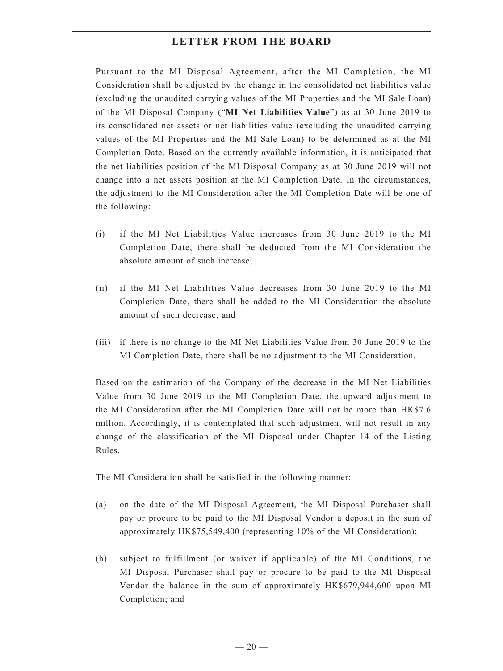Pursuant to the MI Disposal Agreement, after the MI Completion, the MI Consideration shall be adjusted by the change in the consolidated net liabilities value (excluding the unaudited carrying values of the MI Properties and the MI Sale Loan) of the MI Disposal Company ("**MI Net Liabilities Value**") as at 30 June 2019 to its consolidated net assets or net liabilities value (excluding the unaudited carrying values of the MI Properties and the MI Sale Loan) to be determined as at the MI Completion Date. Based on the currently available information, it is anticipated that the net liabilities position of the MI Disposal Company as at 30 June 2019 will not change into a net assets position at the MI Completion Date. In the circumstances, the adjustment to the MI Consideration after the MI Completion Date will be one of the following:

- (i) if the MI Net Liabilities Value increases from 30 June 2019 to the MI Completion Date, there shall be deducted from the MI Consideration the absolute amount of such increase;
- (ii) if the MI Net Liabilities Value decreases from 30 June 2019 to the MI Completion Date, there shall be added to the MI Consideration the absolute amount of such decrease; and
- (iii) if there is no change to the MI Net Liabilities Value from 30 June 2019 to the MI Completion Date, there shall be no adjustment to the MI Consideration.

Based on the estimation of the Company of the decrease in the MI Net Liabilities Value from 30 June 2019 to the MI Completion Date, the upward adjustment to the MI Consideration after the MI Completion Date will not be more than HK\$7.6 million. Accordingly, it is contemplated that such adjustment will not result in any change of the classification of the MI Disposal under Chapter 14 of the Listing Rules.

The MI Consideration shall be satisfied in the following manner:

- (a) on the date of the MI Disposal Agreement, the MI Disposal Purchaser shall pay or procure to be paid to the MI Disposal Vendor a deposit in the sum of approximately HK\$75,549,400 (representing 10% of the MI Consideration);
- (b) subject to fulfillment (or waiver if applicable) of the MI Conditions, the MI Disposal Purchaser shall pay or procure to be paid to the MI Disposal Vendor the balance in the sum of approximately HK\$679,944,600 upon MI Completion; and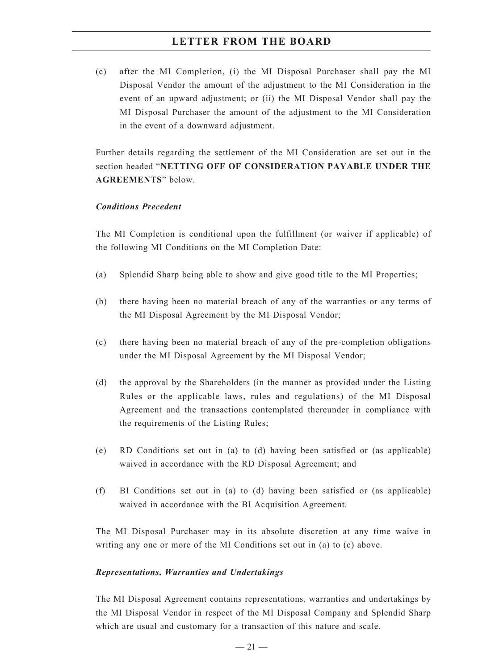(c) after the MI Completion, (i) the MI Disposal Purchaser shall pay the MI Disposal Vendor the amount of the adjustment to the MI Consideration in the event of an upward adjustment; or (ii) the MI Disposal Vendor shall pay the MI Disposal Purchaser the amount of the adjustment to the MI Consideration in the event of a downward adjustment.

Further details regarding the settlement of the MI Consideration are set out in the section headed "**NETTING OFF OF CONSIDERATION PAYABLE UNDER THE AGREEMENTS**" below.

### *Conditions Precedent*

The MI Completion is conditional upon the fulfillment (or waiver if applicable) of the following MI Conditions on the MI Completion Date:

- (a) Splendid Sharp being able to show and give good title to the MI Properties;
- (b) there having been no material breach of any of the warranties or any terms of the MI Disposal Agreement by the MI Disposal Vendor;
- (c) there having been no material breach of any of the pre-completion obligations under the MI Disposal Agreement by the MI Disposal Vendor;
- (d) the approval by the Shareholders (in the manner as provided under the Listing Rules or the applicable laws, rules and regulations) of the MI Disposal Agreement and the transactions contemplated thereunder in compliance with the requirements of the Listing Rules;
- (e) RD Conditions set out in (a) to (d) having been satisfied or (as applicable) waived in accordance with the RD Disposal Agreement; and
- (f) BI Conditions set out in (a) to (d) having been satisfied or (as applicable) waived in accordance with the BI Acquisition Agreement.

The MI Disposal Purchaser may in its absolute discretion at any time waive in writing any one or more of the MI Conditions set out in (a) to (c) above.

## *Representations, Warranties and Undertakings*

The MI Disposal Agreement contains representations, warranties and undertakings by the MI Disposal Vendor in respect of the MI Disposal Company and Splendid Sharp which are usual and customary for a transaction of this nature and scale.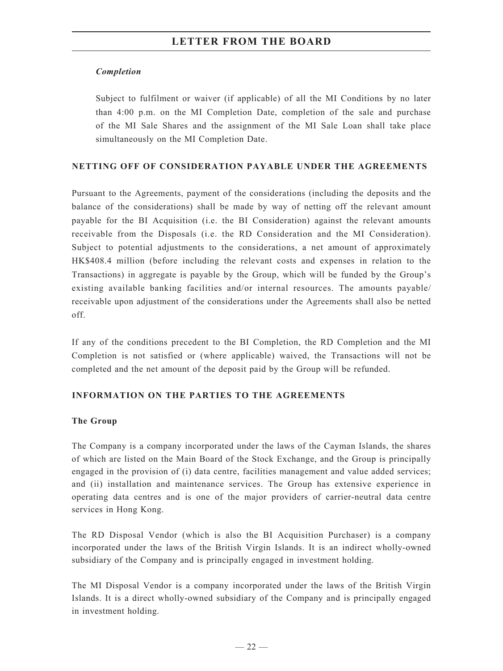## *Completion*

Subject to fulfilment or waiver (if applicable) of all the MI Conditions by no later than 4:00 p.m. on the MI Completion Date, completion of the sale and purchase of the MI Sale Shares and the assignment of the MI Sale Loan shall take place simultaneously on the MI Completion Date.

## **NETTING OFF OF CONSIDERATION PAYABLE UNDER THE AGREEMENTS**

Pursuant to the Agreements, payment of the considerations (including the deposits and the balance of the considerations) shall be made by way of netting off the relevant amount payable for the BI Acquisition (i.e. the BI Consideration) against the relevant amounts receivable from the Disposals (i.e. the RD Consideration and the MI Consideration). Subject to potential adjustments to the considerations, a net amount of approximately HK\$408.4 million (before including the relevant costs and expenses in relation to the Transactions) in aggregate is payable by the Group, which will be funded by the Group's existing available banking facilities and/or internal resources. The amounts payable/ receivable upon adjustment of the considerations under the Agreements shall also be netted off.

If any of the conditions precedent to the BI Completion, the RD Completion and the MI Completion is not satisfied or (where applicable) waived, the Transactions will not be completed and the net amount of the deposit paid by the Group will be refunded.

## **INFORMATION ON THE PARTIES TO THE AGREEMENTS**

## **The Group**

The Company is a company incorporated under the laws of the Cayman Islands, the shares of which are listed on the Main Board of the Stock Exchange, and the Group is principally engaged in the provision of (i) data centre, facilities management and value added services; and (ii) installation and maintenance services. The Group has extensive experience in operating data centres and is one of the major providers of carrier-neutral data centre services in Hong Kong.

The RD Disposal Vendor (which is also the BI Acquisition Purchaser) is a company incorporated under the laws of the British Virgin Islands. It is an indirect wholly-owned subsidiary of the Company and is principally engaged in investment holding.

The MI Disposal Vendor is a company incorporated under the laws of the British Virgin Islands. It is a direct wholly-owned subsidiary of the Company and is principally engaged in investment holding.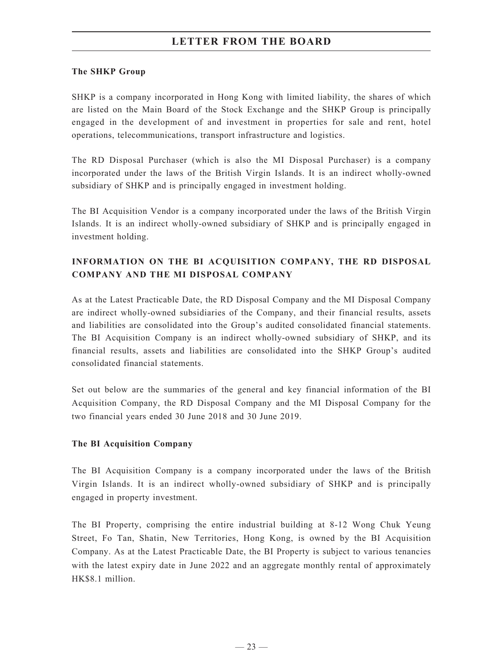## **The SHKP Group**

SHKP is a company incorporated in Hong Kong with limited liability, the shares of which are listed on the Main Board of the Stock Exchange and the SHKP Group is principally engaged in the development of and investment in properties for sale and rent, hotel operations, telecommunications, transport infrastructure and logistics.

The RD Disposal Purchaser (which is also the MI Disposal Purchaser) is a company incorporated under the laws of the British Virgin Islands. It is an indirect wholly-owned subsidiary of SHKP and is principally engaged in investment holding.

The BI Acquisition Vendor is a company incorporated under the laws of the British Virgin Islands. It is an indirect wholly-owned subsidiary of SHKP and is principally engaged in investment holding.

# **INFORMATION ON THE BI ACQUISITION COMPANY, THE RD DISPOSAL COMPANY AND THE MI DISPOSAL COMPANY**

As at the Latest Practicable Date, the RD Disposal Company and the MI Disposal Company are indirect wholly-owned subsidiaries of the Company, and their financial results, assets and liabilities are consolidated into the Group's audited consolidated financial statements. The BI Acquisition Company is an indirect wholly-owned subsidiary of SHKP, and its financial results, assets and liabilities are consolidated into the SHKP Group's audited consolidated financial statements.

Set out below are the summaries of the general and key financial information of the BI Acquisition Company, the RD Disposal Company and the MI Disposal Company for the two financial years ended 30 June 2018 and 30 June 2019.

## **The BI Acquisition Company**

The BI Acquisition Company is a company incorporated under the laws of the British Virgin Islands. It is an indirect wholly-owned subsidiary of SHKP and is principally engaged in property investment.

The BI Property, comprising the entire industrial building at 8-12 Wong Chuk Yeung Street, Fo Tan, Shatin, New Territories, Hong Kong, is owned by the BI Acquisition Company. As at the Latest Practicable Date, the BI Property is subject to various tenancies with the latest expiry date in June 2022 and an aggregate monthly rental of approximately HK\$8.1 million.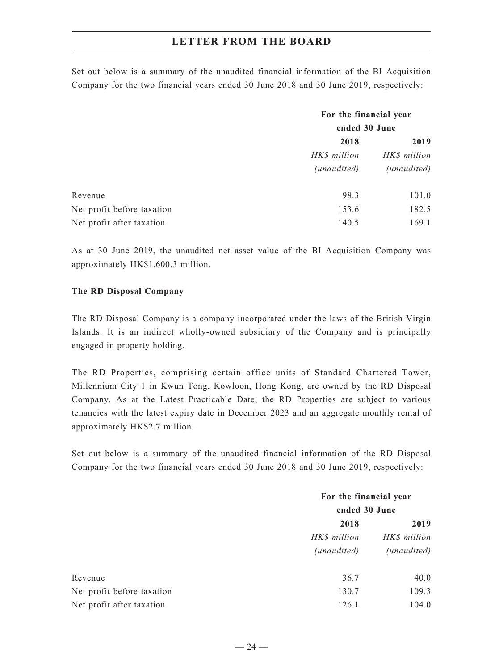Set out below is a summary of the unaudited financial information of the BI Acquisition Company for the two financial years ended 30 June 2018 and 30 June 2019, respectively:

|                            | For the financial year<br>ended 30 June |                             |
|----------------------------|-----------------------------------------|-----------------------------|
|                            | 2018                                    | 2019                        |
|                            | HK\$ million<br>(unaudited)             | HK\$ million<br>(unaudited) |
|                            |                                         |                             |
| Revenue                    | 98.3                                    | 101.0                       |
| Net profit before taxation | 153.6                                   | 182.5                       |
| Net profit after taxation  | 140.5                                   | 169.1                       |

As at 30 June 2019, the unaudited net asset value of the BI Acquisition Company was approximately HK\$1,600.3 million.

### **The RD Disposal Company**

The RD Disposal Company is a company incorporated under the laws of the British Virgin Islands. It is an indirect wholly-owned subsidiary of the Company and is principally engaged in property holding.

The RD Properties, comprising certain office units of Standard Chartered Tower, Millennium City 1 in Kwun Tong, Kowloon, Hong Kong, are owned by the RD Disposal Company. As at the Latest Practicable Date, the RD Properties are subject to various tenancies with the latest expiry date in December 2023 and an aggregate monthly rental of approximately HK\$2.7 million.

Set out below is a summary of the unaudited financial information of the RD Disposal Company for the two financial years ended 30 June 2018 and 30 June 2019, respectively:

|                            | For the financial year<br>ended 30 June |              |
|----------------------------|-----------------------------------------|--------------|
|                            |                                         |              |
|                            | 2018                                    | 2019         |
|                            | HK\$ million                            | HK\$ million |
|                            | (unaudited)                             | (unaudited)  |
| Revenue                    | 36.7                                    | 40.0         |
| Net profit before taxation | 130.7                                   | 109.3        |
| Net profit after taxation  | 126.1                                   | 104.0        |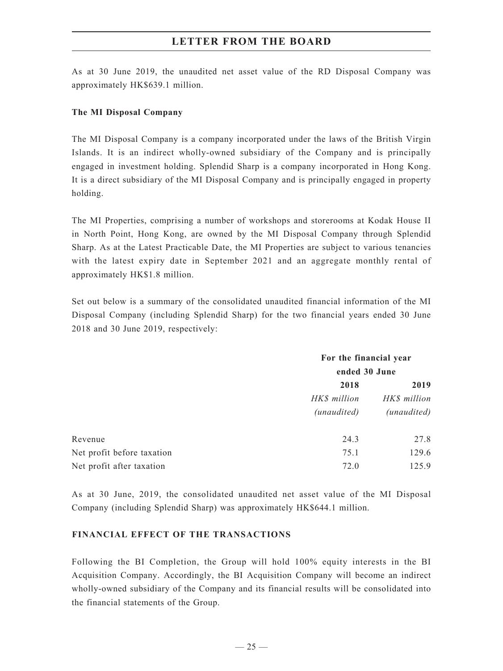As at 30 June 2019, the unaudited net asset value of the RD Disposal Company was approximately HK\$639.1 million.

### **The MI Disposal Company**

The MI Disposal Company is a company incorporated under the laws of the British Virgin Islands. It is an indirect wholly-owned subsidiary of the Company and is principally engaged in investment holding. Splendid Sharp is a company incorporated in Hong Kong. It is a direct subsidiary of the MI Disposal Company and is principally engaged in property holding.

The MI Properties, comprising a number of workshops and storerooms at Kodak House II in North Point, Hong Kong, are owned by the MI Disposal Company through Splendid Sharp. As at the Latest Practicable Date, the MI Properties are subject to various tenancies with the latest expiry date in September 2021 and an aggregate monthly rental of approximately HK\$1.8 million.

Set out below is a summary of the consolidated unaudited financial information of the MI Disposal Company (including Splendid Sharp) for the two financial years ended 30 June 2018 and 30 June 2019, respectively:

|                            | For the financial year |               |  |
|----------------------------|------------------------|---------------|--|
|                            |                        | ended 30 June |  |
|                            | 2018                   | 2019          |  |
|                            | HK\$ million           | HK\$ million  |  |
|                            | (unaudited)            | (unaudited)   |  |
| Revenue                    | 24.3                   | 27.8          |  |
| Net profit before taxation | 75.1                   | 129.6         |  |
| Net profit after taxation  | 72.0                   | 125.9         |  |

As at 30 June, 2019, the consolidated unaudited net asset value of the MI Disposal Company (including Splendid Sharp) was approximately HK\$644.1 million.

#### **FINANCIAL EFFECT OF THE TRANSACTIONS**

Following the BI Completion, the Group will hold 100% equity interests in the BI Acquisition Company. Accordingly, the BI Acquisition Company will become an indirect wholly-owned subsidiary of the Company and its financial results will be consolidated into the financial statements of the Group.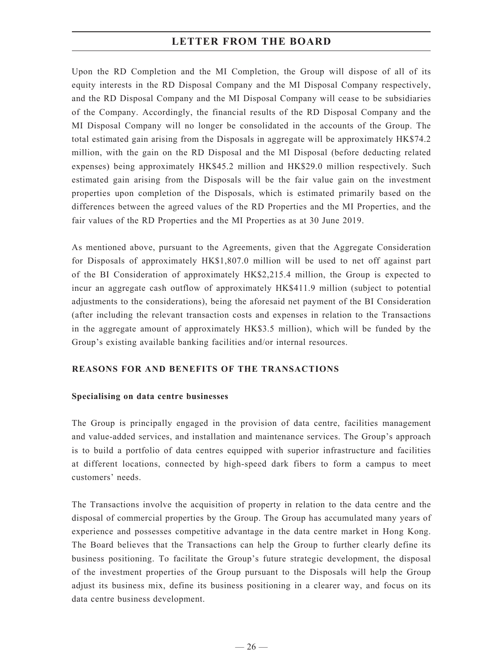Upon the RD Completion and the MI Completion, the Group will dispose of all of its equity interests in the RD Disposal Company and the MI Disposal Company respectively, and the RD Disposal Company and the MI Disposal Company will cease to be subsidiaries of the Company. Accordingly, the financial results of the RD Disposal Company and the MI Disposal Company will no longer be consolidated in the accounts of the Group. The total estimated gain arising from the Disposals in aggregate will be approximately HK\$74.2 million, with the gain on the RD Disposal and the MI Disposal (before deducting related expenses) being approximately HK\$45.2 million and HK\$29.0 million respectively. Such estimated gain arising from the Disposals will be the fair value gain on the investment properties upon completion of the Disposals, which is estimated primarily based on the differences between the agreed values of the RD Properties and the MI Properties, and the fair values of the RD Properties and the MI Properties as at 30 June 2019.

As mentioned above, pursuant to the Agreements, given that the Aggregate Consideration for Disposals of approximately HK\$1,807.0 million will be used to net off against part of the BI Consideration of approximately HK\$2,215.4 million, the Group is expected to incur an aggregate cash outflow of approximately HK\$411.9 million (subject to potential adjustments to the considerations), being the aforesaid net payment of the BI Consideration (after including the relevant transaction costs and expenses in relation to the Transactions in the aggregate amount of approximately HK\$3.5 million), which will be funded by the Group's existing available banking facilities and/or internal resources.

## **REASONS FOR AND BENEFITS OF THE TRANSACTIONS**

## **Specialising on data centre businesses**

The Group is principally engaged in the provision of data centre, facilities management and value-added services, and installation and maintenance services. The Group's approach is to build a portfolio of data centres equipped with superior infrastructure and facilities at different locations, connected by high-speed dark fibers to form a campus to meet customers' needs.

The Transactions involve the acquisition of property in relation to the data centre and the disposal of commercial properties by the Group. The Group has accumulated many years of experience and possesses competitive advantage in the data centre market in Hong Kong. The Board believes that the Transactions can help the Group to further clearly define its business positioning. To facilitate the Group's future strategic development, the disposal of the investment properties of the Group pursuant to the Disposals will help the Group adjust its business mix, define its business positioning in a clearer way, and focus on its data centre business development.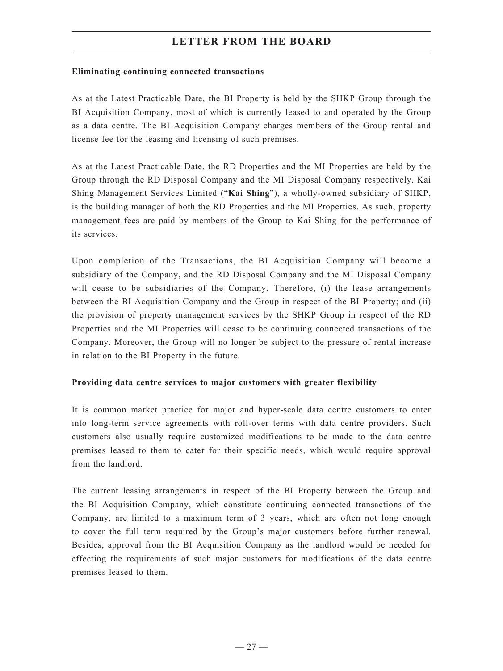### **Eliminating continuing connected transactions**

As at the Latest Practicable Date, the BI Property is held by the SHKP Group through the BI Acquisition Company, most of which is currently leased to and operated by the Group as a data centre. The BI Acquisition Company charges members of the Group rental and license fee for the leasing and licensing of such premises.

As at the Latest Practicable Date, the RD Properties and the MI Properties are held by the Group through the RD Disposal Company and the MI Disposal Company respectively. Kai Shing Management Services Limited ("**Kai Shing**"), a wholly-owned subsidiary of SHKP, is the building manager of both the RD Properties and the MI Properties. As such, property management fees are paid by members of the Group to Kai Shing for the performance of its services.

Upon completion of the Transactions, the BI Acquisition Company will become a subsidiary of the Company, and the RD Disposal Company and the MI Disposal Company will cease to be subsidiaries of the Company. Therefore, (i) the lease arrangements between the BI Acquisition Company and the Group in respect of the BI Property; and (ii) the provision of property management services by the SHKP Group in respect of the RD Properties and the MI Properties will cease to be continuing connected transactions of the Company. Moreover, the Group will no longer be subject to the pressure of rental increase in relation to the BI Property in the future.

## **Providing data centre services to major customers with greater flexibility**

It is common market practice for major and hyper-scale data centre customers to enter into long-term service agreements with roll-over terms with data centre providers. Such customers also usually require customized modifications to be made to the data centre premises leased to them to cater for their specific needs, which would require approval from the landlord.

The current leasing arrangements in respect of the BI Property between the Group and the BI Acquisition Company, which constitute continuing connected transactions of the Company, are limited to a maximum term of 3 years, which are often not long enough to cover the full term required by the Group's major customers before further renewal. Besides, approval from the BI Acquisition Company as the landlord would be needed for effecting the requirements of such major customers for modifications of the data centre premises leased to them.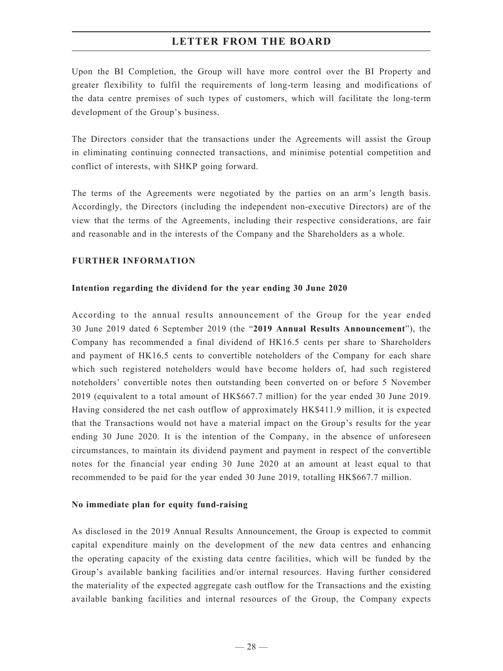Upon the BI Completion, the Group will have more control over the BI Property and greater flexibility to fulfil the requirements of long-term leasing and modifications of the data centre premises of such types of customers, which will facilitate the long-term development of the Group's business.

The Directors consider that the transactions under the Agreements will assist the Group in eliminating continuing connected transactions, and minimise potential competition and conflict of interests, with SHKP going forward.

The terms of the Agreements were negotiated by the parties on an arm's length basis. Accordingly, the Directors (including the independent non-executive Directors) are of the view that the terms of the Agreements, including their respective considerations, are fair and reasonable and in the interests of the Company and the Shareholders as a whole.

## **FURTHER INFORMATION**

## **Intention regarding the dividend for the year ending 30 June 2020**

According to the annual results announcement of the Group for the year ended 30 June 2019 dated 6 September 2019 (the "**2019 Annual Results Announcement**"), the Company has recommended a final dividend of HK16.5 cents per share to Shareholders and payment of HK16.5 cents to convertible noteholders of the Company for each share which such registered noteholders would have become holders of, had such registered noteholders' convertible notes then outstanding been converted on or before 5 November 2019 (equivalent to a total amount of HK\$667.7 million) for the year ended 30 June 2019. Having considered the net cash outflow of approximately HK\$411.9 million, it is expected that the Transactions would not have a material impact on the Group's results for the year ending 30 June 2020. It is the intention of the Company, in the absence of unforeseen circumstances, to maintain its dividend payment and payment in respect of the convertible notes for the financial year ending 30 June 2020 at an amount at least equal to that recommended to be paid for the year ended 30 June 2019, totalling HK\$667.7 million.

#### **No immediate plan for equity fund-raising**

As disclosed in the 2019 Annual Results Announcement, the Group is expected to commit capital expenditure mainly on the development of the new data centres and enhancing the operating capacity of the existing data centre facilities, which will be funded by the Group's available banking facilities and/or internal resources. Having further considered the materiality of the expected aggregate cash outflow for the Transactions and the existing available banking facilities and internal resources of the Group, the Company expects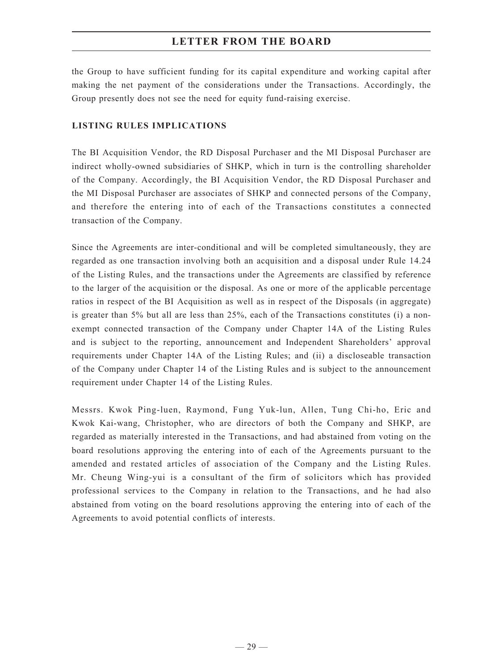the Group to have sufficient funding for its capital expenditure and working capital after making the net payment of the considerations under the Transactions. Accordingly, the Group presently does not see the need for equity fund-raising exercise.

### **LISTING RULES IMPLICATIONS**

The BI Acquisition Vendor, the RD Disposal Purchaser and the MI Disposal Purchaser are indirect wholly-owned subsidiaries of SHKP, which in turn is the controlling shareholder of the Company. Accordingly, the BI Acquisition Vendor, the RD Disposal Purchaser and the MI Disposal Purchaser are associates of SHKP and connected persons of the Company, and therefore the entering into of each of the Transactions constitutes a connected transaction of the Company.

Since the Agreements are inter-conditional and will be completed simultaneously, they are regarded as one transaction involving both an acquisition and a disposal under Rule 14.24 of the Listing Rules, and the transactions under the Agreements are classified by reference to the larger of the acquisition or the disposal. As one or more of the applicable percentage ratios in respect of the BI Acquisition as well as in respect of the Disposals (in aggregate) is greater than 5% but all are less than 25%, each of the Transactions constitutes (i) a nonexempt connected transaction of the Company under Chapter 14A of the Listing Rules and is subject to the reporting, announcement and Independent Shareholders' approval requirements under Chapter 14A of the Listing Rules; and (ii) a discloseable transaction of the Company under Chapter 14 of the Listing Rules and is subject to the announcement requirement under Chapter 14 of the Listing Rules.

Messrs. Kwok Ping-luen, Raymond, Fung Yuk-lun, Allen, Tung Chi-ho, Eric and Kwok Kai-wang, Christopher, who are directors of both the Company and SHKP, are regarded as materially interested in the Transactions, and had abstained from voting on the board resolutions approving the entering into of each of the Agreements pursuant to the amended and restated articles of association of the Company and the Listing Rules. Mr. Cheung Wing-yui is a consultant of the firm of solicitors which has provided professional services to the Company in relation to the Transactions, and he had also abstained from voting on the board resolutions approving the entering into of each of the Agreements to avoid potential conflicts of interests.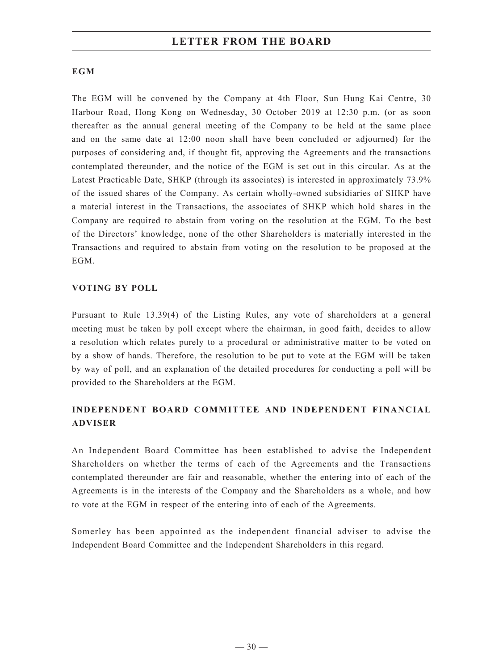## **EGM**

The EGM will be convened by the Company at 4th Floor, Sun Hung Kai Centre, 30 Harbour Road, Hong Kong on Wednesday, 30 October 2019 at 12:30 p.m. (or as soon thereafter as the annual general meeting of the Company to be held at the same place and on the same date at 12:00 noon shall have been concluded or adjourned) for the purposes of considering and, if thought fit, approving the Agreements and the transactions contemplated thereunder, and the notice of the EGM is set out in this circular. As at the Latest Practicable Date, SHKP (through its associates) is interested in approximately 73.9% of the issued shares of the Company. As certain wholly-owned subsidiaries of SHKP have a material interest in the Transactions, the associates of SHKP which hold shares in the Company are required to abstain from voting on the resolution at the EGM. To the best of the Directors' knowledge, none of the other Shareholders is materially interested in the Transactions and required to abstain from voting on the resolution to be proposed at the EGM.

## **VOTING BY POLL**

Pursuant to Rule 13.39(4) of the Listing Rules, any vote of shareholders at a general meeting must be taken by poll except where the chairman, in good faith, decides to allow a resolution which relates purely to a procedural or administrative matter to be voted on by a show of hands. Therefore, the resolution to be put to vote at the EGM will be taken by way of poll, and an explanation of the detailed procedures for conducting a poll will be provided to the Shareholders at the EGM.

# **INDEPENDENT BOARD COMMITTEE AND INDEPENDENT FINANCIAL ADVISER**

An Independent Board Committee has been established to advise the Independent Shareholders on whether the terms of each of the Agreements and the Transactions contemplated thereunder are fair and reasonable, whether the entering into of each of the Agreements is in the interests of the Company and the Shareholders as a whole, and how to vote at the EGM in respect of the entering into of each of the Agreements.

Somerley has been appointed as the independent financial adviser to advise the Independent Board Committee and the Independent Shareholders in this regard.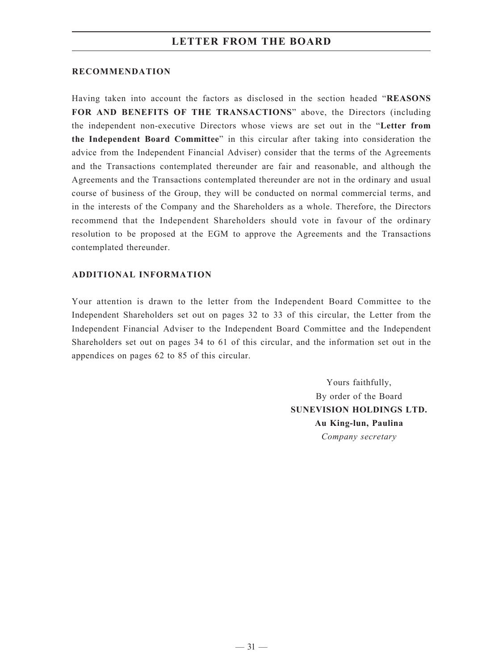#### **RECOMMENDATION**

Having taken into account the factors as disclosed in the section headed "**REASONS FOR AND BENEFITS OF THE TRANSACTIONS**" above, the Directors (including the independent non-executive Directors whose views are set out in the "**Letter from the Independent Board Committee**" in this circular after taking into consideration the advice from the Independent Financial Adviser) consider that the terms of the Agreements and the Transactions contemplated thereunder are fair and reasonable, and although the Agreements and the Transactions contemplated thereunder are not in the ordinary and usual course of business of the Group, they will be conducted on normal commercial terms, and in the interests of the Company and the Shareholders as a whole. Therefore, the Directors recommend that the Independent Shareholders should vote in favour of the ordinary resolution to be proposed at the EGM to approve the Agreements and the Transactions contemplated thereunder.

#### **ADDITIONAL INFORMATION**

Your attention is drawn to the letter from the Independent Board Committee to the Independent Shareholders set out on pages 32 to 33 of this circular, the Letter from the Independent Financial Adviser to the Independent Board Committee and the Independent Shareholders set out on pages 34 to 61 of this circular, and the information set out in the appendices on pages 62 to 85 of this circular.

> Yours faithfully, By order of the Board **SUNEVISION HOLDINGS LTD. Au King-lun, Paulina** *Company secretary*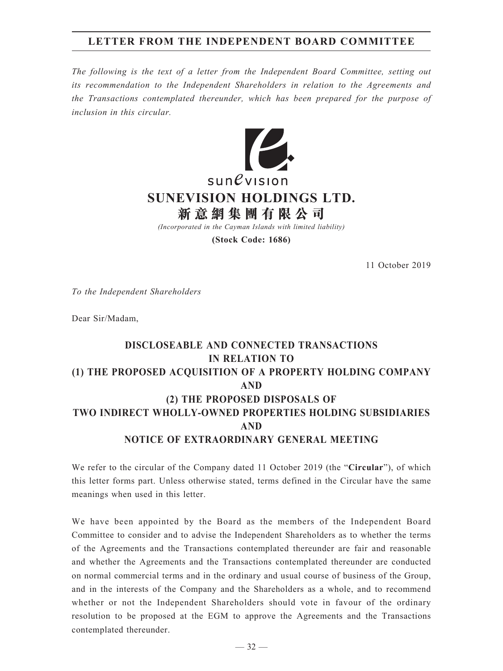# **LETTER FROM THE INDEPENDENT BOARD COMMITTEE**

*The following is the text of a letter from the Independent Board Committee, setting out its recommendation to the Independent Shareholders in relation to the Agreements and the Transactions contemplated thereunder, which has been prepared for the purpose of inclusion in this circular.*



**(Stock Code: 1686)**

11 October 2019

*To the Independent Shareholders*

Dear Sir/Madam,

# **DISCLOSEABLE AND CONNECTED TRANSACTIONS IN RELATION TO (1) THE PROPOSED ACQUISITION OF A PROPERTY HOLDING COMPANY AND (2) THE PROPOSED DISPOSALS OF TWO INDIRECT WHOLLY-OWNED PROPERTIES HOLDING SUBSIDIARIES AND NOTICE OF EXTRAORDINARY GENERAL MEETING**

We refer to the circular of the Company dated 11 October 2019 (the "**Circular**"), of which this letter forms part. Unless otherwise stated, terms defined in the Circular have the same meanings when used in this letter.

We have been appointed by the Board as the members of the Independent Board Committee to consider and to advise the Independent Shareholders as to whether the terms of the Agreements and the Transactions contemplated thereunder are fair and reasonable and whether the Agreements and the Transactions contemplated thereunder are conducted on normal commercial terms and in the ordinary and usual course of business of the Group, and in the interests of the Company and the Shareholders as a whole, and to recommend whether or not the Independent Shareholders should vote in favour of the ordinary resolution to be proposed at the EGM to approve the Agreements and the Transactions contemplated thereunder.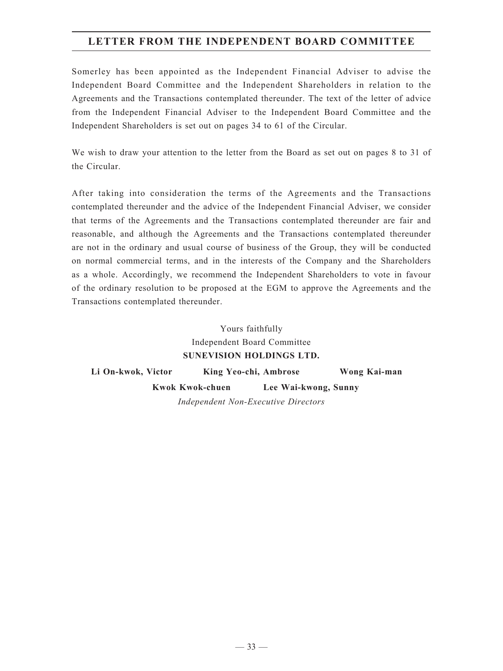# **LETTER FROM THE INDEPENDENT BOARD COMMITTEE**

Somerley has been appointed as the Independent Financial Adviser to advise the Independent Board Committee and the Independent Shareholders in relation to the Agreements and the Transactions contemplated thereunder. The text of the letter of advice from the Independent Financial Adviser to the Independent Board Committee and the Independent Shareholders is set out on pages 34 to 61 of the Circular.

We wish to draw your attention to the letter from the Board as set out on pages 8 to 31 of the Circular.

After taking into consideration the terms of the Agreements and the Transactions contemplated thereunder and the advice of the Independent Financial Adviser, we consider that terms of the Agreements and the Transactions contemplated thereunder are fair and reasonable, and although the Agreements and the Transactions contemplated thereunder are not in the ordinary and usual course of business of the Group, they will be conducted on normal commercial terms, and in the interests of the Company and the Shareholders as a whole. Accordingly, we recommend the Independent Shareholders to vote in favour of the ordinary resolution to be proposed at the EGM to approve the Agreements and the Transactions contemplated thereunder.

> Yours faithfully Independent Board Committee **SUNEVISION HOLDINGS LTD.**

**Li On-kwok, Victor King Yeo-chi, Ambrose Wong Kai-man Kwok Kwok-chuen Lee Wai-kwong, Sunny** *Independent Non-Executive Directors*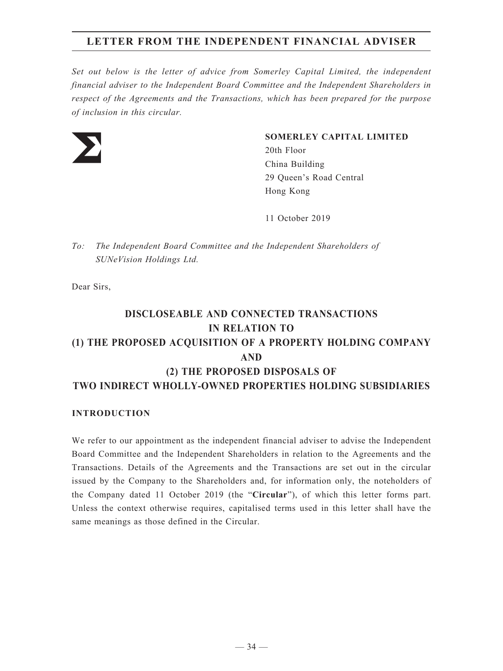# **LETTER FROM THE INDEPENDENT FINANCIAL ADVISER**

*Set out below is the letter of advice from Somerley Capital Limited, the independent financial adviser to the Independent Board Committee and the Independent Shareholders in respect of the Agreements and the Transactions, which has been prepared for the purpose of inclusion in this circular.*



## **SOMERLEY CAPITAL LIMITED**

20th Floor China Building 29 Queen's Road Central Hong Kong

11 October 2019

*To: The Independent Board Committee and the Independent Shareholders of SUNeVision Holdings Ltd.*

Dear Sirs,

# **DISCLOSEABLE AND CONNECTED TRANSACTIONS IN RELATION TO (1) THE PROPOSED ACQUISITION OF A PROPERTY HOLDING COMPANY AND (2) THE PROPOSED DISPOSALS OF TWO INDIRECT WHOLLY-OWNED PROPERTIES HOLDING SUBSIDIARIES**

## **INTRODUCTION**

We refer to our appointment as the independent financial adviser to advise the Independent Board Committee and the Independent Shareholders in relation to the Agreements and the Transactions. Details of the Agreements and the Transactions are set out in the circular issued by the Company to the Shareholders and, for information only, the noteholders of the Company dated 11 October 2019 (the "**Circular**"), of which this letter forms part. Unless the context otherwise requires, capitalised terms used in this letter shall have the same meanings as those defined in the Circular.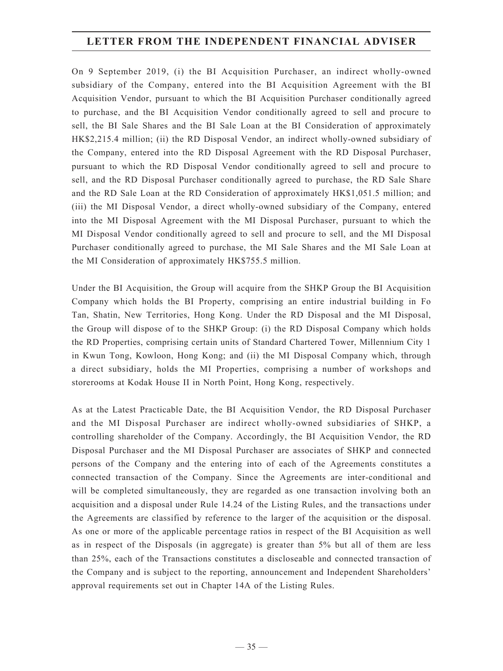On 9 September 2019, (i) the BI Acquisition Purchaser, an indirect wholly-owned subsidiary of the Company, entered into the BI Acquisition Agreement with the BI Acquisition Vendor, pursuant to which the BI Acquisition Purchaser conditionally agreed to purchase, and the BI Acquisition Vendor conditionally agreed to sell and procure to sell, the BI Sale Shares and the BI Sale Loan at the BI Consideration of approximately HK\$2,215.4 million; (ii) the RD Disposal Vendor, an indirect wholly-owned subsidiary of the Company, entered into the RD Disposal Agreement with the RD Disposal Purchaser, pursuant to which the RD Disposal Vendor conditionally agreed to sell and procure to sell, and the RD Disposal Purchaser conditionally agreed to purchase, the RD Sale Share and the RD Sale Loan at the RD Consideration of approximately HK\$1,051.5 million; and (iii) the MI Disposal Vendor, a direct wholly-owned subsidiary of the Company, entered into the MI Disposal Agreement with the MI Disposal Purchaser, pursuant to which the MI Disposal Vendor conditionally agreed to sell and procure to sell, and the MI Disposal Purchaser conditionally agreed to purchase, the MI Sale Shares and the MI Sale Loan at the MI Consideration of approximately HK\$755.5 million.

Under the BI Acquisition, the Group will acquire from the SHKP Group the BI Acquisition Company which holds the BI Property, comprising an entire industrial building in Fo Tan, Shatin, New Territories, Hong Kong. Under the RD Disposal and the MI Disposal, the Group will dispose of to the SHKP Group: (i) the RD Disposal Company which holds the RD Properties, comprising certain units of Standard Chartered Tower, Millennium City 1 in Kwun Tong, Kowloon, Hong Kong; and (ii) the MI Disposal Company which, through a direct subsidiary, holds the MI Properties, comprising a number of workshops and storerooms at Kodak House II in North Point, Hong Kong, respectively.

As at the Latest Practicable Date, the BI Acquisition Vendor, the RD Disposal Purchaser and the MI Disposal Purchaser are indirect wholly-owned subsidiaries of SHKP, a controlling shareholder of the Company. Accordingly, the BI Acquisition Vendor, the RD Disposal Purchaser and the MI Disposal Purchaser are associates of SHKP and connected persons of the Company and the entering into of each of the Agreements constitutes a connected transaction of the Company. Since the Agreements are inter-conditional and will be completed simultaneously, they are regarded as one transaction involving both an acquisition and a disposal under Rule 14.24 of the Listing Rules, and the transactions under the Agreements are classified by reference to the larger of the acquisition or the disposal. As one or more of the applicable percentage ratios in respect of the BI Acquisition as well as in respect of the Disposals (in aggregate) is greater than 5% but all of them are less than 25%, each of the Transactions constitutes a discloseable and connected transaction of the Company and is subject to the reporting, announcement and Independent Shareholders' approval requirements set out in Chapter 14A of the Listing Rules.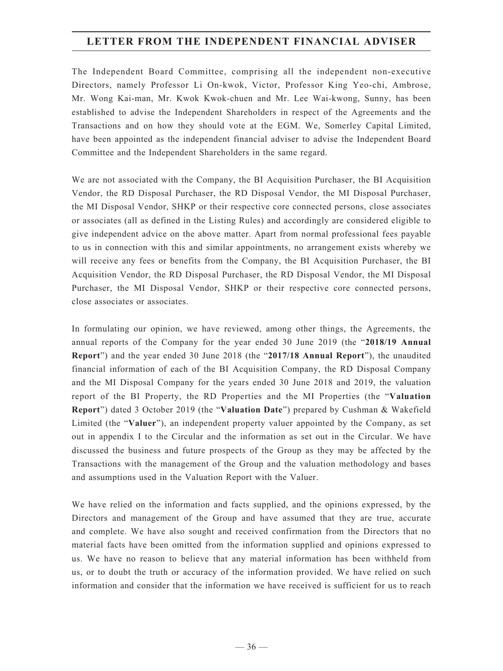The Independent Board Committee, comprising all the independent non-executive Directors, namely Professor Li On-kwok, Victor, Professor King Yeo-chi, Ambrose, Mr. Wong Kai-man, Mr. Kwok Kwok-chuen and Mr. Lee Wai-kwong, Sunny, has been established to advise the Independent Shareholders in respect of the Agreements and the Transactions and on how they should vote at the EGM. We, Somerley Capital Limited, have been appointed as the independent financial adviser to advise the Independent Board Committee and the Independent Shareholders in the same regard.

We are not associated with the Company, the BI Acquisition Purchaser, the BI Acquisition Vendor, the RD Disposal Purchaser, the RD Disposal Vendor, the MI Disposal Purchaser, the MI Disposal Vendor, SHKP or their respective core connected persons, close associates or associates (all as defined in the Listing Rules) and accordingly are considered eligible to give independent advice on the above matter. Apart from normal professional fees payable to us in connection with this and similar appointments, no arrangement exists whereby we will receive any fees or benefits from the Company, the BI Acquisition Purchaser, the BI Acquisition Vendor, the RD Disposal Purchaser, the RD Disposal Vendor, the MI Disposal Purchaser, the MI Disposal Vendor, SHKP or their respective core connected persons, close associates or associates.

In formulating our opinion, we have reviewed, among other things, the Agreements, the annual reports of the Company for the year ended 30 June 2019 (the "**2018/19 Annual Report**") and the year ended 30 June 2018 (the "**2017/18 Annual Report**"), the unaudited financial information of each of the BI Acquisition Company, the RD Disposal Company and the MI Disposal Company for the years ended 30 June 2018 and 2019, the valuation report of the BI Property, the RD Properties and the MI Properties (the "**Valuation Report**") dated 3 October 2019 (the "**Valuation Date**") prepared by Cushman & Wakefield Limited (the "**Valuer**"), an independent property valuer appointed by the Company, as set out in appendix I to the Circular and the information as set out in the Circular. We have discussed the business and future prospects of the Group as they may be affected by the Transactions with the management of the Group and the valuation methodology and bases and assumptions used in the Valuation Report with the Valuer.

We have relied on the information and facts supplied, and the opinions expressed, by the Directors and management of the Group and have assumed that they are true, accurate and complete. We have also sought and received confirmation from the Directors that no material facts have been omitted from the information supplied and opinions expressed to us. We have no reason to believe that any material information has been withheld from us, or to doubt the truth or accuracy of the information provided. We have relied on such information and consider that the information we have received is sufficient for us to reach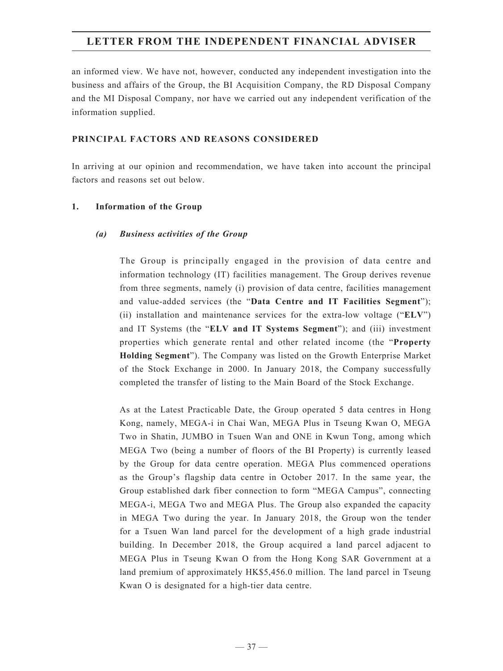an informed view. We have not, however, conducted any independent investigation into the business and affairs of the Group, the BI Acquisition Company, the RD Disposal Company and the MI Disposal Company, nor have we carried out any independent verification of the information supplied.

## **PRINCIPAL FACTORS AND REASONS CONSIDERED**

In arriving at our opinion and recommendation, we have taken into account the principal factors and reasons set out below.

## **1. Information of the Group**

## *(a) Business activities of the Group*

The Group is principally engaged in the provision of data centre and information technology (IT) facilities management. The Group derives revenue from three segments, namely (i) provision of data centre, facilities management and value-added services (the "**Data Centre and IT Facilities Segment**"); (ii) installation and maintenance services for the extra-low voltage ("**ELV**") and IT Systems (the "**ELV and IT Systems Segment**"); and (iii) investment properties which generate rental and other related income (the "**Property Holding Segment**"). The Company was listed on the Growth Enterprise Market of the Stock Exchange in 2000. In January 2018, the Company successfully completed the transfer of listing to the Main Board of the Stock Exchange.

As at the Latest Practicable Date, the Group operated 5 data centres in Hong Kong, namely, MEGA-i in Chai Wan, MEGA Plus in Tseung Kwan O, MEGA Two in Shatin, JUMBO in Tsuen Wan and ONE in Kwun Tong, among which MEGA Two (being a number of floors of the BI Property) is currently leased by the Group for data centre operation. MEGA Plus commenced operations as the Group's flagship data centre in October 2017. In the same year, the Group established dark fiber connection to form "MEGA Campus", connecting MEGA-i, MEGA Two and MEGA Plus. The Group also expanded the capacity in MEGA Two during the year. In January 2018, the Group won the tender for a Tsuen Wan land parcel for the development of a high grade industrial building. In December 2018, the Group acquired a land parcel adjacent to MEGA Plus in Tseung Kwan O from the Hong Kong SAR Government at a land premium of approximately HK\$5,456.0 million. The land parcel in Tseung Kwan O is designated for a high-tier data centre.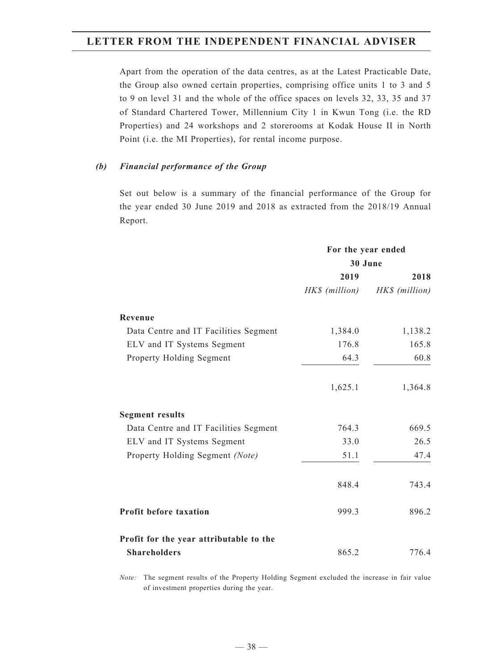Apart from the operation of the data centres, as at the Latest Practicable Date, the Group also owned certain properties, comprising office units 1 to 3 and 5 to 9 on level 31 and the whole of the office spaces on levels 32, 33, 35 and 37 of Standard Chartered Tower, Millennium City 1 in Kwun Tong (i.e. the RD Properties) and 24 workshops and 2 storerooms at Kodak House II in North Point (i.e. the MI Properties), for rental income purpose.

## *(b) Financial performance of the Group*

Set out below is a summary of the financial performance of the Group for the year ended 30 June 2019 and 2018 as extracted from the 2018/19 Annual Report.

|                                         | For the year ended |                |  |
|-----------------------------------------|--------------------|----------------|--|
|                                         | 30 June            |                |  |
|                                         | 2019               | 2018           |  |
|                                         | HK\$ (million)     | HK\$ (million) |  |
| Revenue                                 |                    |                |  |
| Data Centre and IT Facilities Segment   | 1,384.0            | 1,138.2        |  |
| ELV and IT Systems Segment              | 176.8              | 165.8          |  |
| Property Holding Segment                | 64.3               | 60.8           |  |
|                                         | 1,625.1            | 1,364.8        |  |
| <b>Segment results</b>                  |                    |                |  |
| Data Centre and IT Facilities Segment   | 764.3              | 669.5          |  |
| ELV and IT Systems Segment              | 33.0               | 26.5           |  |
| Property Holding Segment (Note)         | 51.1               | 47.4           |  |
|                                         | 848.4              | 743.4          |  |
| <b>Profit before taxation</b>           | 999.3              | 896.2          |  |
| Profit for the year attributable to the |                    |                |  |
| <b>Shareholders</b>                     | 865.2              | 776.4          |  |

*Note:* The segment results of the Property Holding Segment excluded the increase in fair value of investment properties during the year.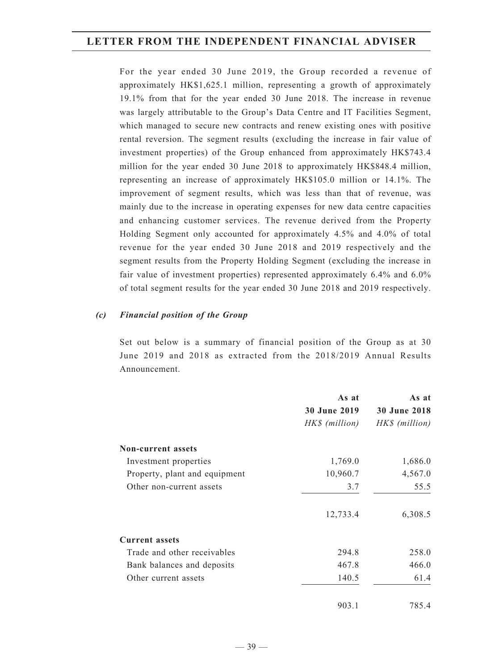For the year ended 30 June 2019, the Group recorded a revenue of approximately HK\$1,625.1 million, representing a growth of approximately 19.1% from that for the year ended 30 June 2018. The increase in revenue was largely attributable to the Group's Data Centre and IT Facilities Segment, which managed to secure new contracts and renew existing ones with positive rental reversion. The segment results (excluding the increase in fair value of investment properties) of the Group enhanced from approximately HK\$743.4 million for the year ended 30 June 2018 to approximately HK\$848.4 million, representing an increase of approximately HK\$105.0 million or 14.1%. The improvement of segment results, which was less than that of revenue, was mainly due to the increase in operating expenses for new data centre capacities and enhancing customer services. The revenue derived from the Property Holding Segment only accounted for approximately 4.5% and 4.0% of total revenue for the year ended 30 June 2018 and 2019 respectively and the segment results from the Property Holding Segment (excluding the increase in fair value of investment properties) represented approximately 6.4% and 6.0% of total segment results for the year ended 30 June 2018 and 2019 respectively.

#### *(c) Financial position of the Group*

Set out below is a summary of financial position of the Group as at 30 June 2019 and 2018 as extracted from the 2018/2019 Annual Results Announcement.

|                               | As at               | As at               |
|-------------------------------|---------------------|---------------------|
|                               | <b>30 June 2019</b> | <b>30 June 2018</b> |
|                               | HK\$ (million)      | HK\$ (million)      |
| <b>Non-current assets</b>     |                     |                     |
| Investment properties         | 1,769.0             | 1,686.0             |
| Property, plant and equipment | 10,960.7            | 4,567.0             |
| Other non-current assets      | 3.7                 | 55.5                |
|                               | 12,733.4            | 6,308.5             |
| <b>Current assets</b>         |                     |                     |
| Trade and other receivables   | 294.8               | 258.0               |
| Bank balances and deposits    | 467.8               | 466.0               |
| Other current assets          | 140.5               | 61.4                |
|                               | 903.1               | 785.4               |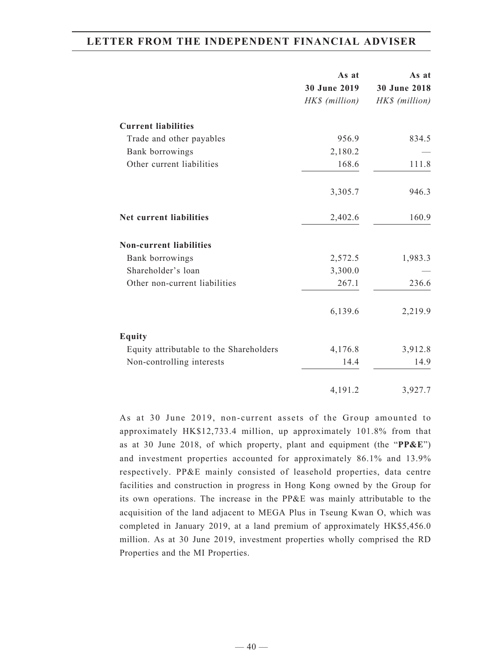|                                         | As at          | As at          |
|-----------------------------------------|----------------|----------------|
|                                         | 30 June 2019   | 30 June 2018   |
|                                         | HK\$ (million) | HK\$ (million) |
| <b>Current liabilities</b>              |                |                |
| Trade and other payables                | 956.9          | 834.5          |
| Bank borrowings                         | 2,180.2        |                |
| Other current liabilities               | 168.6          | 111.8          |
|                                         | 3,305.7        | 946.3          |
| Net current liabilities                 | 2,402.6        | 160.9          |
| <b>Non-current liabilities</b>          |                |                |
| Bank borrowings                         | 2,572.5        | 1,983.3        |
| Shareholder's loan                      | 3,300.0        |                |
| Other non-current liabilities           | 267.1          | 236.6          |
|                                         | 6,139.6        | 2,219.9        |
| <b>Equity</b>                           |                |                |
| Equity attributable to the Shareholders | 4,176.8        | 3,912.8        |
| Non-controlling interests               | 14.4           | 14.9           |
|                                         | 4,191.2        | 3,927.7        |

As at 30 June 2019, non-current assets of the Group amounted to approximately HK\$12,733.4 million, up approximately 101.8% from that as at 30 June 2018, of which property, plant and equipment (the "**PP&E**") and investment properties accounted for approximately 86.1% and 13.9% respectively. PP&E mainly consisted of leasehold properties, data centre facilities and construction in progress in Hong Kong owned by the Group for its own operations. The increase in the PP&E was mainly attributable to the acquisition of the land adjacent to MEGA Plus in Tseung Kwan O, which was completed in January 2019, at a land premium of approximately HK\$5,456.0 million. As at 30 June 2019, investment properties wholly comprised the RD Properties and the MI Properties.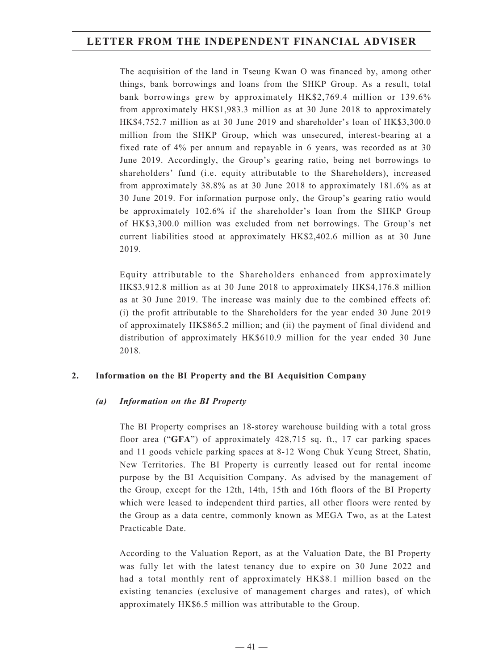The acquisition of the land in Tseung Kwan O was financed by, among other things, bank borrowings and loans from the SHKP Group. As a result, total bank borrowings grew by approximately HK\$2,769.4 million or 139.6% from approximately HK\$1,983.3 million as at 30 June 2018 to approximately HK\$4,752.7 million as at 30 June 2019 and shareholder's loan of HK\$3,300.0 million from the SHKP Group, which was unsecured, interest-bearing at a fixed rate of 4% per annum and repayable in 6 years, was recorded as at 30 June 2019. Accordingly, the Group's gearing ratio, being net borrowings to shareholders' fund (i.e. equity attributable to the Shareholders), increased from approximately 38.8% as at 30 June 2018 to approximately 181.6% as at 30 June 2019. For information purpose only, the Group's gearing ratio would be approximately 102.6% if the shareholder's loan from the SHKP Group of HK\$3,300.0 million was excluded from net borrowings. The Group's net current liabilities stood at approximately HK\$2,402.6 million as at 30 June 2019.

Equity attributable to the Shareholders enhanced from approximately HK\$3,912.8 million as at 30 June 2018 to approximately HK\$4,176.8 million as at 30 June 2019. The increase was mainly due to the combined effects of: (i) the profit attributable to the Shareholders for the year ended 30 June 2019 of approximately HK\$865.2 million; and (ii) the payment of final dividend and distribution of approximately HK\$610.9 million for the year ended 30 June 2018.

## **2. Information on the BI Property and the BI Acquisition Company**

## *(a) Information on the BI Property*

The BI Property comprises an 18-storey warehouse building with a total gross floor area ("**GFA**") of approximately 428,715 sq. ft., 17 car parking spaces and 11 goods vehicle parking spaces at 8-12 Wong Chuk Yeung Street, Shatin, New Territories. The BI Property is currently leased out for rental income purpose by the BI Acquisition Company. As advised by the management of the Group, except for the 12th, 14th, 15th and 16th floors of the BI Property which were leased to independent third parties, all other floors were rented by the Group as a data centre, commonly known as MEGA Two, as at the Latest Practicable Date.

According to the Valuation Report, as at the Valuation Date, the BI Property was fully let with the latest tenancy due to expire on 30 June 2022 and had a total monthly rent of approximately HK\$8.1 million based on the existing tenancies (exclusive of management charges and rates), of which approximately HK\$6.5 million was attributable to the Group.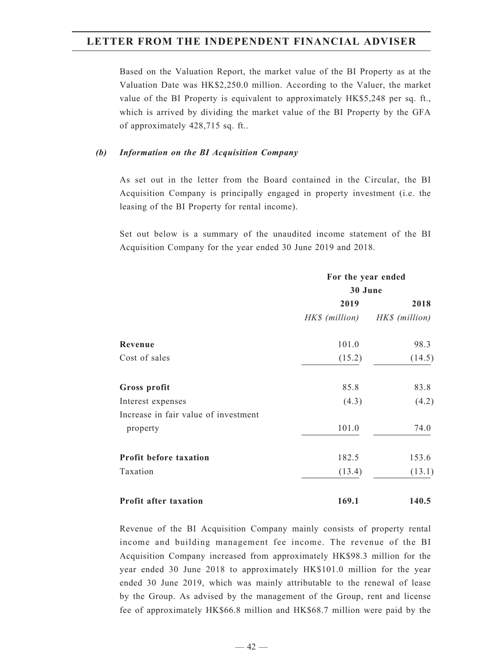Based on the Valuation Report, the market value of the BI Property as at the Valuation Date was HK\$2,250.0 million. According to the Valuer, the market value of the BI Property is equivalent to approximately HK\$5,248 per sq. ft., which is arrived by dividing the market value of the BI Property by the GFA of approximately 428,715 sq. ft..

#### *(b) Information on the BI Acquisition Company*

As set out in the letter from the Board contained in the Circular, the BI Acquisition Company is principally engaged in property investment (i.e. the leasing of the BI Property for rental income).

Set out below is a summary of the unaudited income statement of the BI Acquisition Company for the year ended 30 June 2019 and 2018.

|                                      | For the year ended<br>30 June |                |  |
|--------------------------------------|-------------------------------|----------------|--|
|                                      |                               |                |  |
|                                      | 2019                          | 2018           |  |
|                                      | HK\$ (million)                | HK\$ (million) |  |
| Revenue                              | 101.0                         | 98.3           |  |
| Cost of sales                        | (15.2)                        | (14.5)         |  |
| Gross profit                         | 85.8                          | 83.8           |  |
| Interest expenses                    | (4.3)                         | (4.2)          |  |
| Increase in fair value of investment |                               |                |  |
| property                             | 101.0                         | 74.0           |  |
| Profit before taxation               | 182.5                         | 153.6          |  |
| Taxation                             | (13.4)                        | (13.1)         |  |
| <b>Profit after taxation</b>         | 169.1                         | 140.5          |  |

Revenue of the BI Acquisition Company mainly consists of property rental income and building management fee income. The revenue of the BI Acquisition Company increased from approximately HK\$98.3 million for the year ended 30 June 2018 to approximately HK\$101.0 million for the year ended 30 June 2019, which was mainly attributable to the renewal of lease by the Group. As advised by the management of the Group, rent and license fee of approximately HK\$66.8 million and HK\$68.7 million were paid by the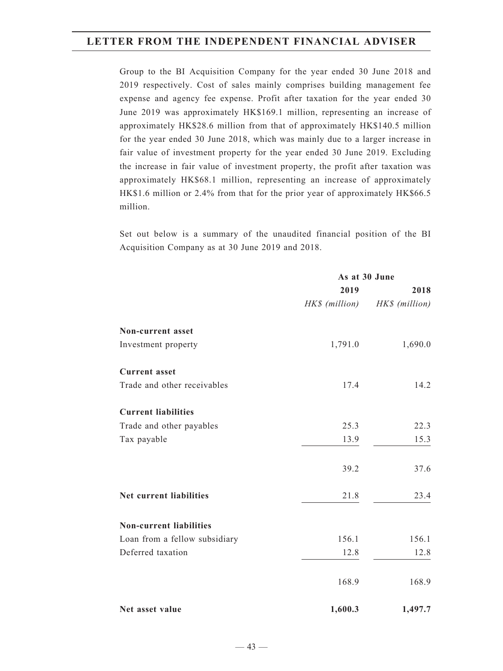Group to the BI Acquisition Company for the year ended 30 June 2018 and 2019 respectively. Cost of sales mainly comprises building management fee expense and agency fee expense. Profit after taxation for the year ended 30 June 2019 was approximately HK\$169.1 million, representing an increase of approximately HK\$28.6 million from that of approximately HK\$140.5 million for the year ended 30 June 2018, which was mainly due to a larger increase in fair value of investment property for the year ended 30 June 2019. Excluding the increase in fair value of investment property, the profit after taxation was approximately HK\$68.1 million, representing an increase of approximately HK\$1.6 million or 2.4% from that for the prior year of approximately HK\$66.5 million.

Set out below is a summary of the unaudited financial position of the BI Acquisition Company as at 30 June 2019 and 2018.

|                                | As at 30 June  |                |
|--------------------------------|----------------|----------------|
|                                | 2019           | 2018           |
|                                | HK\$ (million) | HK\$ (million) |
| Non-current asset              |                |                |
| Investment property            | 1,791.0        | 1,690.0        |
| <b>Current</b> asset           |                |                |
| Trade and other receivables    | 17.4           | 14.2           |
| <b>Current liabilities</b>     |                |                |
| Trade and other payables       | 25.3           | 22.3           |
| Tax payable                    | 13.9           | 15.3           |
|                                | 39.2           | 37.6           |
| Net current liabilities        | 21.8           | 23.4           |
| <b>Non-current liabilities</b> |                |                |
| Loan from a fellow subsidiary  | 156.1          | 156.1          |
| Deferred taxation              | 12.8           | 12.8           |
|                                | 168.9          | 168.9          |
| Net asset value                | 1,600.3        | 1,497.7        |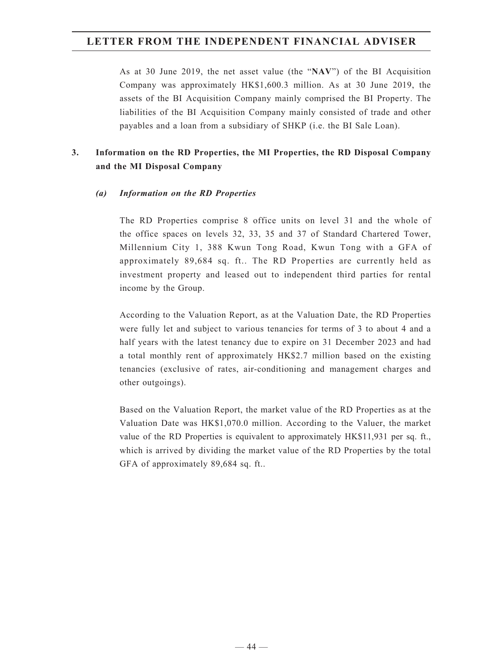As at 30 June 2019, the net asset value (the "**NAV**") of the BI Acquisition Company was approximately HK\$1,600.3 million. As at 30 June 2019, the assets of the BI Acquisition Company mainly comprised the BI Property. The liabilities of the BI Acquisition Company mainly consisted of trade and other payables and a loan from a subsidiary of SHKP (i.e. the BI Sale Loan).

## **3. Information on the RD Properties, the MI Properties, the RD Disposal Company and the MI Disposal Company**

## *(a) Information on the RD Properties*

The RD Properties comprise 8 office units on level 31 and the whole of the office spaces on levels 32, 33, 35 and 37 of Standard Chartered Tower, Millennium City 1, 388 Kwun Tong Road, Kwun Tong with a GFA of approximately 89,684 sq. ft.. The RD Properties are currently held as investment property and leased out to independent third parties for rental income by the Group.

According to the Valuation Report, as at the Valuation Date, the RD Properties were fully let and subject to various tenancies for terms of 3 to about 4 and a half years with the latest tenancy due to expire on 31 December 2023 and had a total monthly rent of approximately HK\$2.7 million based on the existing tenancies (exclusive of rates, air-conditioning and management charges and other outgoings).

Based on the Valuation Report, the market value of the RD Properties as at the Valuation Date was HK\$1,070.0 million. According to the Valuer, the market value of the RD Properties is equivalent to approximately HK\$11,931 per sq. ft., which is arrived by dividing the market value of the RD Properties by the total GFA of approximately 89,684 sq. ft..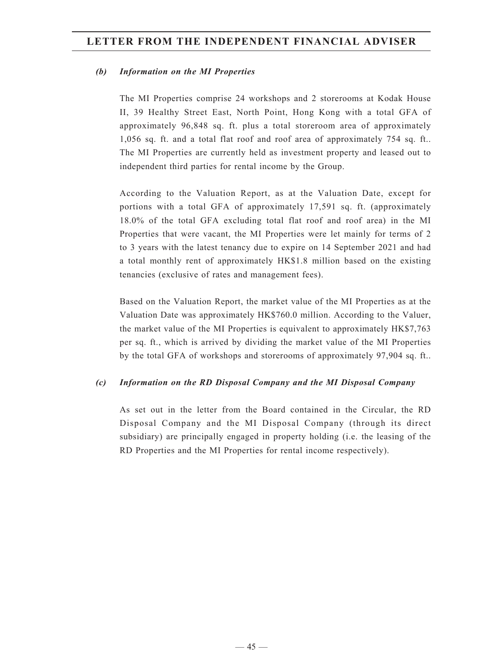#### *(b) Information on the MI Properties*

The MI Properties comprise 24 workshops and 2 storerooms at Kodak House II, 39 Healthy Street East, North Point, Hong Kong with a total GFA of approximately 96,848 sq. ft. plus a total storeroom area of approximately 1,056 sq. ft. and a total flat roof and roof area of approximately 754 sq. ft.. The MI Properties are currently held as investment property and leased out to independent third parties for rental income by the Group.

According to the Valuation Report, as at the Valuation Date, except for portions with a total GFA of approximately 17,591 sq. ft. (approximately 18.0% of the total GFA excluding total flat roof and roof area) in the MI Properties that were vacant, the MI Properties were let mainly for terms of 2 to 3 years with the latest tenancy due to expire on 14 September 2021 and had a total monthly rent of approximately HK\$1.8 million based on the existing tenancies (exclusive of rates and management fees).

Based on the Valuation Report, the market value of the MI Properties as at the Valuation Date was approximately HK\$760.0 million. According to the Valuer, the market value of the MI Properties is equivalent to approximately HK\$7,763 per sq. ft., which is arrived by dividing the market value of the MI Properties by the total GFA of workshops and storerooms of approximately 97,904 sq. ft..

#### *(c) Information on the RD Disposal Company and the MI Disposal Company*

As set out in the letter from the Board contained in the Circular, the RD Disposal Company and the MI Disposal Company (through its direct subsidiary) are principally engaged in property holding (i.e. the leasing of the RD Properties and the MI Properties for rental income respectively).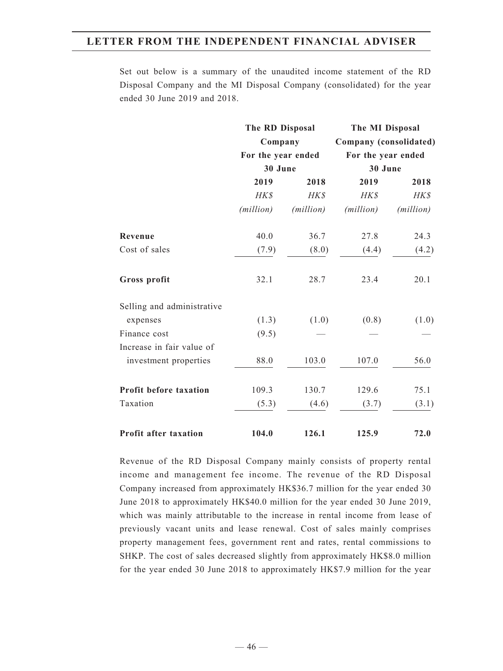Set out below is a summary of the unaudited income statement of the RD Disposal Company and the MI Disposal Company (consolidated) for the year ended 30 June 2019 and 2018.

|                               | The RD Disposal    |                    | The MI Disposal    |                        |  |
|-------------------------------|--------------------|--------------------|--------------------|------------------------|--|
|                               |                    | Company            |                    | Company (consolidated) |  |
|                               |                    | For the year ended |                    | For the year ended     |  |
|                               | 30 June            |                    | 30 June            |                        |  |
|                               | 2019               | 2018               | 2019               | 2018                   |  |
|                               | HK\$               | HK\$               | HK\$               | HK\$                   |  |
|                               | ( <i>million</i> ) | (million)          | ( <i>million</i> ) | ( <i>million</i> )     |  |
| Revenue                       | 40.0               | 36.7               | 27.8               | 24.3                   |  |
| Cost of sales                 | (7.9)              | (8.0)              | (4.4)              | (4.2)                  |  |
| Gross profit                  | 32.1               | 28.7               | 23.4               | 20.1                   |  |
| Selling and administrative    |                    |                    |                    |                        |  |
| expenses                      | (1.3)              | (1.0)              | (0.8)              | (1.0)                  |  |
| Finance cost                  | (9.5)              |                    |                    |                        |  |
| Increase in fair value of     |                    |                    |                    |                        |  |
| investment properties         | 88.0               | 103.0              | 107.0              | 56.0                   |  |
| <b>Profit before taxation</b> | 109.3              | 130.7              | 129.6              | 75.1                   |  |
| Taxation                      | (5.3)              | (4.6)              | (3.7)              | (3.1)                  |  |
| Profit after taxation         | 104.0              | 126.1              | 125.9              | 72.0                   |  |

Revenue of the RD Disposal Company mainly consists of property rental income and management fee income. The revenue of the RD Disposal Company increased from approximately HK\$36.7 million for the year ended 30 June 2018 to approximately HK\$40.0 million for the year ended 30 June 2019, which was mainly attributable to the increase in rental income from lease of previously vacant units and lease renewal. Cost of sales mainly comprises property management fees, government rent and rates, rental commissions to SHKP. The cost of sales decreased slightly from approximately HK\$8.0 million for the year ended 30 June 2018 to approximately HK\$7.9 million for the year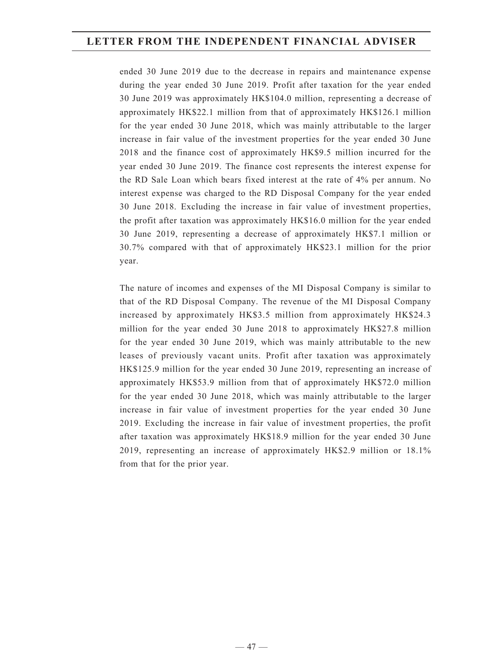ended 30 June 2019 due to the decrease in repairs and maintenance expense during the year ended 30 June 2019. Profit after taxation for the year ended 30 June 2019 was approximately HK\$104.0 million, representing a decrease of approximately HK\$22.1 million from that of approximately HK\$126.1 million for the year ended 30 June 2018, which was mainly attributable to the larger increase in fair value of the investment properties for the year ended 30 June 2018 and the finance cost of approximately HK\$9.5 million incurred for the year ended 30 June 2019. The finance cost represents the interest expense for the RD Sale Loan which bears fixed interest at the rate of 4% per annum. No interest expense was charged to the RD Disposal Company for the year ended 30 June 2018. Excluding the increase in fair value of investment properties, the profit after taxation was approximately HK\$16.0 million for the year ended 30 June 2019, representing a decrease of approximately HK\$7.1 million or 30.7% compared with that of approximately HK\$23.1 million for the prior year.

The nature of incomes and expenses of the MI Disposal Company is similar to that of the RD Disposal Company. The revenue of the MI Disposal Company increased by approximately HK\$3.5 million from approximately HK\$24.3 million for the year ended 30 June 2018 to approximately HK\$27.8 million for the year ended 30 June 2019, which was mainly attributable to the new leases of previously vacant units. Profit after taxation was approximately HK\$125.9 million for the year ended 30 June 2019, representing an increase of approximately HK\$53.9 million from that of approximately HK\$72.0 million for the year ended 30 June 2018, which was mainly attributable to the larger increase in fair value of investment properties for the year ended 30 June 2019. Excluding the increase in fair value of investment properties, the profit after taxation was approximately HK\$18.9 million for the year ended 30 June 2019, representing an increase of approximately HK\$2.9 million or 18.1% from that for the prior year.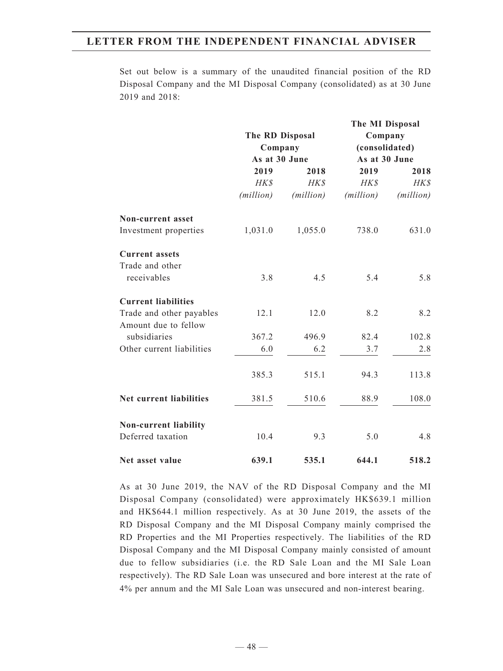Set out below is a summary of the unaudited financial position of the RD Disposal Company and the MI Disposal Company (consolidated) as at 30 June 2019 and 2018:

|                            |               |                            | The MI Disposal |                           |
|----------------------------|---------------|----------------------------|-----------------|---------------------------|
|                            |               | The RD Disposal<br>Company |                 | Company<br>(consolidated) |
|                            | As at 30 June |                            | As at 30 June   |                           |
|                            | 2019          | 2018                       | 2019            | 2018                      |
|                            | HK\$          | HK\$                       | HK\$            | $H K$ \$                  |
|                            | (million)     | (million)                  | (million)       | (million)                 |
| Non-current asset          |               |                            |                 |                           |
| Investment properties      | 1,031.0       | 1,055.0                    | 738.0           | 631.0                     |
| <b>Current assets</b>      |               |                            |                 |                           |
| Trade and other            |               |                            |                 |                           |
| receivables                | 3.8           | 4.5                        | 5.4             | 5.8                       |
| <b>Current liabilities</b> |               |                            |                 |                           |
| Trade and other payables   | 12.1          | 12.0                       | 8.2             | 8.2                       |
| Amount due to fellow       |               |                            |                 |                           |
| subsidiaries               | 367.2         | 496.9                      | 82.4            | 102.8                     |
| Other current liabilities  | 6.0           | 6.2                        | 3.7             | 2.8                       |
|                            | 385.3         | 515.1                      | 94.3            | 113.8                     |
| Net current liabilities    | 381.5         | 510.6                      | 88.9            | 108.0                     |
| Non-current liability      |               |                            |                 |                           |
| Deferred taxation          | 10.4          | 9.3                        | 5.0             | 4.8                       |
| Net asset value            | 639.1         | 535.1                      | 644.1           | 518.2                     |

As at 30 June 2019, the NAV of the RD Disposal Company and the MI Disposal Company (consolidated) were approximately HK\$639.1 million and HK\$644.1 million respectively. As at 30 June 2019, the assets of the RD Disposal Company and the MI Disposal Company mainly comprised the RD Properties and the MI Properties respectively. The liabilities of the RD Disposal Company and the MI Disposal Company mainly consisted of amount due to fellow subsidiaries (i.e. the RD Sale Loan and the MI Sale Loan respectively). The RD Sale Loan was unsecured and bore interest at the rate of 4% per annum and the MI Sale Loan was unsecured and non-interest bearing.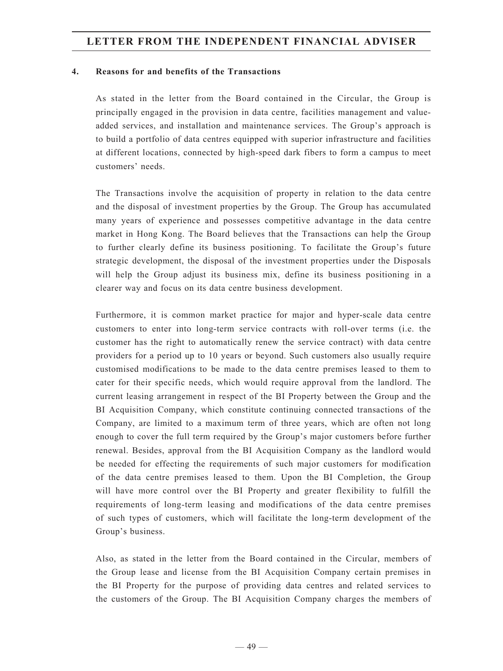#### **4. Reasons for and benefits of the Transactions**

As stated in the letter from the Board contained in the Circular, the Group is principally engaged in the provision in data centre, facilities management and valueadded services, and installation and maintenance services. The Group's approach is to build a portfolio of data centres equipped with superior infrastructure and facilities at different locations, connected by high-speed dark fibers to form a campus to meet customers' needs.

The Transactions involve the acquisition of property in relation to the data centre and the disposal of investment properties by the Group. The Group has accumulated many years of experience and possesses competitive advantage in the data centre market in Hong Kong. The Board believes that the Transactions can help the Group to further clearly define its business positioning. To facilitate the Group's future strategic development, the disposal of the investment properties under the Disposals will help the Group adjust its business mix, define its business positioning in a clearer way and focus on its data centre business development.

Furthermore, it is common market practice for major and hyper-scale data centre customers to enter into long-term service contracts with roll-over terms (i.e. the customer has the right to automatically renew the service contract) with data centre providers for a period up to 10 years or beyond. Such customers also usually require customised modifications to be made to the data centre premises leased to them to cater for their specific needs, which would require approval from the landlord. The current leasing arrangement in respect of the BI Property between the Group and the BI Acquisition Company, which constitute continuing connected transactions of the Company, are limited to a maximum term of three years, which are often not long enough to cover the full term required by the Group's major customers before further renewal. Besides, approval from the BI Acquisition Company as the landlord would be needed for effecting the requirements of such major customers for modification of the data centre premises leased to them. Upon the BI Completion, the Group will have more control over the BI Property and greater flexibility to fulfill the requirements of long-term leasing and modifications of the data centre premises of such types of customers, which will facilitate the long-term development of the Group's business.

Also, as stated in the letter from the Board contained in the Circular, members of the Group lease and license from the BI Acquisition Company certain premises in the BI Property for the purpose of providing data centres and related services to the customers of the Group. The BI Acquisition Company charges the members of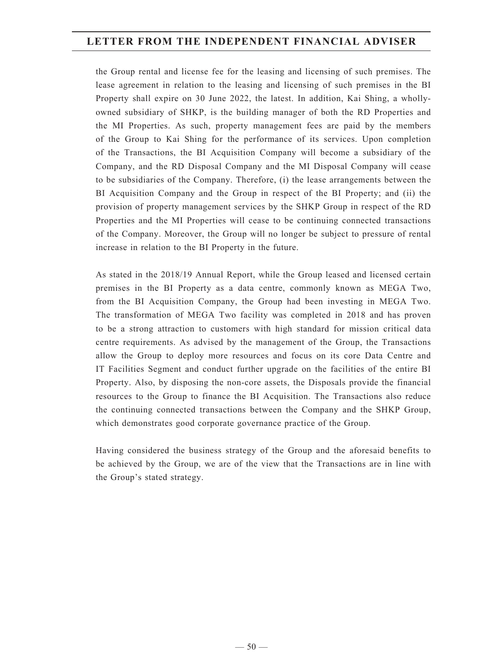the Group rental and license fee for the leasing and licensing of such premises. The lease agreement in relation to the leasing and licensing of such premises in the BI Property shall expire on 30 June 2022, the latest. In addition, Kai Shing, a whollyowned subsidiary of SHKP, is the building manager of both the RD Properties and the MI Properties. As such, property management fees are paid by the members of the Group to Kai Shing for the performance of its services. Upon completion of the Transactions, the BI Acquisition Company will become a subsidiary of the Company, and the RD Disposal Company and the MI Disposal Company will cease to be subsidiaries of the Company. Therefore, (i) the lease arrangements between the BI Acquisition Company and the Group in respect of the BI Property; and (ii) the provision of property management services by the SHKP Group in respect of the RD Properties and the MI Properties will cease to be continuing connected transactions of the Company. Moreover, the Group will no longer be subject to pressure of rental increase in relation to the BI Property in the future.

As stated in the 2018/19 Annual Report, while the Group leased and licensed certain premises in the BI Property as a data centre, commonly known as MEGA Two, from the BI Acquisition Company, the Group had been investing in MEGA Two. The transformation of MEGA Two facility was completed in 2018 and has proven to be a strong attraction to customers with high standard for mission critical data centre requirements. As advised by the management of the Group, the Transactions allow the Group to deploy more resources and focus on its core Data Centre and IT Facilities Segment and conduct further upgrade on the facilities of the entire BI Property. Also, by disposing the non-core assets, the Disposals provide the financial resources to the Group to finance the BI Acquisition. The Transactions also reduce the continuing connected transactions between the Company and the SHKP Group, which demonstrates good corporate governance practice of the Group.

Having considered the business strategy of the Group and the aforesaid benefits to be achieved by the Group, we are of the view that the Transactions are in line with the Group's stated strategy.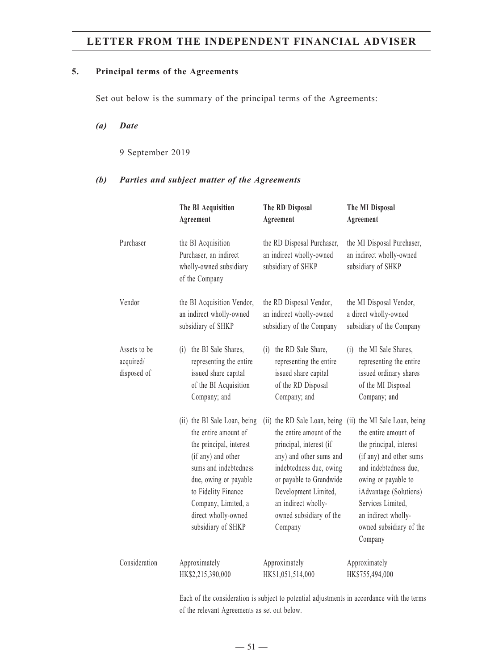### **5. Principal terms of the Agreements**

Set out below is the summary of the principal terms of the Agreements:

#### *(a) Date*

9 September 2019

## *(b) Parties and subject matter of the Agreements*

|                                          | The BI Acquisition<br>Agreement                                                                                                                                                                                                                    | The RD Disposal<br>Agreement                                                                                                                                                                                                                              | The MI Disposal<br>Agreement                                                                                                                                                                                                                                           |
|------------------------------------------|----------------------------------------------------------------------------------------------------------------------------------------------------------------------------------------------------------------------------------------------------|-----------------------------------------------------------------------------------------------------------------------------------------------------------------------------------------------------------------------------------------------------------|------------------------------------------------------------------------------------------------------------------------------------------------------------------------------------------------------------------------------------------------------------------------|
| Purchaser                                | the BI Acquisition<br>Purchaser, an indirect<br>wholly-owned subsidiary<br>of the Company                                                                                                                                                          | the RD Disposal Purchaser,<br>an indirect wholly-owned<br>subsidiary of SHKP                                                                                                                                                                              | the MI Disposal Purchaser,<br>an indirect wholly-owned<br>subsidiary of SHKP                                                                                                                                                                                           |
| Vendor                                   | the BI Acquisition Vendor,<br>an indirect wholly-owned<br>subsidiary of SHKP                                                                                                                                                                       | the RD Disposal Vendor,<br>an indirect wholly-owned<br>subsidiary of the Company                                                                                                                                                                          | the MI Disposal Vendor,<br>a direct wholly-owned<br>subsidiary of the Company                                                                                                                                                                                          |
| Assets to be<br>acquired/<br>disposed of | the BI Sale Shares,<br>(i)<br>representing the entire<br>issued share capital<br>of the BI Acquisition<br>Company; and                                                                                                                             | the RD Sale Share,<br>(i)<br>representing the entire<br>issued share capital<br>of the RD Disposal<br>Company; and                                                                                                                                        | the MI Sale Shares,<br>(i)<br>representing the entire<br>issued ordinary shares<br>of the MI Disposal<br>Company; and                                                                                                                                                  |
|                                          | (ii) the BI Sale Loan, being<br>the entire amount of<br>the principal, interest<br>(if any) and other<br>sums and indebtedness<br>due, owing or payable<br>to Fidelity Finance<br>Company, Limited, a<br>direct wholly-owned<br>subsidiary of SHKP | (ii) the RD Sale Loan, being<br>the entire amount of the<br>principal, interest (if<br>any) and other sums and<br>indebtedness due, owing<br>or payable to Grandwide<br>Development Limited,<br>an indirect wholly-<br>owned subsidiary of the<br>Company | (ii) the MI Sale Loan, being<br>the entire amount of<br>the principal, interest<br>(if any) and other sums<br>and indebtedness due,<br>owing or payable to<br>iAdvantage (Solutions)<br>Services Limited,<br>an indirect wholly-<br>owned subsidiary of the<br>Company |
| Consideration                            | Approximately<br>HK\$2,215,390,000                                                                                                                                                                                                                 | Approximately<br>HK\$1,051,514,000                                                                                                                                                                                                                        | Approximately<br>HK\$755,494,000                                                                                                                                                                                                                                       |

Each of the consideration is subject to potential adjustments in accordance with the terms of the relevant Agreements as set out below.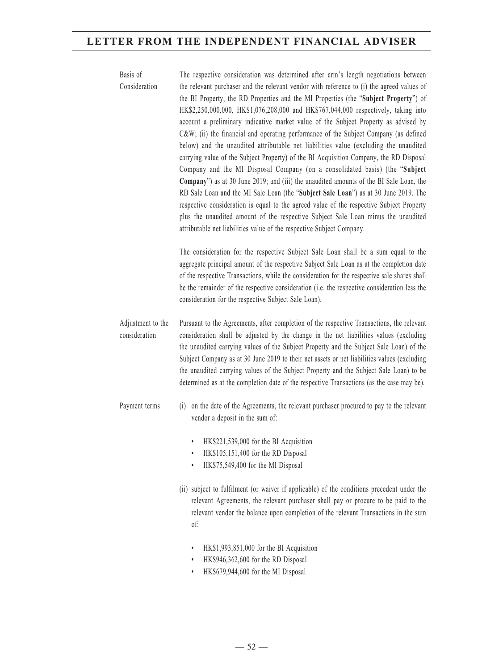| Basis of<br>Consideration          | The respective consideration was determined after arm's length negotiations between<br>the relevant purchaser and the relevant vendor with reference to (i) the agreed values of<br>the BI Property, the RD Properties and the MI Properties (the "Subject Property") of<br>HK\$2,250,000,000, HK\$1,076,208,000 and HK\$767,044,000 respectively, taking into<br>account a preliminary indicative market value of the Subject Property as advised by<br>C&W (ii) the financial and operating performance of the Subject Company (as defined<br>below) and the unaudited attributable net liabilities value (excluding the unaudited<br>carrying value of the Subject Property) of the BI Acquisition Company, the RD Disposal<br>Company and the MI Disposal Company (on a consolidated basis) (the "Subject<br>Company") as at 30 June 2019; and (iii) the unaudited amounts of the BI Sale Loan, the<br>RD Sale Loan and the MI Sale Loan (the "Subject Sale Loan") as at 30 June 2019. The<br>respective consideration is equal to the agreed value of the respective Subject Property<br>plus the unaudited amount of the respective Subject Sale Loan minus the unaudited<br>attributable net liabilities value of the respective Subject Company. |
|------------------------------------|----------------------------------------------------------------------------------------------------------------------------------------------------------------------------------------------------------------------------------------------------------------------------------------------------------------------------------------------------------------------------------------------------------------------------------------------------------------------------------------------------------------------------------------------------------------------------------------------------------------------------------------------------------------------------------------------------------------------------------------------------------------------------------------------------------------------------------------------------------------------------------------------------------------------------------------------------------------------------------------------------------------------------------------------------------------------------------------------------------------------------------------------------------------------------------------------------------------------------------------------------------|
|                                    | The consideration for the respective Subject Sale Loan shall be a sum equal to the<br>aggregate principal amount of the respective Subject Sale Loan as at the completion date<br>of the respective Transactions, while the consideration for the respective sale shares shall<br>be the remainder of the respective consideration (i.e. the respective consideration less the<br>consideration for the respective Subject Sale Loan).                                                                                                                                                                                                                                                                                                                                                                                                                                                                                                                                                                                                                                                                                                                                                                                                                   |
| Adjustment to the<br>consideration | Pursuant to the Agreements, after completion of the respective Transactions, the relevant<br>consideration shall be adjusted by the change in the net liabilities values (excluding<br>the unaudited carrying values of the Subject Property and the Subject Sale Loan) of the<br>Subject Company as at 30 June 2019 to their net assets or net liabilities values (excluding<br>the unaudited carrying values of the Subject Property and the Subject Sale Loan) to be<br>determined as at the completion date of the respective Transactions (as the case may be).                                                                                                                                                                                                                                                                                                                                                                                                                                                                                                                                                                                                                                                                                     |
| Payment terms                      | (i) on the date of the Agreements, the relevant purchaser procured to pay to the relevant<br>vendor a deposit in the sum of:<br>HK\$221,539,000 for the BI Acquisition<br>HK\$105,151,400 for the RD Disposal<br>HK\$75,549,400 for the MI Disposal                                                                                                                                                                                                                                                                                                                                                                                                                                                                                                                                                                                                                                                                                                                                                                                                                                                                                                                                                                                                      |
|                                    | (ii) subject to fulfilment (or waiver if applicable) of the conditions precedent under the<br>relevant Agreements, the relevant purchaser shall pay or procure to be paid to the<br>relevant vendor the balance upon completion of the relevant Transactions in the sum<br>of:                                                                                                                                                                                                                                                                                                                                                                                                                                                                                                                                                                                                                                                                                                                                                                                                                                                                                                                                                                           |

- HK\$1,993,851,000 for the BI Acquisition
- HK\$946,362,600 for the RD Disposal
- HK\$679,944,600 for the MI Disposal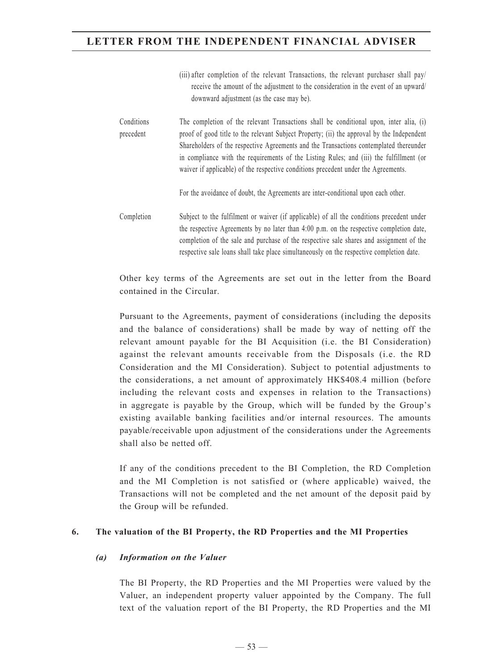|                         | receive the amount of the adjustment to the consideration in the event of an upward/<br>downward adjustment (as the case may be).                                                                                                                                                                                                                                                                                                                               |
|-------------------------|-----------------------------------------------------------------------------------------------------------------------------------------------------------------------------------------------------------------------------------------------------------------------------------------------------------------------------------------------------------------------------------------------------------------------------------------------------------------|
| Conditions<br>precedent | The completion of the relevant Transactions shall be conditional upon, inter alia, (i)<br>proof of good title to the relevant Subject Property; (ii) the approval by the Independent<br>Shareholders of the respective Agreements and the Transactions contemplated thereunder<br>in compliance with the requirements of the Listing Rules; and (iii) the fulfillment (or<br>waiver if applicable) of the respective conditions precedent under the Agreements. |
|                         | For the avoidance of doubt, the Agreements are inter-conditional upon each other.                                                                                                                                                                                                                                                                                                                                                                               |
| Completion              | Subject to the fulfilment or waiver (if applicable) of all the conditions precedent under<br>the respective Agreements by no later than 4:00 p.m. on the respective completion date,<br>completion of the sale and purchase of the respective sale shares and assignment of the<br>respective sale loans shall take place simultaneously on the respective completion date.                                                                                     |

(iii) after completion of the relevant Transactions, the relevant purchaser shall pay/

Other key terms of the Agreements are set out in the letter from the Board contained in the Circular.

Pursuant to the Agreements, payment of considerations (including the deposits and the balance of considerations) shall be made by way of netting off the relevant amount payable for the BI Acquisition (i.e. the BI Consideration) against the relevant amounts receivable from the Disposals (i.e. the RD Consideration and the MI Consideration). Subject to potential adjustments to the considerations, a net amount of approximately HK\$408.4 million (before including the relevant costs and expenses in relation to the Transactions) in aggregate is payable by the Group, which will be funded by the Group's existing available banking facilities and/or internal resources. The amounts payable/receivable upon adjustment of the considerations under the Agreements shall also be netted off.

If any of the conditions precedent to the BI Completion, the RD Completion and the MI Completion is not satisfied or (where applicable) waived, the Transactions will not be completed and the net amount of the deposit paid by the Group will be refunded.

## **6. The valuation of the BI Property, the RD Properties and the MI Properties**

## *(a) Information on the Valuer*

The BI Property, the RD Properties and the MI Properties were valued by the Valuer, an independent property valuer appointed by the Company. The full text of the valuation report of the BI Property, the RD Properties and the MI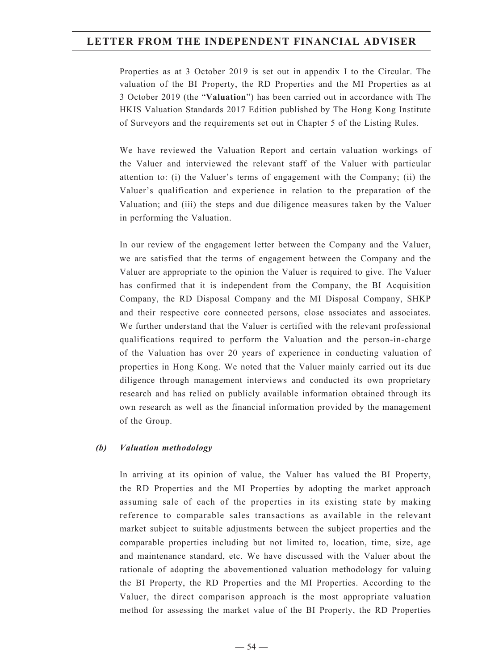Properties as at 3 October 2019 is set out in appendix I to the Circular. The valuation of the BI Property, the RD Properties and the MI Properties as at 3 October 2019 (the "**Valuation**") has been carried out in accordance with The HKIS Valuation Standards 2017 Edition published by The Hong Kong Institute of Surveyors and the requirements set out in Chapter 5 of the Listing Rules.

We have reviewed the Valuation Report and certain valuation workings of the Valuer and interviewed the relevant staff of the Valuer with particular attention to: (i) the Valuer's terms of engagement with the Company; (ii) the Valuer's qualification and experience in relation to the preparation of the Valuation; and (iii) the steps and due diligence measures taken by the Valuer in performing the Valuation.

In our review of the engagement letter between the Company and the Valuer, we are satisfied that the terms of engagement between the Company and the Valuer are appropriate to the opinion the Valuer is required to give. The Valuer has confirmed that it is independent from the Company, the BI Acquisition Company, the RD Disposal Company and the MI Disposal Company, SHKP and their respective core connected persons, close associates and associates. We further understand that the Valuer is certified with the relevant professional qualifications required to perform the Valuation and the person-in-charge of the Valuation has over 20 years of experience in conducting valuation of properties in Hong Kong. We noted that the Valuer mainly carried out its due diligence through management interviews and conducted its own proprietary research and has relied on publicly available information obtained through its own research as well as the financial information provided by the management of the Group.

## *(b) Valuation methodology*

In arriving at its opinion of value, the Valuer has valued the BI Property, the RD Properties and the MI Properties by adopting the market approach assuming sale of each of the properties in its existing state by making reference to comparable sales transactions as available in the relevant market subject to suitable adjustments between the subject properties and the comparable properties including but not limited to, location, time, size, age and maintenance standard, etc. We have discussed with the Valuer about the rationale of adopting the abovementioned valuation methodology for valuing the BI Property, the RD Properties and the MI Properties. According to the Valuer, the direct comparison approach is the most appropriate valuation method for assessing the market value of the BI Property, the RD Properties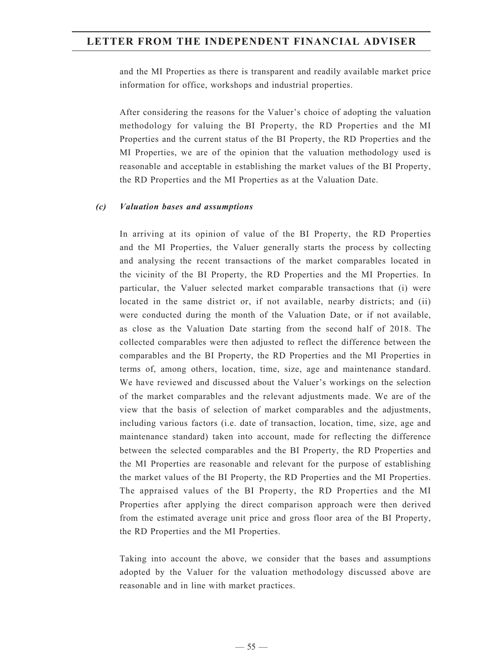and the MI Properties as there is transparent and readily available market price information for office, workshops and industrial properties.

After considering the reasons for the Valuer's choice of adopting the valuation methodology for valuing the BI Property, the RD Properties and the MI Properties and the current status of the BI Property, the RD Properties and the MI Properties, we are of the opinion that the valuation methodology used is reasonable and acceptable in establishing the market values of the BI Property, the RD Properties and the MI Properties as at the Valuation Date.

#### *(c) Valuation bases and assumptions*

In arriving at its opinion of value of the BI Property, the RD Properties and the MI Properties, the Valuer generally starts the process by collecting and analysing the recent transactions of the market comparables located in the vicinity of the BI Property, the RD Properties and the MI Properties. In particular, the Valuer selected market comparable transactions that (i) were located in the same district or, if not available, nearby districts; and (ii) were conducted during the month of the Valuation Date, or if not available, as close as the Valuation Date starting from the second half of 2018. The collected comparables were then adjusted to reflect the difference between the comparables and the BI Property, the RD Properties and the MI Properties in terms of, among others, location, time, size, age and maintenance standard. We have reviewed and discussed about the Valuer's workings on the selection of the market comparables and the relevant adjustments made. We are of the view that the basis of selection of market comparables and the adjustments, including various factors (i.e. date of transaction, location, time, size, age and maintenance standard) taken into account, made for reflecting the difference between the selected comparables and the BI Property, the RD Properties and the MI Properties are reasonable and relevant for the purpose of establishing the market values of the BI Property, the RD Properties and the MI Properties. The appraised values of the BI Property, the RD Properties and the MI Properties after applying the direct comparison approach were then derived from the estimated average unit price and gross floor area of the BI Property, the RD Properties and the MI Properties.

Taking into account the above, we consider that the bases and assumptions adopted by the Valuer for the valuation methodology discussed above are reasonable and in line with market practices.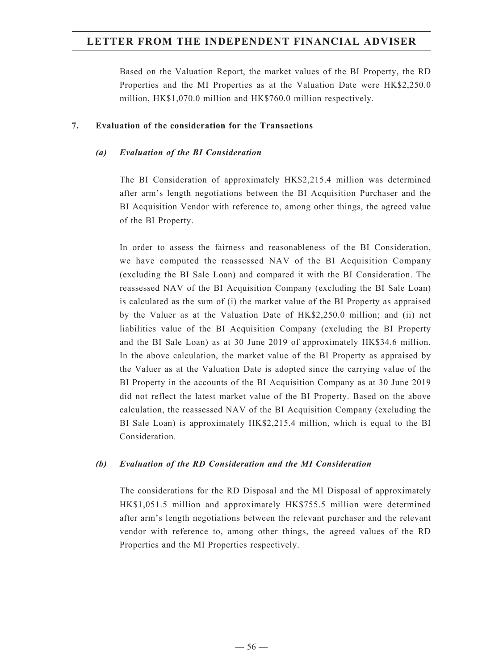Based on the Valuation Report, the market values of the BI Property, the RD Properties and the MI Properties as at the Valuation Date were HK\$2,250.0 million, HK\$1,070.0 million and HK\$760.0 million respectively.

#### **7. Evaluation of the consideration for the Transactions**

#### *(a) Evaluation of the BI Consideration*

The BI Consideration of approximately HK\$2,215.4 million was determined after arm's length negotiations between the BI Acquisition Purchaser and the BI Acquisition Vendor with reference to, among other things, the agreed value of the BI Property.

In order to assess the fairness and reasonableness of the BI Consideration, we have computed the reassessed NAV of the BI Acquisition Company (excluding the BI Sale Loan) and compared it with the BI Consideration. The reassessed NAV of the BI Acquisition Company (excluding the BI Sale Loan) is calculated as the sum of (i) the market value of the BI Property as appraised by the Valuer as at the Valuation Date of HK\$2,250.0 million; and (ii) net liabilities value of the BI Acquisition Company (excluding the BI Property and the BI Sale Loan) as at 30 June 2019 of approximately HK\$34.6 million. In the above calculation, the market value of the BI Property as appraised by the Valuer as at the Valuation Date is adopted since the carrying value of the BI Property in the accounts of the BI Acquisition Company as at 30 June 2019 did not reflect the latest market value of the BI Property. Based on the above calculation, the reassessed NAV of the BI Acquisition Company (excluding the BI Sale Loan) is approximately HK\$2,215.4 million, which is equal to the BI Consideration.

## *(b) Evaluation of the RD Consideration and the MI Consideration*

The considerations for the RD Disposal and the MI Disposal of approximately HK\$1,051.5 million and approximately HK\$755.5 million were determined after arm's length negotiations between the relevant purchaser and the relevant vendor with reference to, among other things, the agreed values of the RD Properties and the MI Properties respectively.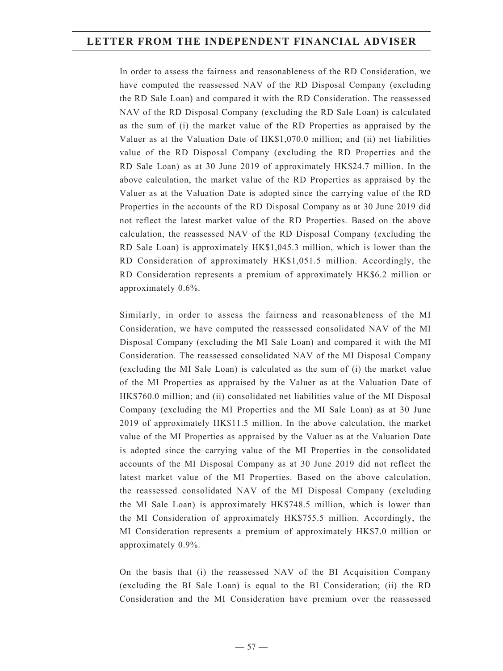In order to assess the fairness and reasonableness of the RD Consideration, we have computed the reassessed NAV of the RD Disposal Company (excluding the RD Sale Loan) and compared it with the RD Consideration. The reassessed NAV of the RD Disposal Company (excluding the RD Sale Loan) is calculated as the sum of (i) the market value of the RD Properties as appraised by the Valuer as at the Valuation Date of HK\$1,070.0 million; and (ii) net liabilities value of the RD Disposal Company (excluding the RD Properties and the RD Sale Loan) as at 30 June 2019 of approximately HK\$24.7 million. In the above calculation, the market value of the RD Properties as appraised by the Valuer as at the Valuation Date is adopted since the carrying value of the RD Properties in the accounts of the RD Disposal Company as at 30 June 2019 did not reflect the latest market value of the RD Properties. Based on the above calculation, the reassessed NAV of the RD Disposal Company (excluding the RD Sale Loan) is approximately HK\$1,045.3 million, which is lower than the RD Consideration of approximately HK\$1,051.5 million. Accordingly, the RD Consideration represents a premium of approximately HK\$6.2 million or approximately 0.6%.

Similarly, in order to assess the fairness and reasonableness of the MI Consideration, we have computed the reassessed consolidated NAV of the MI Disposal Company (excluding the MI Sale Loan) and compared it with the MI Consideration. The reassessed consolidated NAV of the MI Disposal Company (excluding the MI Sale Loan) is calculated as the sum of (i) the market value of the MI Properties as appraised by the Valuer as at the Valuation Date of HK\$760.0 million; and (ii) consolidated net liabilities value of the MI Disposal Company (excluding the MI Properties and the MI Sale Loan) as at 30 June 2019 of approximately HK\$11.5 million. In the above calculation, the market value of the MI Properties as appraised by the Valuer as at the Valuation Date is adopted since the carrying value of the MI Properties in the consolidated accounts of the MI Disposal Company as at 30 June 2019 did not reflect the latest market value of the MI Properties. Based on the above calculation, the reassessed consolidated NAV of the MI Disposal Company (excluding the MI Sale Loan) is approximately HK\$748.5 million, which is lower than the MI Consideration of approximately HK\$755.5 million. Accordingly, the MI Consideration represents a premium of approximately HK\$7.0 million or approximately 0.9%.

On the basis that (i) the reassessed NAV of the BI Acquisition Company (excluding the BI Sale Loan) is equal to the BI Consideration; (ii) the RD Consideration and the MI Consideration have premium over the reassessed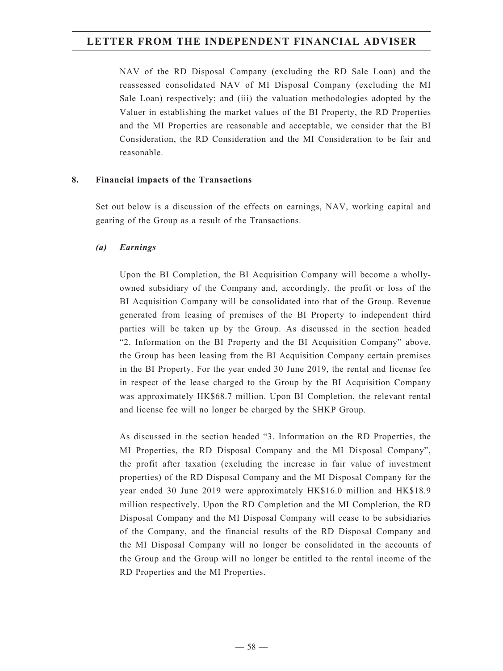NAV of the RD Disposal Company (excluding the RD Sale Loan) and the reassessed consolidated NAV of MI Disposal Company (excluding the MI Sale Loan) respectively; and (iii) the valuation methodologies adopted by the Valuer in establishing the market values of the BI Property, the RD Properties and the MI Properties are reasonable and acceptable, we consider that the BI Consideration, the RD Consideration and the MI Consideration to be fair and reasonable.

## **8. Financial impacts of the Transactions**

Set out below is a discussion of the effects on earnings, NAV, working capital and gearing of the Group as a result of the Transactions.

#### *(a) Earnings*

Upon the BI Completion, the BI Acquisition Company will become a whollyowned subsidiary of the Company and, accordingly, the profit or loss of the BI Acquisition Company will be consolidated into that of the Group. Revenue generated from leasing of premises of the BI Property to independent third parties will be taken up by the Group. As discussed in the section headed "2. Information on the BI Property and the BI Acquisition Company" above, the Group has been leasing from the BI Acquisition Company certain premises in the BI Property. For the year ended 30 June 2019, the rental and license fee in respect of the lease charged to the Group by the BI Acquisition Company was approximately HK\$68.7 million. Upon BI Completion, the relevant rental and license fee will no longer be charged by the SHKP Group.

As discussed in the section headed "3. Information on the RD Properties, the MI Properties, the RD Disposal Company and the MI Disposal Company", the profit after taxation (excluding the increase in fair value of investment properties) of the RD Disposal Company and the MI Disposal Company for the year ended 30 June 2019 were approximately HK\$16.0 million and HK\$18.9 million respectively. Upon the RD Completion and the MI Completion, the RD Disposal Company and the MI Disposal Company will cease to be subsidiaries of the Company, and the financial results of the RD Disposal Company and the MI Disposal Company will no longer be consolidated in the accounts of the Group and the Group will no longer be entitled to the rental income of the RD Properties and the MI Properties.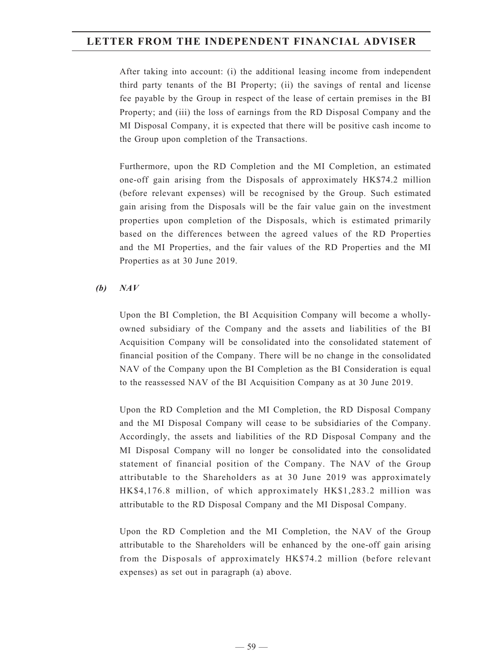After taking into account: (i) the additional leasing income from independent third party tenants of the BI Property; (ii) the savings of rental and license fee payable by the Group in respect of the lease of certain premises in the BI Property; and (iii) the loss of earnings from the RD Disposal Company and the MI Disposal Company, it is expected that there will be positive cash income to the Group upon completion of the Transactions.

Furthermore, upon the RD Completion and the MI Completion, an estimated one-off gain arising from the Disposals of approximately HK\$74.2 million (before relevant expenses) will be recognised by the Group. Such estimated gain arising from the Disposals will be the fair value gain on the investment properties upon completion of the Disposals, which is estimated primarily based on the differences between the agreed values of the RD Properties and the MI Properties, and the fair values of the RD Properties and the MI Properties as at 30 June 2019.

## *(b) NAV*

Upon the BI Completion, the BI Acquisition Company will become a whollyowned subsidiary of the Company and the assets and liabilities of the BI Acquisition Company will be consolidated into the consolidated statement of financial position of the Company. There will be no change in the consolidated NAV of the Company upon the BI Completion as the BI Consideration is equal to the reassessed NAV of the BI Acquisition Company as at 30 June 2019.

Upon the RD Completion and the MI Completion, the RD Disposal Company and the MI Disposal Company will cease to be subsidiaries of the Company. Accordingly, the assets and liabilities of the RD Disposal Company and the MI Disposal Company will no longer be consolidated into the consolidated statement of financial position of the Company. The NAV of the Group attributable to the Shareholders as at 30 June 2019 was approximately HK\$4,176.8 million, of which approximately HK\$1,283.2 million was attributable to the RD Disposal Company and the MI Disposal Company.

Upon the RD Completion and the MI Completion, the NAV of the Group attributable to the Shareholders will be enhanced by the one-off gain arising from the Disposals of approximately HK\$74.2 million (before relevant expenses) as set out in paragraph (a) above.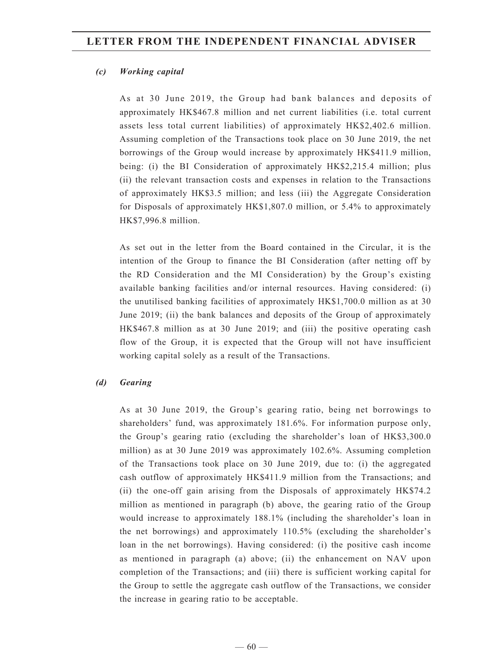## *(c) Working capital*

As at 30 June 2019, the Group had bank balances and deposits of approximately HK\$467.8 million and net current liabilities (i.e. total current assets less total current liabilities) of approximately HK\$2,402.6 million. Assuming completion of the Transactions took place on 30 June 2019, the net borrowings of the Group would increase by approximately HK\$411.9 million, being: (i) the BI Consideration of approximately HK\$2,215.4 million; plus (ii) the relevant transaction costs and expenses in relation to the Transactions of approximately HK\$3.5 million; and less (iii) the Aggregate Consideration for Disposals of approximately HK\$1,807.0 million, or 5.4% to approximately HK\$7,996.8 million.

As set out in the letter from the Board contained in the Circular, it is the intention of the Group to finance the BI Consideration (after netting off by the RD Consideration and the MI Consideration) by the Group's existing available banking facilities and/or internal resources. Having considered: (i) the unutilised banking facilities of approximately HK\$1,700.0 million as at 30 June 2019; (ii) the bank balances and deposits of the Group of approximately HK\$467.8 million as at 30 June 2019; and (iii) the positive operating cash flow of the Group, it is expected that the Group will not have insufficient working capital solely as a result of the Transactions.

## *(d) Gearing*

As at 30 June 2019, the Group's gearing ratio, being net borrowings to shareholders' fund, was approximately 181.6%. For information purpose only, the Group's gearing ratio (excluding the shareholder's loan of HK\$3,300.0 million) as at 30 June 2019 was approximately 102.6%. Assuming completion of the Transactions took place on 30 June 2019, due to: (i) the aggregated cash outflow of approximately HK\$411.9 million from the Transactions; and (ii) the one-off gain arising from the Disposals of approximately HK\$74.2 million as mentioned in paragraph (b) above, the gearing ratio of the Group would increase to approximately 188.1% (including the shareholder's loan in the net borrowings) and approximately 110.5% (excluding the shareholder's loan in the net borrowings). Having considered: (i) the positive cash income as mentioned in paragraph (a) above; (ii) the enhancement on NAV upon completion of the Transactions; and (iii) there is sufficient working capital for the Group to settle the aggregate cash outflow of the Transactions, we consider the increase in gearing ratio to be acceptable.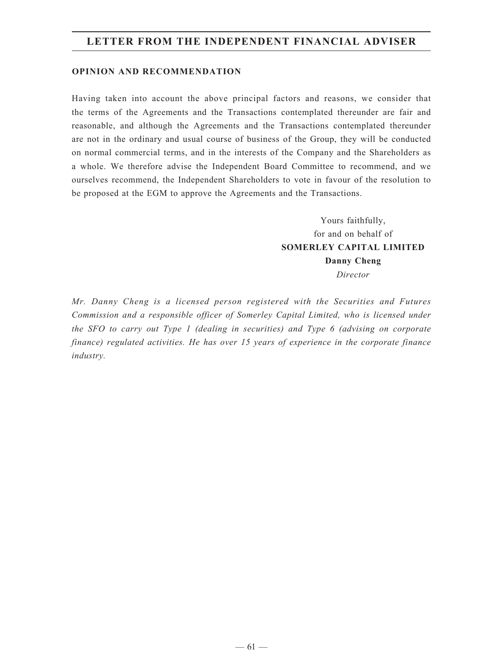#### **OPINION AND RECOMMENDATION**

Having taken into account the above principal factors and reasons, we consider that the terms of the Agreements and the Transactions contemplated thereunder are fair and reasonable, and although the Agreements and the Transactions contemplated thereunder are not in the ordinary and usual course of business of the Group, they will be conducted on normal commercial terms, and in the interests of the Company and the Shareholders as a whole. We therefore advise the Independent Board Committee to recommend, and we ourselves recommend, the Independent Shareholders to vote in favour of the resolution to be proposed at the EGM to approve the Agreements and the Transactions.

> Yours faithfully, for and on behalf of **SOMERLEY CAPITAL LIMITED Danny Cheng** *Director*

*Mr. Danny Cheng is a licensed person registered with the Securities and Futures Commission and a responsible officer of Somerley Capital Limited, who is licensed under the SFO to carry out Type 1 (dealing in securities) and Type 6 (advising on corporate finance) regulated activities. He has over 15 years of experience in the corporate finance industry.*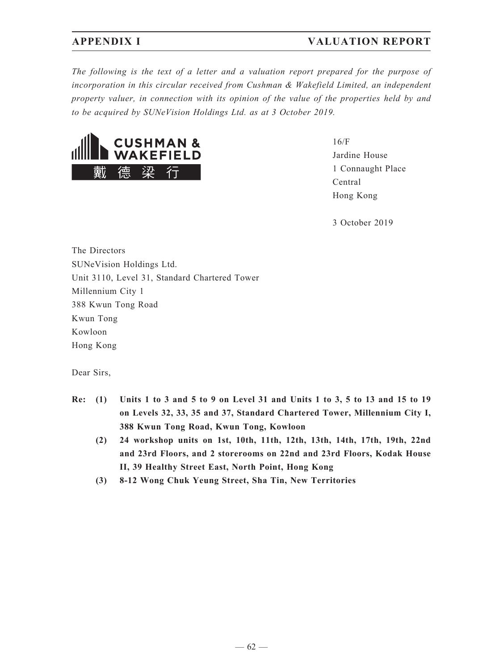## **APPENDIX I VALUATION REPORT**

*The following is the text of a letter and a valuation report prepared for the purpose of incorporation in this circular received from Cushman & Wakefield Limited, an independent property valuer, in connection with its opinion of the value of the properties held by and to be acquired by SUNeVision Holdings Ltd. as at 3 October 2019.*



16/F Jardine House 1 Connaught Place Central Hong Kong

3 October 2019

The Directors SUNeVision Holdings Ltd. Unit 3110, Level 31, Standard Chartered Tower Millennium City 1 388 Kwun Tong Road Kwun Tong Kowloon Hong Kong

Dear Sirs,

- **Re: (1) Units 1 to 3 and 5 to 9 on Level 31 and Units 1 to 3, 5 to 13 and 15 to 19 on Levels 32, 33, 35 and 37, Standard Chartered Tower, Millennium City I, 388 Kwun Tong Road, Kwun Tong, Kowloon**
	- **(2) 24 workshop units on 1st, 10th, 11th, 12th, 13th, 14th, 17th, 19th, 22nd and 23rd Floors, and 2 storerooms on 22nd and 23rd Floors, Kodak House II, 39 Healthy Street East, North Point, Hong Kong**
	- **(3) 8-12 Wong Chuk Yeung Street, Sha Tin, New Territories**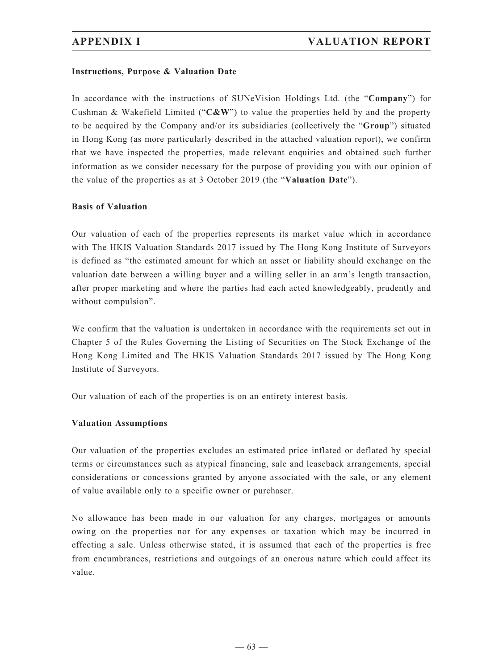## **Instructions, Purpose & Valuation Date**

In accordance with the instructions of SUNeVision Holdings Ltd. (the "**Company**") for Cushman & Wakefield Limited ("**C&W**") to value the properties held by and the property to be acquired by the Company and/or its subsidiaries (collectively the "**Group**") situated in Hong Kong (as more particularly described in the attached valuation report), we confirm that we have inspected the properties, made relevant enquiries and obtained such further information as we consider necessary for the purpose of providing you with our opinion of the value of the properties as at 3 October 2019 (the "**Valuation Date**").

#### **Basis of Valuation**

Our valuation of each of the properties represents its market value which in accordance with The HKIS Valuation Standards 2017 issued by The Hong Kong Institute of Surveyors is defined as "the estimated amount for which an asset or liability should exchange on the valuation date between a willing buyer and a willing seller in an arm's length transaction, after proper marketing and where the parties had each acted knowledgeably, prudently and without compulsion".

We confirm that the valuation is undertaken in accordance with the requirements set out in Chapter 5 of the Rules Governing the Listing of Securities on The Stock Exchange of the Hong Kong Limited and The HKIS Valuation Standards 2017 issued by The Hong Kong Institute of Surveyors.

Our valuation of each of the properties is on an entirety interest basis.

## **Valuation Assumptions**

Our valuation of the properties excludes an estimated price inflated or deflated by special terms or circumstances such as atypical financing, sale and leaseback arrangements, special considerations or concessions granted by anyone associated with the sale, or any element of value available only to a specific owner or purchaser.

No allowance has been made in our valuation for any charges, mortgages or amounts owing on the properties nor for any expenses or taxation which may be incurred in effecting a sale. Unless otherwise stated, it is assumed that each of the properties is free from encumbrances, restrictions and outgoings of an onerous nature which could affect its value.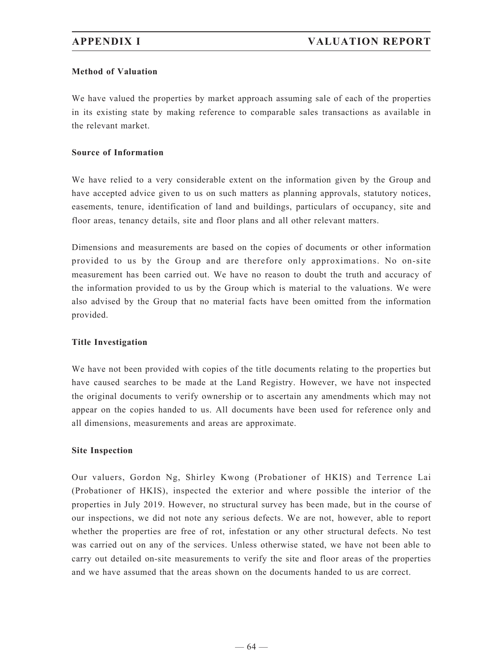## **Method of Valuation**

We have valued the properties by market approach assuming sale of each of the properties in its existing state by making reference to comparable sales transactions as available in the relevant market.

## **Source of Information**

We have relied to a very considerable extent on the information given by the Group and have accepted advice given to us on such matters as planning approvals, statutory notices, easements, tenure, identification of land and buildings, particulars of occupancy, site and floor areas, tenancy details, site and floor plans and all other relevant matters.

Dimensions and measurements are based on the copies of documents or other information provided to us by the Group and are therefore only approximations. No on-site measurement has been carried out. We have no reason to doubt the truth and accuracy of the information provided to us by the Group which is material to the valuations. We were also advised by the Group that no material facts have been omitted from the information provided.

## **Title Investigation**

We have not been provided with copies of the title documents relating to the properties but have caused searches to be made at the Land Registry. However, we have not inspected the original documents to verify ownership or to ascertain any amendments which may not appear on the copies handed to us. All documents have been used for reference only and all dimensions, measurements and areas are approximate.

## **Site Inspection**

Our valuers, Gordon Ng, Shirley Kwong (Probationer of HKIS) and Terrence Lai (Probationer of HKIS), inspected the exterior and where possible the interior of the properties in July 2019. However, no structural survey has been made, but in the course of our inspections, we did not note any serious defects. We are not, however, able to report whether the properties are free of rot, infestation or any other structural defects. No test was carried out on any of the services. Unless otherwise stated, we have not been able to carry out detailed on-site measurements to verify the site and floor areas of the properties and we have assumed that the areas shown on the documents handed to us are correct.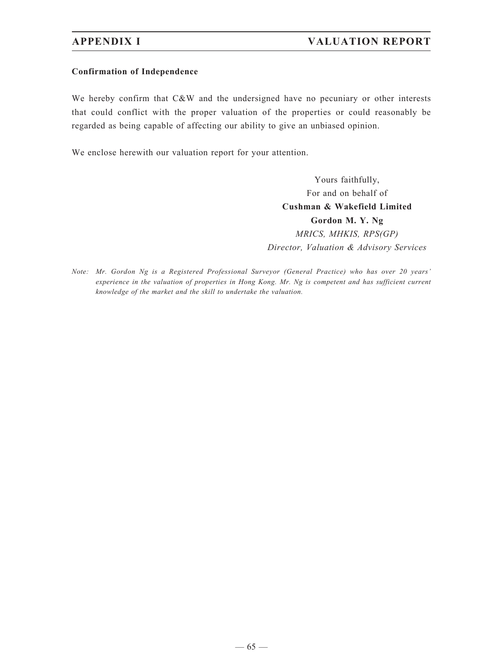# **APPENDIX I VALUATION REPORT**

#### **Confirmation of Independence**

We hereby confirm that C&W and the undersigned have no pecuniary or other interests that could conflict with the proper valuation of the properties or could reasonably be regarded as being capable of affecting our ability to give an unbiased opinion.

We enclose herewith our valuation report for your attention.

Yours faithfully, For and on behalf of **Cushman & Wakefield Limited Gordon M. Y. Ng** *MRICS, MHKIS, RPS(GP) Director, Valuation & Advisory Services*

*Note: Mr. Gordon Ng is a Registered Professional Surveyor (General Practice) who has over 20 years' experience in the valuation of properties in Hong Kong. Mr. Ng is competent and has sufficient current knowledge of the market and the skill to undertake the valuation.*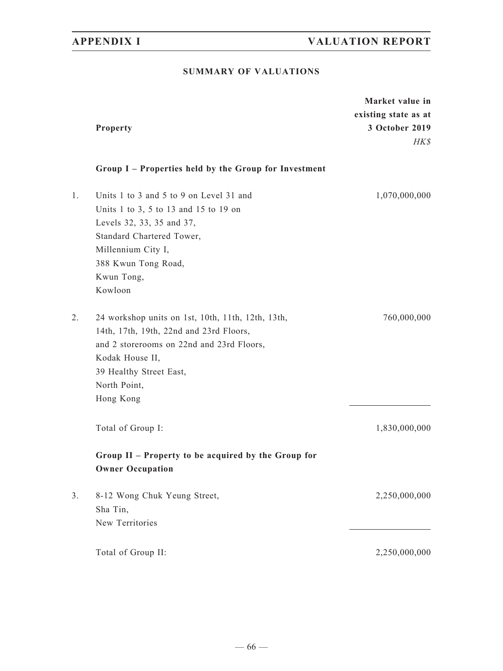# **SUMMARY OF VALUATIONS**

|    | Property                                                                                                                                                                                                             | Market value in<br>existing state as at<br>3 October 2019<br>HK\$ |
|----|----------------------------------------------------------------------------------------------------------------------------------------------------------------------------------------------------------------------|-------------------------------------------------------------------|
|    | Group I - Properties held by the Group for Investment                                                                                                                                                                |                                                                   |
| 1. | Units 1 to 3 and 5 to 9 on Level 31 and<br>Units 1 to 3, 5 to 13 and 15 to 19 on<br>Levels 32, 33, 35 and 37,<br>Standard Chartered Tower,<br>Millennium City I,<br>388 Kwun Tong Road,<br>Kwun Tong,<br>Kowloon     | 1,070,000,000                                                     |
| 2. | 24 workshop units on 1st, 10th, 11th, 12th, 13th,<br>14th, 17th, 19th, 22nd and 23rd Floors,<br>and 2 storerooms on 22nd and 23rd Floors,<br>Kodak House II,<br>39 Healthy Street East,<br>North Point,<br>Hong Kong | 760,000,000                                                       |
|    | Total of Group I:<br>Group II - Property to be acquired by the Group for                                                                                                                                             | 1,830,000,000                                                     |
| 3. | <b>Owner Occupation</b><br>8-12 Wong Chuk Yeung Street,<br>Sha Tin,<br>New Territories                                                                                                                               | 2,250,000,000                                                     |
|    | Total of Group II:                                                                                                                                                                                                   | 2,250,000,000                                                     |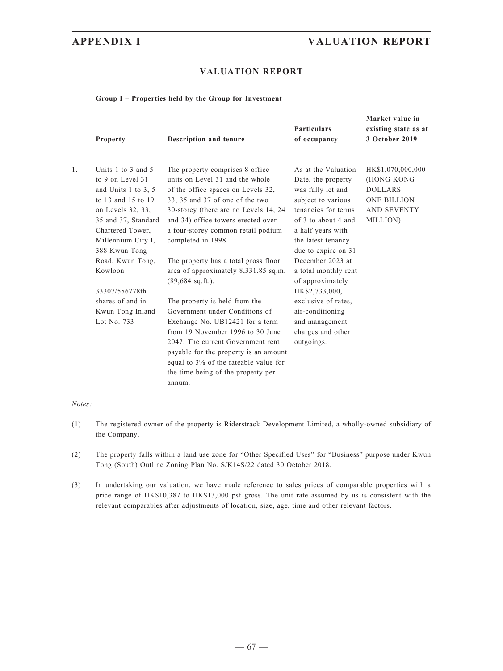**Market value in**

### **VALUATION REPORT**

#### **Group I – Properties held by the Group for Investment**

|    | <b>Property</b>                                                                                                                                                                            | Description and tenure                                                                                                                                                                                                                                                                                        | <b>Particulars</b><br>of occupancy                                                                                                                                                                   | existing state as at<br>3 October 2019                                                                    |
|----|--------------------------------------------------------------------------------------------------------------------------------------------------------------------------------------------|---------------------------------------------------------------------------------------------------------------------------------------------------------------------------------------------------------------------------------------------------------------------------------------------------------------|------------------------------------------------------------------------------------------------------------------------------------------------------------------------------------------------------|-----------------------------------------------------------------------------------------------------------|
| 1. | Units 1 to 3 and 5<br>to 9 on Level 31<br>and Units 1 to 3, 5<br>to 13 and 15 to 19<br>on Levels 32, 33,<br>35 and 37, Standard<br>Chartered Tower,<br>Millennium City I,<br>388 Kwun Tong | The property comprises 8 office<br>units on Level 31 and the whole<br>of the office spaces on Levels 32,<br>33, 35 and 37 of one of the two<br>30-storey (there are no Levels 14, 24)<br>and 34) office towers erected over<br>a four-storey common retail podium<br>completed in 1998.                       | As at the Valuation<br>Date, the property<br>was fully let and<br>subject to various<br>tenancies for terms<br>of 3 to about 4 and<br>a half years with<br>the latest tenancy<br>due to expire on 31 | HK\$1,070,000,000<br>(HONG KONG<br><b>DOLLARS</b><br><b>ONE BILLION</b><br><b>AND SEVENTY</b><br>MILLION) |
|    | Road, Kwun Tong,<br>Kowloon                                                                                                                                                                | The property has a total gross floor<br>area of approximately 8,331.85 sq.m.<br>$(89,684 \text{ sq.ft.}).$                                                                                                                                                                                                    | December 2023 at<br>a total monthly rent<br>of approximately                                                                                                                                         |                                                                                                           |
|    | 33307/556778th<br>shares of and in                                                                                                                                                         |                                                                                                                                                                                                                                                                                                               | HK\$2,733,000,                                                                                                                                                                                       |                                                                                                           |
|    | Kwun Tong Inland<br>Lot No. 733                                                                                                                                                            | The property is held from the<br>Government under Conditions of<br>Exchange No. UB12421 for a term<br>from 19 November 1996 to 30 June<br>2047. The current Government rent<br>payable for the property is an amount<br>equal to 3% of the rateable value for<br>the time being of the property per<br>annum. | exclusive of rates,<br>air-conditioning<br>and management<br>charges and other<br>outgoings.                                                                                                         |                                                                                                           |

#### *Notes:*

- (1) The registered owner of the property is Riderstrack Development Limited, a wholly-owned subsidiary of the Company.
- (2) The property falls within a land use zone for "Other Specified Uses" for "Business" purpose under Kwun Tong (South) Outline Zoning Plan No. S/K14S/22 dated 30 October 2018.
- (3) In undertaking our valuation, we have made reference to sales prices of comparable properties with a price range of HK\$10,387 to HK\$13,000 psf gross. The unit rate assumed by us is consistent with the relevant comparables after adjustments of location, size, age, time and other relevant factors.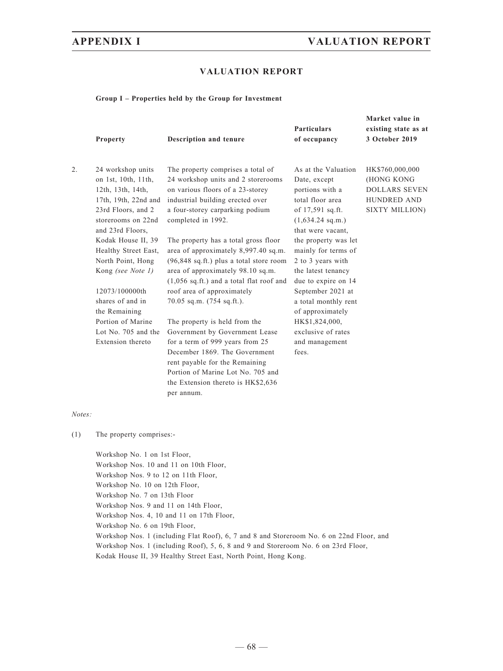### **VALUATION REPORT**

#### **Group I – Properties held by the Group for Investment**

|    | Property             | Description and tenure                              | <b>Particulars</b><br>of occupancy | Market value in<br>existing state as at<br>3 October 2019 |  |
|----|----------------------|-----------------------------------------------------|------------------------------------|-----------------------------------------------------------|--|
| 2. | 24 workshop units    | The property comprises a total of                   | As at the Valuation                | HK\$760,000,000                                           |  |
|    | on 1st, 10th, 11th,  | 24 workshop units and 2 storerooms                  | Date, except                       | (HONG KONG                                                |  |
|    | 12th, 13th, 14th,    | on various floors of a 23-storey                    | portions with a                    | <b>DOLLARS SEVEN</b>                                      |  |
|    | 17th, 19th, 22nd and | industrial building erected over                    | total floor area                   | <b>HUNDRED AND</b>                                        |  |
|    | 23rd Floors, and 2   | a four-storey carparking podium                     | of 17,591 sq.ft.                   | SIXTY MILLION)                                            |  |
|    | storerooms on 22nd   | completed in 1992.                                  | $(1,634.24 \text{ sq.m.})$         |                                                           |  |
|    | and 23rd Floors,     |                                                     | that were vacant.                  |                                                           |  |
|    | Kodak House II, 39   | The property has a total gross floor                | the property was let               |                                                           |  |
|    | Healthy Street East, | area of approximately 8,997.40 sq.m.                | mainly for terms of                |                                                           |  |
|    | North Point, Hong    | (96,848 sq.ft.) plus a total store room             | 2 to 3 years with                  |                                                           |  |
|    | Kong (see Note 1)    | area of approximately 98.10 sq.m.                   | the latest tenancy                 |                                                           |  |
|    |                      | $(1,056 \text{ sq.fit.})$ and a total flat roof and | due to expire on 14                |                                                           |  |
|    | 12073/100000th       | roof area of approximately                          | September 2021 at                  |                                                           |  |
|    | shares of and in     | 70.05 sq.m. (754 sq.ft.).                           | a total monthly rent               |                                                           |  |
|    | the Remaining        |                                                     | of approximately                   |                                                           |  |
|    | Portion of Marine    | The property is held from the                       | HK\$1,824,000,                     |                                                           |  |
|    | Lot No. 705 and the  | Government by Government Lease                      | exclusive of rates                 |                                                           |  |
|    | Extension thereto    | for a term of 999 years from 25                     | and management                     |                                                           |  |
|    |                      | December 1869. The Government                       | fees.                              |                                                           |  |
|    |                      | rent payable for the Remaining                      |                                    |                                                           |  |
|    |                      | Portion of Marine Lot No. 705 and                   |                                    |                                                           |  |
|    |                      | the Extension thereto is HK\$2,636                  |                                    |                                                           |  |
|    |                      | per annum.                                          |                                    |                                                           |  |

#### *Notes:*

(1) The property comprises:-

Workshop No. 1 on 1st Floor, Workshop Nos. 10 and 11 on 10th Floor, Workshop Nos. 9 to 12 on 11th Floor, Workshop No. 10 on 12th Floor, Workshop No. 7 on 13th Floor Workshop Nos. 9 and 11 on 14th Floor, Workshop Nos. 4, 10 and 11 on 17th Floor, Workshop No. 6 on 19th Floor, Workshop Nos. 1 (including Flat Roof), 6, 7 and 8 and Storeroom No. 6 on 22nd Floor, and Workshop Nos. 1 (including Roof), 5, 6, 8 and 9 and Storeroom No. 6 on 23rd Floor, Kodak House II, 39 Healthy Street East, North Point, Hong Kong.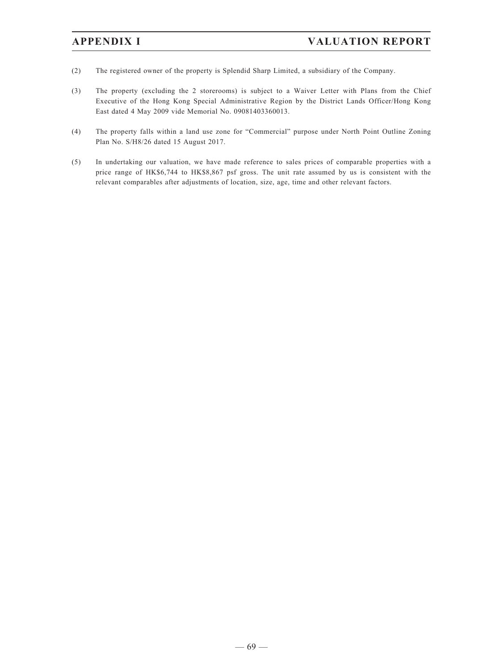- (2) The registered owner of the property is Splendid Sharp Limited, a subsidiary of the Company.
- (3) The property (excluding the 2 storerooms) is subject to a Waiver Letter with Plans from the Chief Executive of the Hong Kong Special Administrative Region by the District Lands Officer/Hong Kong East dated 4 May 2009 vide Memorial No. 09081403360013.
- (4) The property falls within a land use zone for "Commercial" purpose under North Point Outline Zoning Plan No. S/H8/26 dated 15 August 2017.
- (5) In undertaking our valuation, we have made reference to sales prices of comparable properties with a price range of HK\$6,744 to HK\$8,867 psf gross. The unit rate assumed by us is consistent with the relevant comparables after adjustments of location, size, age, time and other relevant factors.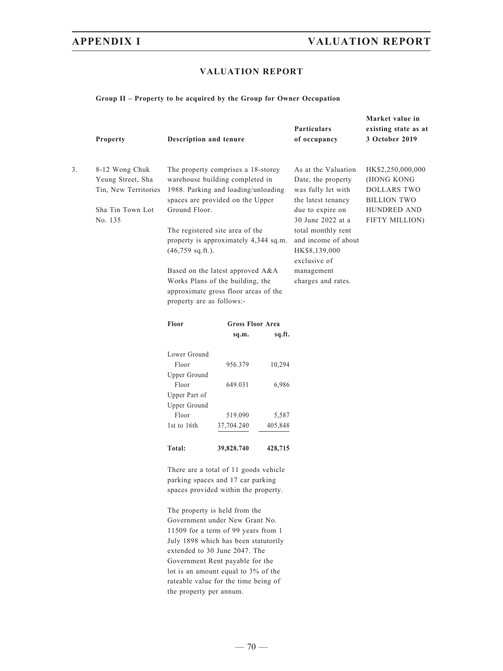### **VALUATION REPORT**

#### **Group II – Property to be acquired by the Group for Owner Occupation**

|    | Property                                                                                                                                            | Description and tenure                                                                                                                                                                                                                                                                                          |                         |                                                                                                                                                                                                                                                  | <b>Particulars</b><br>of occupancy                                                                    | Market value in<br>existing state as at<br>3 October 2019 |
|----|-----------------------------------------------------------------------------------------------------------------------------------------------------|-----------------------------------------------------------------------------------------------------------------------------------------------------------------------------------------------------------------------------------------------------------------------------------------------------------------|-------------------------|--------------------------------------------------------------------------------------------------------------------------------------------------------------------------------------------------------------------------------------------------|-------------------------------------------------------------------------------------------------------|-----------------------------------------------------------|
| 3. | 8-12 Wong Chuk<br>Yeung Street, Sha<br>Tin, New Territories<br>Sha Tin Town Lot<br>No. 135                                                          | The property comprises a 18-storey<br>warehouse building completed in<br>1988. Parking and loading/unloading<br>spaces are provided on the Upper<br>Ground Floor.<br>The registered site area of the<br>property is approximately 4,344 sq.m.<br>$(46,759 \text{ sq.ft.}).$<br>Based on the latest approved A&A |                         | As at the Valuation<br>Date, the property<br>was fully let with<br>the latest tenancy<br>due to expire on<br>30 June 2022 at a<br>total monthly rent<br>and income of about<br>HK\$8,139,000<br>exclusive of<br>management<br>charges and rates. | HK\$2,250,000,000<br>(HONG KONG<br>DOLLARS TWO<br><b>BILLION TWO</b><br>HUNDRED AND<br>FIFTY MILLION) |                                                           |
|    |                                                                                                                                                     | Works Plans of the building, the<br>approximate gross floor areas of the<br>property are as follows:-                                                                                                                                                                                                           |                         |                                                                                                                                                                                                                                                  |                                                                                                       |                                                           |
|    |                                                                                                                                                     | Floor                                                                                                                                                                                                                                                                                                           | <b>Gross Floor Area</b> |                                                                                                                                                                                                                                                  |                                                                                                       |                                                           |
|    |                                                                                                                                                     |                                                                                                                                                                                                                                                                                                                 | sq.m.                   | sq.ft.                                                                                                                                                                                                                                           |                                                                                                       |                                                           |
|    |                                                                                                                                                     | Lower Ground                                                                                                                                                                                                                                                                                                    |                         |                                                                                                                                                                                                                                                  |                                                                                                       |                                                           |
|    |                                                                                                                                                     | Floor                                                                                                                                                                                                                                                                                                           | 956.379                 | 10,294                                                                                                                                                                                                                                           |                                                                                                       |                                                           |
|    |                                                                                                                                                     | Upper Ground                                                                                                                                                                                                                                                                                                    |                         |                                                                                                                                                                                                                                                  |                                                                                                       |                                                           |
|    |                                                                                                                                                     | Floor<br>Upper Part of<br>Upper Ground                                                                                                                                                                                                                                                                          | 649.031                 | 6,986                                                                                                                                                                                                                                            |                                                                                                       |                                                           |
|    |                                                                                                                                                     | Floor                                                                                                                                                                                                                                                                                                           | 519.090                 | 5,587                                                                                                                                                                                                                                            |                                                                                                       |                                                           |
|    |                                                                                                                                                     | 1st to 16th                                                                                                                                                                                                                                                                                                     | 37,704.240              | 405,848                                                                                                                                                                                                                                          |                                                                                                       |                                                           |
|    |                                                                                                                                                     | Total:                                                                                                                                                                                                                                                                                                          | 39,828.740              | 428,715                                                                                                                                                                                                                                          |                                                                                                       |                                                           |
|    | There are a total of 11 goods vehicle<br>parking spaces and 17 car parking<br>spaces provided within the property.<br>The property is held from the |                                                                                                                                                                                                                                                                                                                 |                         |                                                                                                                                                                                                                                                  |                                                                                                       |                                                           |
|    |                                                                                                                                                     | Government under New Grant No.                                                                                                                                                                                                                                                                                  |                         |                                                                                                                                                                                                                                                  |                                                                                                       |                                                           |

11509 for a term of 99 years from 1 July 1898 which has been statutorily extended to 30 June 2047. The Government Rent payable for the lot is an amount equal to 3% of the rateable value for the time being of the property per annum.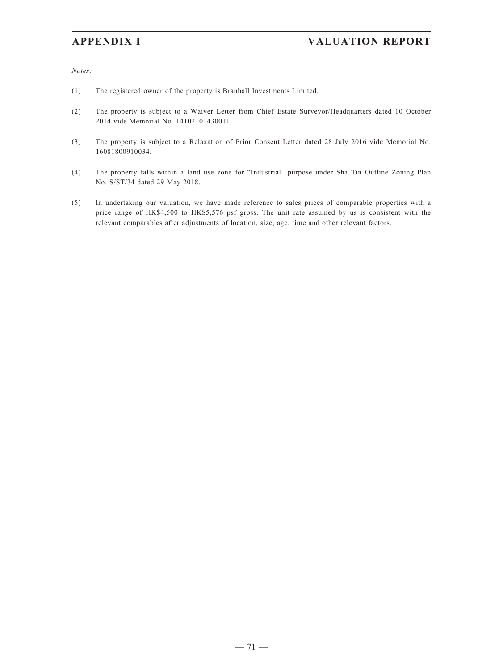*Notes:*

- (1) The registered owner of the property is Branhall Investments Limited.
- (2) The property is subject to a Waiver Letter from Chief Estate Surveyor/Headquarters dated 10 October 2014 vide Memorial No. 14102101430011.
- (3) The property is subject to a Relaxation of Prior Consent Letter dated 28 July 2016 vide Memorial No. 16081800910034.
- (4) The property falls within a land use zone for "Industrial" purpose under Sha Tin Outline Zoning Plan No. S/ST/34 dated 29 May 2018.
- (5) In undertaking our valuation, we have made reference to sales prices of comparable properties with a price range of HK\$4,500 to HK\$5,576 psf gross. The unit rate assumed by us is consistent with the relevant comparables after adjustments of location, size, age, time and other relevant factors.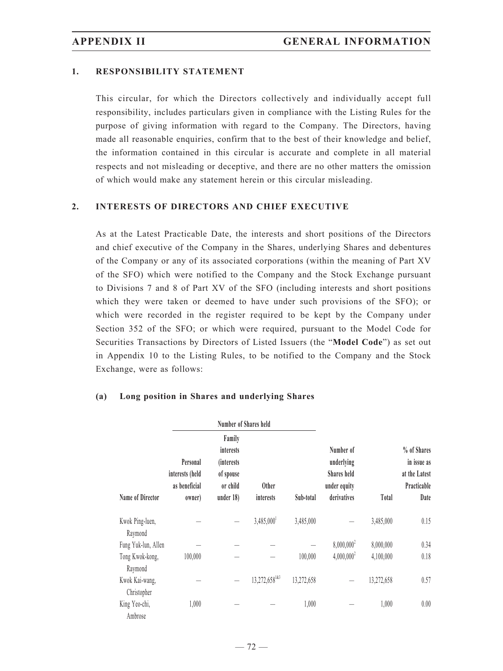### **1. RESPONSIBILITY STATEMENT**

This circular, for which the Directors collectively and individually accept full responsibility, includes particulars given in compliance with the Listing Rules for the purpose of giving information with regard to the Company. The Directors, having made all reasonable enquiries, confirm that to the best of their knowledge and belief, the information contained in this circular is accurate and complete in all material respects and not misleading or deceptive, and there are no other matters the omission of which would make any statement herein or this circular misleading.

### **2. INTERESTS OF DIRECTORS AND CHIEF EXECUTIVE**

As at the Latest Practicable Date, the interests and short positions of the Directors and chief executive of the Company in the Shares, underlying Shares and debentures of the Company or any of its associated corporations (within the meaning of Part XV of the SFO) which were notified to the Company and the Stock Exchange pursuant to Divisions 7 and 8 of Part XV of the SFO (including interests and short positions which they were taken or deemed to have under such provisions of the SFO); or which were recorded in the register required to be kept by the Company under Section 352 of the SFO; or which were required, pursuant to the Model Code for Securities Transactions by Directors of Listed Issuers (the "**Model Code**") as set out in Appendix 10 to the Listing Rules, to be notified to the Company and the Stock Exchange, were as follows:

|                               |                                                        | Number of Shares held                                                           |                           |            |                                                                              |            |                                                                    |
|-------------------------------|--------------------------------------------------------|---------------------------------------------------------------------------------|---------------------------|------------|------------------------------------------------------------------------------|------------|--------------------------------------------------------------------|
| <b>Name of Director</b>       | Personal<br>interests (held<br>as beneficial<br>owner) | Family<br>interests<br><i>(interests)</i><br>of spouse<br>or child<br>under 18) | <b>Other</b><br>interests | Sub-total  | Number of<br>underlying<br><b>Shares held</b><br>under equity<br>derivatives | Total      | % of Shares<br>in issue as<br>at the Latest<br>Practicable<br>Date |
| Kwok Ping-luen,<br>Raymond    |                                                        |                                                                                 | $3,485,000^1$             | 3,485,000  |                                                                              | 3,485,000  | 0.15                                                               |
| Fung Yuk-lun, Allen           |                                                        |                                                                                 |                           |            | $8,000,000^2$                                                                | 8,000,000  | 0.34                                                               |
| Tong Kwok-kong,<br>Raymond    | 100,000                                                |                                                                                 |                           | 100,000    | $4,000,000^2$                                                                | 4,100,000  | 0.18                                                               |
| Kwok Kai-wang,<br>Christopher |                                                        |                                                                                 | $13,272,658^{143}$        | 13,272,658 |                                                                              | 13,272,658 | 0.57                                                               |
| King Yeo-chi,<br>Ambrose      | 1,000                                                  |                                                                                 |                           | 1,000      |                                                                              | 1,000      | 0.00                                                               |

### **(a) Long position in Shares and underlying Shares**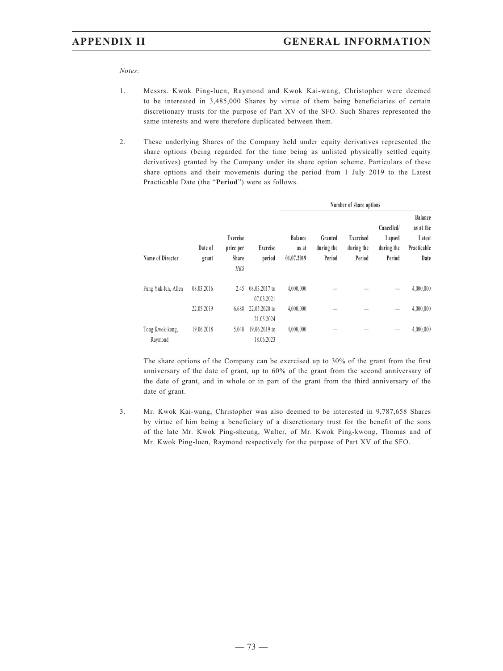*Notes:*

- 1. Messrs. Kwok Ping-luen, Raymond and Kwok Kai-wang, Christopher were deemed to be interested in 3,485,000 Shares by virtue of them being beneficiaries of certain discretionary trusts for the purpose of Part XV of the SFO. Such Shares represented the same interests and were therefore duplicated between them.
- 2. These underlying Shares of the Company held under equity derivatives represented the share options (being regarded for the time being as unlisted physically settled equity derivatives) granted by the Company under its share option scheme. Particulars of these share options and their movements during the period from 1 July 2019 to the Latest Practicable Date (the "**Period**") were as follows.

|                            |            | Exercise<br>Date of<br>price per<br>Share<br>grant<br><b>HKS</b> |                             | Number of share options               |                                 |                                   |                                              |                                                       |  |
|----------------------------|------------|------------------------------------------------------------------|-----------------------------|---------------------------------------|---------------------------------|-----------------------------------|----------------------------------------------|-------------------------------------------------------|--|
| Name of Director           |            |                                                                  | Exercise<br>period          | <b>Balance</b><br>as at<br>01.07.2019 | Granted<br>during the<br>Period | Exercised<br>during the<br>Period | Cancelled/<br>Lapsed<br>during the<br>Period | Balance<br>as at the<br>Latest<br>Practicable<br>Date |  |
| Fung Yuk-lun, Allen        | 08.03.2016 | 2.45                                                             | 08.03.2017 to<br>07.03.2021 | 4,000,000                             |                                 |                                   |                                              | 4,000,000                                             |  |
|                            | 22.05.2019 | 6.688                                                            | 22.05.2020 to<br>21.05.2024 | 4,000,000                             |                                 |                                   | -                                            | 4,000,000                                             |  |
| Tong Kwok-kong,<br>Raymond | 19.06.2018 | 5.048                                                            | 19.06.2019 to<br>18.06.2023 | 4,000,000                             |                                 |                                   |                                              | 4,000,000                                             |  |

 The share options of the Company can be exercised up to 30% of the grant from the first anniversary of the date of grant, up to 60% of the grant from the second anniversary of the date of grant, and in whole or in part of the grant from the third anniversary of the date of grant.

3. Mr. Kwok Kai-wang, Christopher was also deemed to be interested in 9,787,658 Shares by virtue of him being a beneficiary of a discretionary trust for the benefit of the sons of the late Mr. Kwok Ping-sheung, Walter, of Mr. Kwok Ping-kwong, Thomas and of Mr. Kwok Ping-luen, Raymond respectively for the purpose of Part XV of the SFO.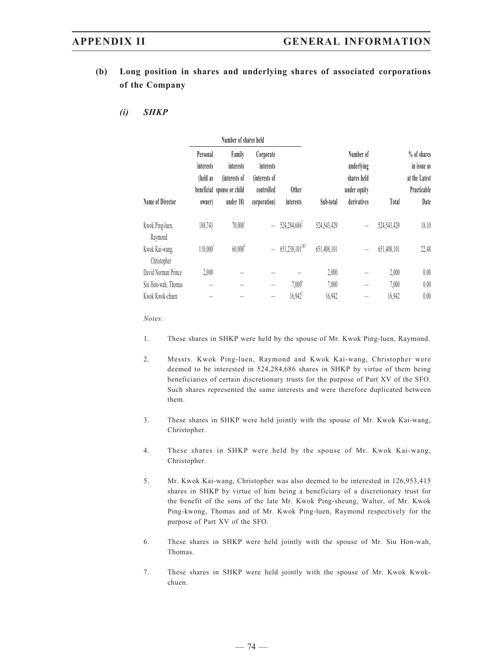- **(b) Long position in shares and underlying shares of associated corporations of the Company**
	- *(i) SHKP*

|                               |                                             | Number of shares held                                                           |                                                                              |                          |             |                                                                       |             |                                                                    |
|-------------------------------|---------------------------------------------|---------------------------------------------------------------------------------|------------------------------------------------------------------------------|--------------------------|-------------|-----------------------------------------------------------------------|-------------|--------------------------------------------------------------------|
| Name of Director              | Personal<br>interests<br>(held as<br>owner) | Family<br>interests<br>(interests of<br>beneficial spouse or child<br>under 18) | Corporate<br><i>interests</i><br>(interests of<br>controlled<br>corporation) | Other<br>interests       | Sub-total   | Number of<br>underlying<br>shares held<br>under equity<br>derivatives | Total       | % of shares<br>in issue as<br>at the Latest<br>Practicable<br>Date |
| Kwok Ping-luen,<br>Raymond    | 188,743                                     | $70,000$ <sup>1</sup>                                                           | $\equiv$                                                                     | 524,284,686 <sup>2</sup> | 524,543,429 |                                                                       | 524,543,429 | 18.10                                                              |
| Kwok Kai-wang,<br>Christopher | $110,000^3$                                 | $60,000^4$                                                                      | $\equiv$                                                                     | $651,238,101^{2k5}$      | 651,408,101 |                                                                       | 651,408,101 | 22.48                                                              |
| David Norman Prince           | 2,000                                       |                                                                                 |                                                                              |                          | 2,000       |                                                                       | 2,000       | 0.00                                                               |
| Siu Hon-wah, Thomas           |                                             |                                                                                 |                                                                              | $7,000^6$                | 7,000       |                                                                       | 7,000       | 0.00                                                               |
| Kwok Kwok-chuen               |                                             |                                                                                 |                                                                              | $16,942$ <sup>7</sup>    | 16,942      |                                                                       | 16,942      | 0.00                                                               |

*Notes:*

- 1. These shares in SHKP were held by the spouse of Mr. Kwok Ping-luen, Raymond.
- 2. Messrs. Kwok Ping-luen, Raymond and Kwok Kai-wang, Christopher were deemed to be interested in 524,284,686 shares in SHKP by virtue of them being beneficiaries of certain discretionary trusts for the purpose of Part XV of the SFO. Such shares represented the same interests and were therefore duplicated between them.
- 3. These shares in SHKP were held jointly with the spouse of Mr. Kwok Kai-wang, Christopher.
- 4. These shares in SHKP were held by the spouse of Mr. Kwok Kai-wang, Christopher.
- 5. Mr. Kwok Kai-wang, Christopher was also deemed to be interested in 126,953,415 shares in SHKP by virtue of him being a beneficiary of a discretionary trust for the benefit of the sons of the late Mr. Kwok Ping-sheung, Walter, of Mr. Kwok Ping-kwong, Thomas and of Mr. Kwok Ping-luen, Raymond respectively for the purpose of Part XV of the SFO.
- 6. These shares in SHKP were held jointly with the spouse of Mr. Siu Hon-wah, Thomas.
- 7. These shares in SHKP were held jointly with the spouse of Mr. Kwok Kwokchuen.

 $-74-$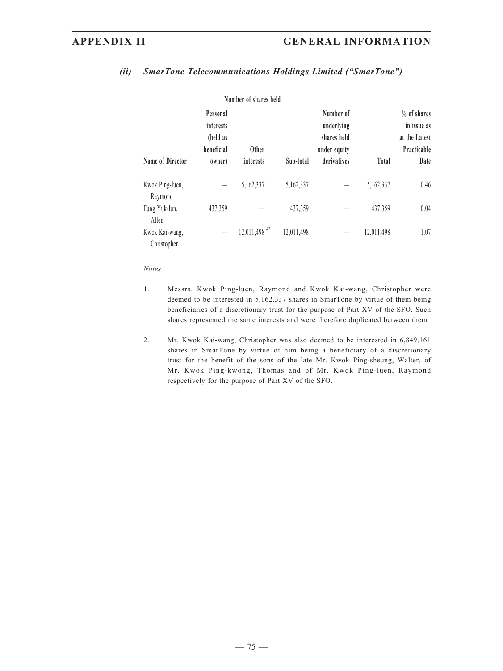|                               |                                                           | Number of shares held           |            |                                                                       |              |                                                                    |  |
|-------------------------------|-----------------------------------------------------------|---------------------------------|------------|-----------------------------------------------------------------------|--------------|--------------------------------------------------------------------|--|
| Name of Director              | Personal<br>interests<br>(held as<br>beneficial<br>owner) | <b>Other</b><br>interests       | Sub-total  | Number of<br>underlying<br>shares held<br>under equity<br>derivatives | <b>Total</b> | % of shares<br>in issue as<br>at the Latest<br>Practicable<br>Date |  |
| Kwok Ping-luen,<br>Raymond    |                                                           | $5,162,337$ <sup>1</sup>        | 5,162,337  |                                                                       | 5,162,337    | 0.46                                                               |  |
| Fung Yuk-lun,<br>Allen        | 437,359                                                   |                                 | 437,359    |                                                                       | 437,359      | 0.04                                                               |  |
| Kwok Kai-wang,<br>Christopher |                                                           | $12,011,498$ <sup>1&amp;2</sup> | 12,011,498 |                                                                       | 12,011,498   | 1.07                                                               |  |

## *(ii) SmarTone Telecommunications Holdings Limited ("SmarTone")*

### *Notes:*

- 1. Messrs. Kwok Ping-luen, Raymond and Kwok Kai-wang, Christopher were deemed to be interested in 5,162,337 shares in SmarTone by virtue of them being beneficiaries of a discretionary trust for the purpose of Part XV of the SFO. Such shares represented the same interests and were therefore duplicated between them.
- 2. Mr. Kwok Kai-wang, Christopher was also deemed to be interested in 6,849,161 shares in SmarTone by virtue of him being a beneficiary of a discretionary trust for the benefit of the sons of the late Mr. Kwok Ping-sheung, Walter, of Mr. Kwok Ping-kwong, Thomas and of Mr. Kwok Ping-luen, Raymond respectively for the purpose of Part XV of the SFO.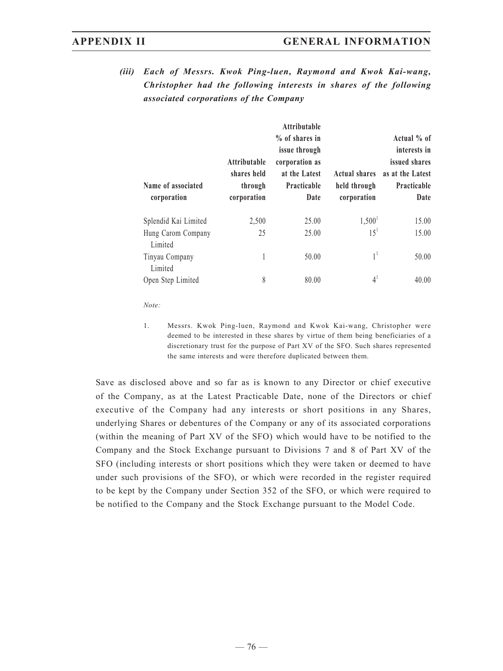*(iii) Each of Messrs. Kwok Ping-luen, Raymond and Kwok Kai-wang, Christopher had the following interests in shares of the following associated corporations of the Company*

| Name of associated<br>corporation | Attributable<br>shares held<br>through<br>corporation | Attributable<br>% of shares in<br><i>issue through</i><br>corporation as<br>at the Latest<br>Practicable<br>Date | <b>Actual shares</b><br>held through<br>corporation | Actual % of<br>interests in<br>issued shares<br>as at the Latest<br>Practicable<br>Date |
|-----------------------------------|-------------------------------------------------------|------------------------------------------------------------------------------------------------------------------|-----------------------------------------------------|-----------------------------------------------------------------------------------------|
| Splendid Kai Limited              | 2,500                                                 | 25.00                                                                                                            | 1,500 <sup>1</sup>                                  | 15.00                                                                                   |
| Hung Carom Company<br>Limited     | 25                                                    | 25.00                                                                                                            | 15 <sup>1</sup>                                     | 15.00                                                                                   |
| Tinyau Company<br>Limited         | 1                                                     | 50.00                                                                                                            | $1^1$                                               | 50.00                                                                                   |
| Open Step Limited                 | 8                                                     | 80.00                                                                                                            | 4 <sup>1</sup>                                      | 40.00                                                                                   |

*Note:*

1. Messrs. Kwok Ping-luen, Raymond and Kwok Kai-wang, Christopher were deemed to be interested in these shares by virtue of them being beneficiaries of a discretionary trust for the purpose of Part XV of the SFO. Such shares represented the same interests and were therefore duplicated between them.

Save as disclosed above and so far as is known to any Director or chief executive of the Company, as at the Latest Practicable Date, none of the Directors or chief executive of the Company had any interests or short positions in any Shares, underlying Shares or debentures of the Company or any of its associated corporations (within the meaning of Part XV of the SFO) which would have to be notified to the Company and the Stock Exchange pursuant to Divisions 7 and 8 of Part XV of the SFO (including interests or short positions which they were taken or deemed to have under such provisions of the SFO), or which were recorded in the register required to be kept by the Company under Section 352 of the SFO, or which were required to be notified to the Company and the Stock Exchange pursuant to the Model Code.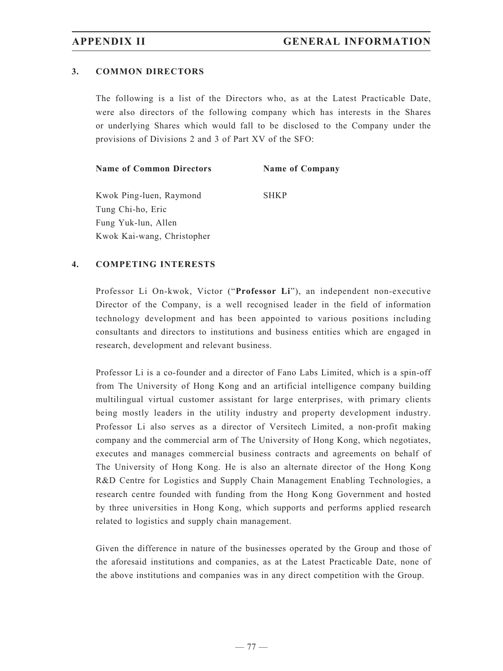### **3. COMMON DIRECTORS**

The following is a list of the Directors who, as at the Latest Practicable Date, were also directors of the following company which has interests in the Shares or underlying Shares which would fall to be disclosed to the Company under the provisions of Divisions 2 and 3 of Part XV of the SFO:

| <b>Name of Common Directors</b> |  | <b>Name of Company</b> |
|---------------------------------|--|------------------------|
|---------------------------------|--|------------------------|

Kwok Ping-luen, Raymond SHKP Tung Chi-ho, Eric Fung Yuk-lun, Allen Kwok Kai-wang, Christopher

### **4. COMPETING INTERESTS**

Professor Li On-kwok, Victor ("**Professor Li**"), an independent non-executive Director of the Company, is a well recognised leader in the field of information technology development and has been appointed to various positions including consultants and directors to institutions and business entities which are engaged in research, development and relevant business.

Professor Li is a co-founder and a director of Fano Labs Limited, which is a spin-off from The University of Hong Kong and an artificial intelligence company building multilingual virtual customer assistant for large enterprises, with primary clients being mostly leaders in the utility industry and property development industry. Professor Li also serves as a director of Versitech Limited, a non-profit making company and the commercial arm of The University of Hong Kong, which negotiates, executes and manages commercial business contracts and agreements on behalf of The University of Hong Kong. He is also an alternate director of the Hong Kong R&D Centre for Logistics and Supply Chain Management Enabling Technologies, a research centre founded with funding from the Hong Kong Government and hosted by three universities in Hong Kong, which supports and performs applied research related to logistics and supply chain management.

Given the difference in nature of the businesses operated by the Group and those of the aforesaid institutions and companies, as at the Latest Practicable Date, none of the above institutions and companies was in any direct competition with the Group.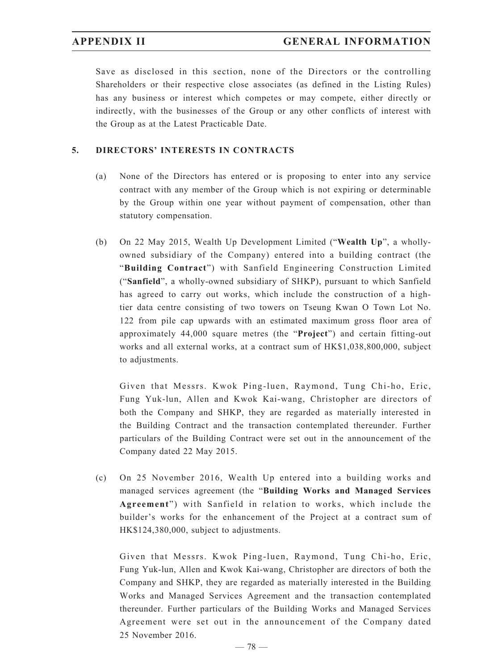Save as disclosed in this section, none of the Directors or the controlling Shareholders or their respective close associates (as defined in the Listing Rules) has any business or interest which competes or may compete, either directly or indirectly, with the businesses of the Group or any other conflicts of interest with the Group as at the Latest Practicable Date.

## **5. DIRECTORS' INTERESTS IN CONTRACTS**

- (a) None of the Directors has entered or is proposing to enter into any service contract with any member of the Group which is not expiring or determinable by the Group within one year without payment of compensation, other than statutory compensation.
- (b) On 22 May 2015, Wealth Up Development Limited ("**Wealth Up**", a whollyowned subsidiary of the Company) entered into a building contract (the "**Building Contract**") with Sanfield Engineering Construction Limited ("**Sanfield**", a wholly-owned subsidiary of SHKP), pursuant to which Sanfield has agreed to carry out works, which include the construction of a hightier data centre consisting of two towers on Tseung Kwan O Town Lot No. 122 from pile cap upwards with an estimated maximum gross floor area of approximately 44,000 square metres (the "**Project**") and certain fitting-out works and all external works, at a contract sum of HK\$1,038,800,000, subject to adjustments.

 Given that Messrs. Kwok Ping-luen, Raymond, Tung Chi-ho, Eric, Fung Yuk-lun, Allen and Kwok Kai-wang, Christopher are directors of both the Company and SHKP, they are regarded as materially interested in the Building Contract and the transaction contemplated thereunder. Further particulars of the Building Contract were set out in the announcement of the Company dated 22 May 2015.

(c) On 25 November 2016, Wealth Up entered into a building works and managed services agreement (the "**Building Works and Managed Services Agreement**") with Sanfield in relation to works, which include the builder's works for the enhancement of the Project at a contract sum of HK\$124,380,000, subject to adjustments.

 Given that Messrs. Kwok Ping-luen, Raymond, Tung Chi-ho, Eric, Fung Yuk-lun, Allen and Kwok Kai-wang, Christopher are directors of both the Company and SHKP, they are regarded as materially interested in the Building Works and Managed Services Agreement and the transaction contemplated thereunder. Further particulars of the Building Works and Managed Services Agreement were set out in the announcement of the Company dated 25 November 2016.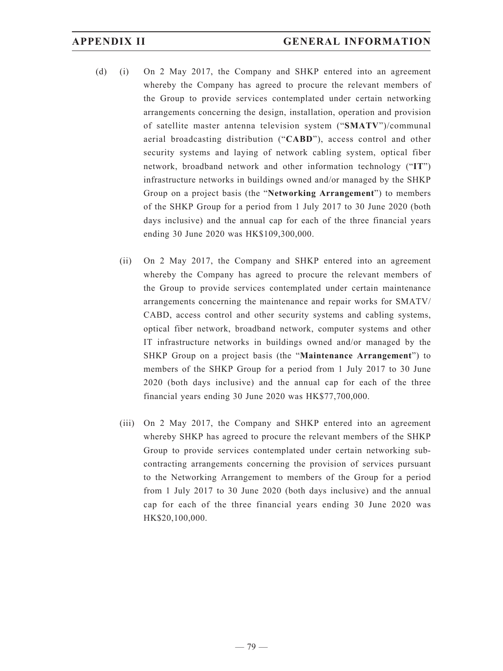- (d) (i) On 2 May 2017, the Company and SHKP entered into an agreement whereby the Company has agreed to procure the relevant members of the Group to provide services contemplated under certain networking arrangements concerning the design, installation, operation and provision of satellite master antenna television system ("**SMATV**")/communal aerial broadcasting distribution ("**CABD**"), access control and other security systems and laying of network cabling system, optical fiber network, broadband network and other information technology ("**IT**") infrastructure networks in buildings owned and/or managed by the SHKP Group on a project basis (the "**Networking Arrangement**") to members of the SHKP Group for a period from 1 July 2017 to 30 June 2020 (both days inclusive) and the annual cap for each of the three financial years ending 30 June 2020 was HK\$109,300,000.
	- (ii) On 2 May 2017, the Company and SHKP entered into an agreement whereby the Company has agreed to procure the relevant members of the Group to provide services contemplated under certain maintenance arrangements concerning the maintenance and repair works for SMATV/ CABD, access control and other security systems and cabling systems, optical fiber network, broadband network, computer systems and other IT infrastructure networks in buildings owned and/or managed by the SHKP Group on a project basis (the "**Maintenance Arrangement**") to members of the SHKP Group for a period from 1 July 2017 to 30 June 2020 (both days inclusive) and the annual cap for each of the three financial years ending 30 June 2020 was HK\$77,700,000.
	- (iii) On 2 May 2017, the Company and SHKP entered into an agreement whereby SHKP has agreed to procure the relevant members of the SHKP Group to provide services contemplated under certain networking subcontracting arrangements concerning the provision of services pursuant to the Networking Arrangement to members of the Group for a period from 1 July 2017 to 30 June 2020 (both days inclusive) and the annual cap for each of the three financial years ending 30 June 2020 was HK\$20,100,000.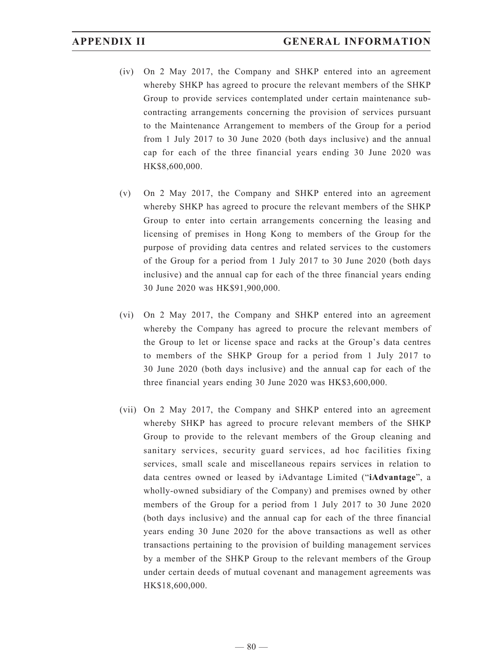- (iv) On 2 May 2017, the Company and SHKP entered into an agreement whereby SHKP has agreed to procure the relevant members of the SHKP Group to provide services contemplated under certain maintenance subcontracting arrangements concerning the provision of services pursuant to the Maintenance Arrangement to members of the Group for a period from 1 July 2017 to 30 June 2020 (both days inclusive) and the annual cap for each of the three financial years ending 30 June 2020 was HK\$8,600,000.
- (v) On 2 May 2017, the Company and SHKP entered into an agreement whereby SHKP has agreed to procure the relevant members of the SHKP Group to enter into certain arrangements concerning the leasing and licensing of premises in Hong Kong to members of the Group for the purpose of providing data centres and related services to the customers of the Group for a period from 1 July 2017 to 30 June 2020 (both days inclusive) and the annual cap for each of the three financial years ending 30 June 2020 was HK\$91,900,000.
- (vi) On 2 May 2017, the Company and SHKP entered into an agreement whereby the Company has agreed to procure the relevant members of the Group to let or license space and racks at the Group's data centres to members of the SHKP Group for a period from 1 July 2017 to 30 June 2020 (both days inclusive) and the annual cap for each of the three financial years ending 30 June 2020 was HK\$3,600,000.
- (vii) On 2 May 2017, the Company and SHKP entered into an agreement whereby SHKP has agreed to procure relevant members of the SHKP Group to provide to the relevant members of the Group cleaning and sanitary services, security guard services, ad hoc facilities fixing services, small scale and miscellaneous repairs services in relation to data centres owned or leased by iAdvantage Limited ("**iAdvantage**", a wholly-owned subsidiary of the Company) and premises owned by other members of the Group for a period from 1 July 2017 to 30 June 2020 (both days inclusive) and the annual cap for each of the three financial years ending 30 June 2020 for the above transactions as well as other transactions pertaining to the provision of building management services by a member of the SHKP Group to the relevant members of the Group under certain deeds of mutual covenant and management agreements was HK\$18,600,000.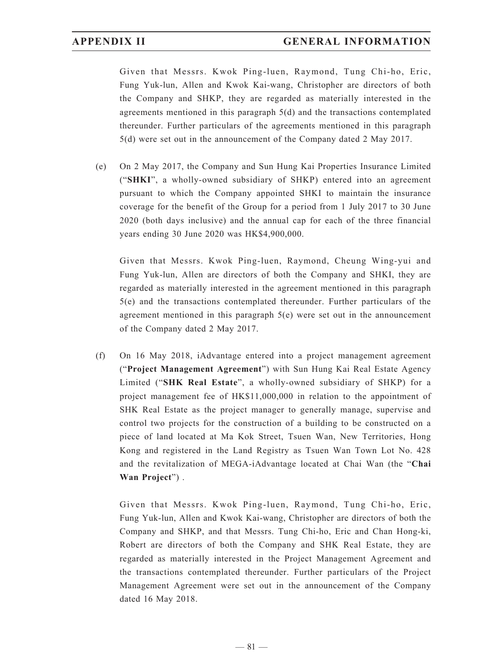Given that Messrs. Kwok Ping-luen, Raymond, Tung Chi-ho, Eric, Fung Yuk-lun, Allen and Kwok Kai-wang, Christopher are directors of both the Company and SHKP, they are regarded as materially interested in the agreements mentioned in this paragraph 5(d) and the transactions contemplated thereunder. Further particulars of the agreements mentioned in this paragraph 5(d) were set out in the announcement of the Company dated 2 May 2017.

(e) On 2 May 2017, the Company and Sun Hung Kai Properties Insurance Limited ("**SHKI**", a wholly-owned subsidiary of SHKP) entered into an agreement pursuant to which the Company appointed SHKI to maintain the insurance coverage for the benefit of the Group for a period from 1 July 2017 to 30 June 2020 (both days inclusive) and the annual cap for each of the three financial years ending 30 June 2020 was HK\$4,900,000.

 Given that Messrs. Kwok Ping-luen, Raymond, Cheung Wing-yui and Fung Yuk-lun, Allen are directors of both the Company and SHKI, they are regarded as materially interested in the agreement mentioned in this paragraph 5(e) and the transactions contemplated thereunder. Further particulars of the agreement mentioned in this paragraph 5(e) were set out in the announcement of the Company dated 2 May 2017.

(f) On 16 May 2018, iAdvantage entered into a project management agreement ("**Project Management Agreement**") with Sun Hung Kai Real Estate Agency Limited ("**SHK Real Estate**", a wholly-owned subsidiary of SHKP) for a project management fee of HK\$11,000,000 in relation to the appointment of SHK Real Estate as the project manager to generally manage, supervise and control two projects for the construction of a building to be constructed on a piece of land located at Ma Kok Street, Tsuen Wan, New Territories, Hong Kong and registered in the Land Registry as Tsuen Wan Town Lot No. 428 and the revitalization of MEGA-iAdvantage located at Chai Wan (the "**Chai Wan Project**") .

 Given that Messrs. Kwok Ping-luen, Raymond, Tung Chi-ho, Eric, Fung Yuk-lun, Allen and Kwok Kai-wang, Christopher are directors of both the Company and SHKP, and that Messrs. Tung Chi-ho, Eric and Chan Hong-ki, Robert are directors of both the Company and SHK Real Estate, they are regarded as materially interested in the Project Management Agreement and the transactions contemplated thereunder. Further particulars of the Project Management Agreement were set out in the announcement of the Company dated 16 May 2018.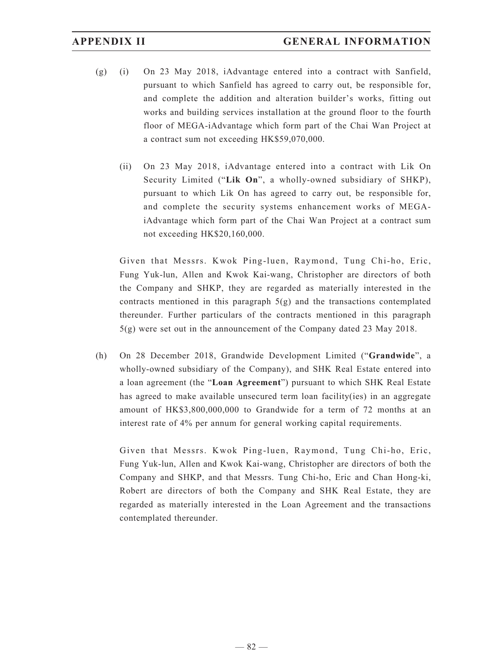- (g) (i) On 23 May 2018, iAdvantage entered into a contract with Sanfield, pursuant to which Sanfield has agreed to carry out, be responsible for, and complete the addition and alteration builder's works, fitting out works and building services installation at the ground floor to the fourth floor of MEGA-iAdvantage which form part of the Chai Wan Project at a contract sum not exceeding HK\$59,070,000.
	- (ii) On 23 May 2018, iAdvantage entered into a contract with Lik On Security Limited ("**Lik On**", a wholly-owned subsidiary of SHKP), pursuant to which Lik On has agreed to carry out, be responsible for, and complete the security systems enhancement works of MEGAiAdvantage which form part of the Chai Wan Project at a contract sum not exceeding HK\$20,160,000.

 Given that Messrs. Kwok Ping-luen, Raymond, Tung Chi-ho, Eric, Fung Yuk-lun, Allen and Kwok Kai-wang, Christopher are directors of both the Company and SHKP, they are regarded as materially interested in the contracts mentioned in this paragraph  $5(g)$  and the transactions contemplated thereunder. Further particulars of the contracts mentioned in this paragraph 5(g) were set out in the announcement of the Company dated 23 May 2018.

(h) On 28 December 2018, Grandwide Development Limited ("**Grandwide**", a wholly-owned subsidiary of the Company), and SHK Real Estate entered into a loan agreement (the "**Loan Agreement**") pursuant to which SHK Real Estate has agreed to make available unsecured term loan facility(ies) in an aggregate amount of HK\$3,800,000,000 to Grandwide for a term of 72 months at an interest rate of 4% per annum for general working capital requirements.

 Given that Messrs. Kwok Ping-luen, Raymond, Tung Chi-ho, Eric, Fung Yuk-lun, Allen and Kwok Kai-wang, Christopher are directors of both the Company and SHKP, and that Messrs. Tung Chi-ho, Eric and Chan Hong-ki, Robert are directors of both the Company and SHK Real Estate, they are regarded as materially interested in the Loan Agreement and the transactions contemplated thereunder.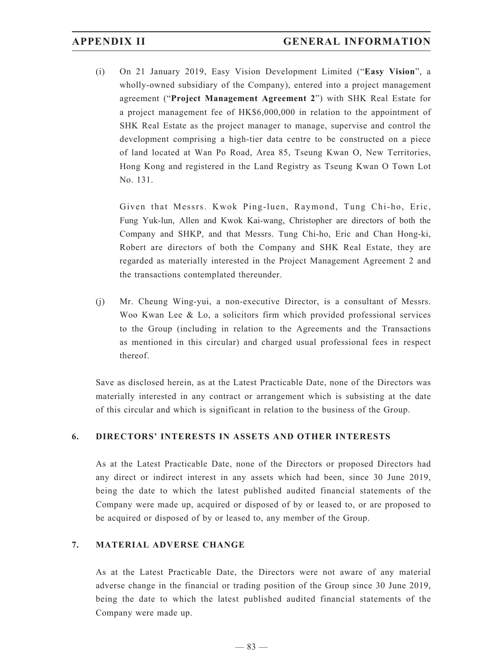(i) On 21 January 2019, Easy Vision Development Limited ("**Easy Vision**", a wholly-owned subsidiary of the Company), entered into a project management agreement ("**Project Management Agreement 2**") with SHK Real Estate for a project management fee of HK\$6,000,000 in relation to the appointment of SHK Real Estate as the project manager to manage, supervise and control the development comprising a high-tier data centre to be constructed on a piece of land located at Wan Po Road, Area 85, Tseung Kwan O, New Territories, Hong Kong and registered in the Land Registry as Tseung Kwan O Town Lot No. 131.

 Given that Messrs. Kwok Ping-luen, Raymond, Tung Chi-ho, Eric, Fung Yuk-lun, Allen and Kwok Kai-wang, Christopher are directors of both the Company and SHKP, and that Messrs. Tung Chi-ho, Eric and Chan Hong-ki, Robert are directors of both the Company and SHK Real Estate, they are regarded as materially interested in the Project Management Agreement 2 and the transactions contemplated thereunder.

(j) Mr. Cheung Wing-yui, a non-executive Director, is a consultant of Messrs. Woo Kwan Lee & Lo, a solicitors firm which provided professional services to the Group (including in relation to the Agreements and the Transactions as mentioned in this circular) and charged usual professional fees in respect thereof.

Save as disclosed herein, as at the Latest Practicable Date, none of the Directors was materially interested in any contract or arrangement which is subsisting at the date of this circular and which is significant in relation to the business of the Group.

### **6. DIRECTORS' INTERESTS IN ASSETS AND OTHER INTERESTS**

As at the Latest Practicable Date, none of the Directors or proposed Directors had any direct or indirect interest in any assets which had been, since 30 June 2019, being the date to which the latest published audited financial statements of the Company were made up, acquired or disposed of by or leased to, or are proposed to be acquired or disposed of by or leased to, any member of the Group.

### **7. MATERIAL ADVERSE CHANGE**

As at the Latest Practicable Date, the Directors were not aware of any material adverse change in the financial or trading position of the Group since 30 June 2019, being the date to which the latest published audited financial statements of the Company were made up.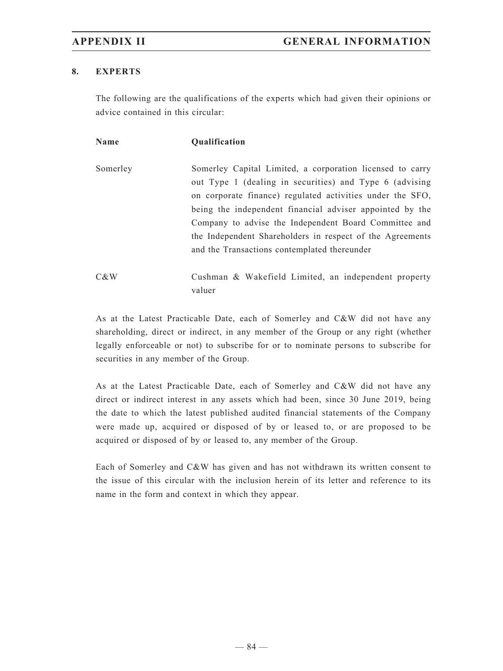## **8. EXPERTS**

The following are the qualifications of the experts which had given their opinions or advice contained in this circular:

| <b>Name</b> | <b>Qualification</b>                                      |
|-------------|-----------------------------------------------------------|
| Somerley    | Somerley Capital Limited, a corporation licensed to carry |
|             | out Type 1 (dealing in securities) and Type 6 (advising   |
|             | on corporate finance) regulated activities under the SFO, |
|             | being the independent financial adviser appointed by the  |
|             | Company to advise the Independent Board Committee and     |
|             | the Independent Shareholders in respect of the Agreements |
|             | and the Transactions contemplated thereunder              |
| C&W         | Cushman & Wakefield Limited, an independent property      |

As at the Latest Practicable Date, each of Somerley and C&W did not have any shareholding, direct or indirect, in any member of the Group or any right (whether legally enforceable or not) to subscribe for or to nominate persons to subscribe for securities in any member of the Group.

valuer

As at the Latest Practicable Date, each of Somerley and C&W did not have any direct or indirect interest in any assets which had been, since 30 June 2019, being the date to which the latest published audited financial statements of the Company were made up, acquired or disposed of by or leased to, or are proposed to be acquired or disposed of by or leased to, any member of the Group.

Each of Somerley and C&W has given and has not withdrawn its written consent to the issue of this circular with the inclusion herein of its letter and reference to its name in the form and context in which they appear.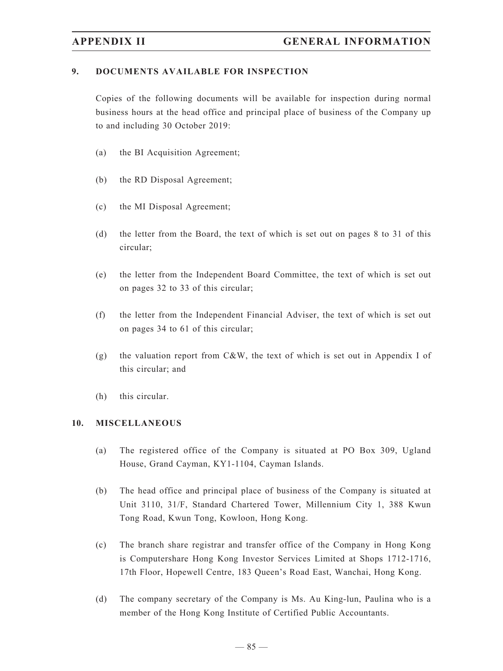### **9. DOCUMENTS AVAILABLE FOR INSPECTION**

Copies of the following documents will be available for inspection during normal business hours at the head office and principal place of business of the Company up to and including 30 October 2019:

- (a) the BI Acquisition Agreement;
- (b) the RD Disposal Agreement;
- (c) the MI Disposal Agreement;
- (d) the letter from the Board, the text of which is set out on pages 8 to 31 of this circular;
- (e) the letter from the Independent Board Committee, the text of which is set out on pages 32 to 33 of this circular;
- (f) the letter from the Independent Financial Adviser, the text of which is set out on pages 34 to 61 of this circular;
- (g) the valuation report from C&W, the text of which is set out in Appendix I of this circular; and
- (h) this circular.

### **10. MISCELLANEOUS**

- (a) The registered office of the Company is situated at PO Box 309, Ugland House, Grand Cayman, KY1-1104, Cayman Islands.
- (b) The head office and principal place of business of the Company is situated at Unit 3110, 31/F, Standard Chartered Tower, Millennium City 1, 388 Kwun Tong Road, Kwun Tong, Kowloon, Hong Kong.
- (c) The branch share registrar and transfer office of the Company in Hong Kong is Computershare Hong Kong Investor Services Limited at Shops 1712-1716, 17th Floor, Hopewell Centre, 183 Queen's Road East, Wanchai, Hong Kong.
- (d) The company secretary of the Company is Ms. Au King-lun, Paulina who is a member of the Hong Kong Institute of Certified Public Accountants.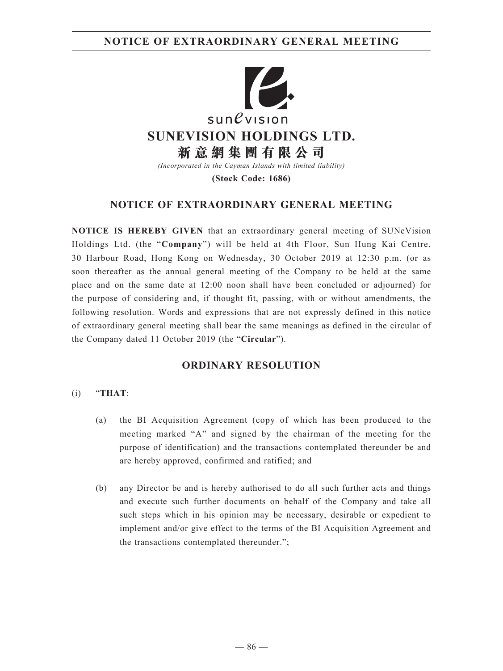**NOTICE OF EXTRAORDINARY GENERAL MEETING**



**(Stock Code: 1686)**

# **NOTICE OF EXTRAORDINARY GENERAL MEETING**

**NOTICE IS HEREBY GIVEN** that an extraordinary general meeting of SUNeVision Holdings Ltd. (the "**Company**") will be held at 4th Floor, Sun Hung Kai Centre, 30 Harbour Road, Hong Kong on Wednesday, 30 October 2019 at 12:30 p.m. (or as soon thereafter as the annual general meeting of the Company to be held at the same place and on the same date at 12:00 noon shall have been concluded or adjourned) for the purpose of considering and, if thought fit, passing, with or without amendments, the following resolution. Words and expressions that are not expressly defined in this notice of extraordinary general meeting shall bear the same meanings as defined in the circular of the Company dated 11 October 2019 (the "**Circular**").

## **ORDINARY RESOLUTION**

### (i) "**THAT**:

- (a) the BI Acquisition Agreement (copy of which has been produced to the meeting marked "A" and signed by the chairman of the meeting for the purpose of identification) and the transactions contemplated thereunder be and are hereby approved, confirmed and ratified; and
- (b) any Director be and is hereby authorised to do all such further acts and things and execute such further documents on behalf of the Company and take all such steps which in his opinion may be necessary, desirable or expedient to implement and/or give effect to the terms of the BI Acquisition Agreement and the transactions contemplated thereunder.";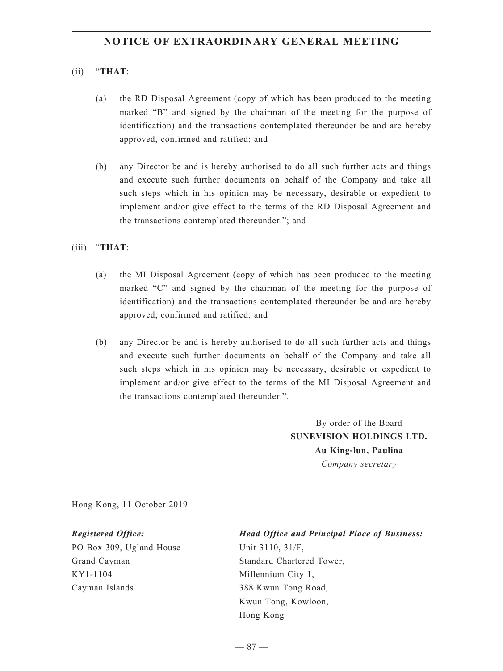### (ii) "**THAT**:

- (a) the RD Disposal Agreement (copy of which has been produced to the meeting marked "B" and signed by the chairman of the meeting for the purpose of identification) and the transactions contemplated thereunder be and are hereby approved, confirmed and ratified; and
- (b) any Director be and is hereby authorised to do all such further acts and things and execute such further documents on behalf of the Company and take all such steps which in his opinion may be necessary, desirable or expedient to implement and/or give effect to the terms of the RD Disposal Agreement and the transactions contemplated thereunder."; and

(iii) "**THAT**:

- (a) the MI Disposal Agreement (copy of which has been produced to the meeting marked "C" and signed by the chairman of the meeting for the purpose of identification) and the transactions contemplated thereunder be and are hereby approved, confirmed and ratified; and
- (b) any Director be and is hereby authorised to do all such further acts and things and execute such further documents on behalf of the Company and take all such steps which in his opinion may be necessary, desirable or expedient to implement and/or give effect to the terms of the MI Disposal Agreement and the transactions contemplated thereunder.".

By order of the Board **SUNEVISION HOLDINGS LTD. Au King-lun, Paulina** *Company secretary*

Hong Kong, 11 October 2019

PO Box 309, Ugland House Grand Cayman KY1-1104 Cayman Islands

### *Registered Office: Head Office and Principal Place of Business:*

Unit 3110, 31/F, Standard Chartered Tower, Millennium City 1, 388 Kwun Tong Road, Kwun Tong, Kowloon, Hong Kong